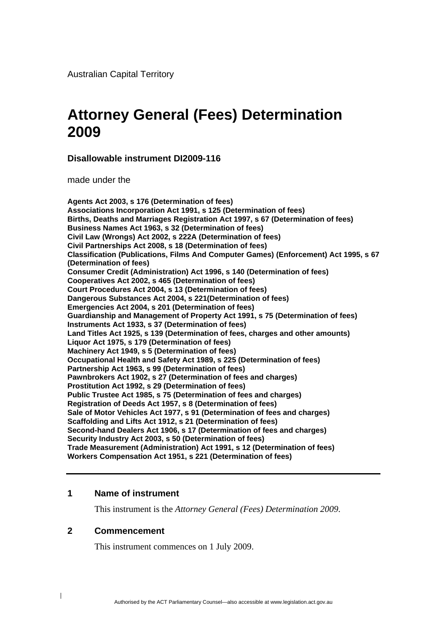<span id="page-0-0"></span>Australian Capital Territory

# **Attorney General (Fees) Determination 2009**

**Disallowable instrument DI2009-116** 

made under the

**Agents Act 2003, s 176 (Determination of fees) Associations Incorporation Act 1991, s 125 (Determination of fees) Births, Deaths and Marriages Registration Act 1997, s 67 (Determination of fees) Business Names Act 1963, s 32 (Determination of fees) Civil Law (Wrongs) Act 2002, s 222A (Determination of fees) Civil Partnerships Act 2008, s 18 (Determination of fees) Classification (Publications, Films And Computer Games) (Enforcement) Act 1995, s 67 (Determination of fees) Consumer Credit (Administration) Act 1996, s 140 (Determination of fees) Cooperatives Act 2002, s 465 (Determination of fees) Court Procedures Act 2004, s 13 (Determination of fees) Dangerous Substances Act 2004, s 221(Determination of fees) Emergencies Act 2004, s 201 (Determination of fees) Guardianship and Management of Property Act 1991, s 75 (Determination of fees) Instruments Act 1933, s 37 (Determination of fees) Land Titles Act 1925, s 139 (Determination of fees, charges and other amounts) Liquor Act 1975, s 179 (Determination of fees) Machinery Act 1949, s 5 (Determination of fees) Occupational Health and Safety Act 1989, s 225 (Determination of fees) Partnership Act 1963, s 99 (Determination of fees) Pawnbrokers Act 1902, s 27 (Determination of fees and charges) Prostitution Act 1992, s 29 (Determination of fees) Public Trustee Act 1985, s 75 (Determination of fees and charges) Registration of Deeds Act 1957, s 8 (Determination of fees) Sale of Motor Vehicles Act 1977, s 91 (Determination of fees and charges) Scaffolding and Lifts Act 1912, s 21 (Determination of fees) Second-hand Dealers Act 1906, s 17 (Determination of fees and charges) Security Industry Act 2003, s 50 (Determination of fees) Trade Measurement (Administration) Act 1991, s 12 (Determination of fees) Workers Compensation Act 1951, s 221 (Determination of fees)** 

#### **1 Name of instrument**

This instrument is the *Attorney General (Fees) Determination 2009*.

### **2 Commencement**

 $\overline{\phantom{a}}$ 

This instrument commences on 1 July 2009.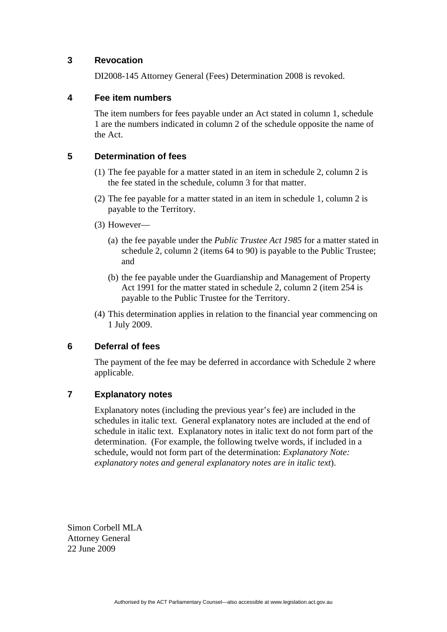### **3 Revocation**

DI2008-145 Attorney General (Fees) Determination 2008 is revoked.

### **4 Fee item numbers**

The item numbers for fees payable under an Act stated in column 1, schedule 1 are the numbers indicated in column 2 of the schedule opposite the name of the Act.

### **5 Determination of fees**

- (1) The fee payable for a matter stated in an item in schedule 2, column 2 is the fee stated in the schedule, column 3 for that matter.
- (2) The fee payable for a matter stated in an item in schedule 1, column 2 is payable to the Territory.
- (3) However—
	- (a) the fee payable under the *Public Trustee Act 1985* for a matter stated in schedule 2, column 2 (items 64 to 90) is payable to the Public Trustee; and
	- (b) the fee payable under the Guardianship and Management of Property Act 1991 for the matter stated in schedule 2, column 2 (item 254 is payable to the Public Trustee for the Territory.
- (4) This determination applies in relation to the financial year commencing on 1 July 2009.

### **6 Deferral of fees**

The payment of the fee may be deferred in accordance with Schedule 2 where applicable.

### **7 Explanatory notes**

Explanatory notes (including the previous year's fee) are included in the schedules in italic text. General explanatory notes are included at the end of schedule in italic text. Explanatory notes in italic text do not form part of the determination. (For example, the following twelve words, if included in a schedule, would not form part of the determination: *Explanatory Note: explanatory notes and general explanatory notes are in italic text*).

Simon Corbell MLA Attorney General 22 June 2009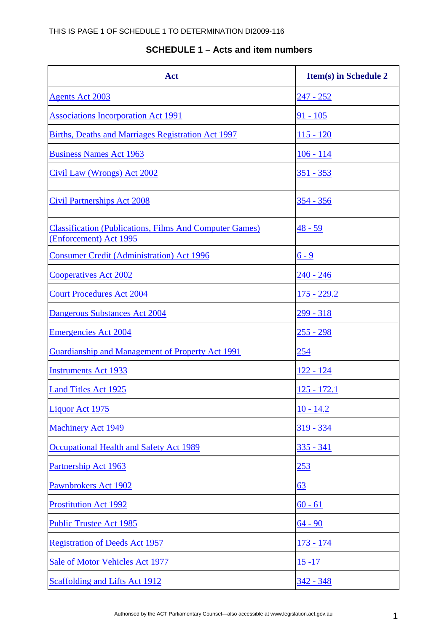### **SCHEDULE 1 – Acts and item numbers**

| Act                                                                                      | <b>Item(s)</b> in Schedule 2 |
|------------------------------------------------------------------------------------------|------------------------------|
| <b>Agents Act 2003</b>                                                                   | <u>247 - 252</u>             |
| <b>Associations Incorporation Act 1991</b>                                               | $91 - 105$                   |
| Births, Deaths and Marriages Registration Act 1997                                       | $115 - 120$                  |
| <b>Business Names Act 1963</b>                                                           | $106 - 114$                  |
| Civil Law (Wrongs) Act 2002                                                              | <u>351 - 353</u>             |
| <b>Civil Partnerships Act 2008</b>                                                       | $354 - 356$                  |
| <b>Classification (Publications, Films And Computer Games)</b><br>(Enforcement) Act 1995 | <u>48 - 59</u>               |
| <b>Consumer Credit (Administration) Act 1996</b>                                         | $6 - 9$                      |
| <b>Cooperatives Act 2002</b>                                                             | $240 - 246$                  |
| <b>Court Procedures Act 2004</b>                                                         | $175 - 229.2$                |
| Dangerous Substances Act 2004                                                            | $299 - 318$                  |
| <b>Emergencies Act 2004</b>                                                              | $255 - 298$                  |
| Guardianship and Management of Property Act 1991                                         | 254                          |
| <b>Instruments Act 1933</b>                                                              | $122 - 124$                  |
| <b>Land Titles Act 1925</b>                                                              | $125 - 172.1$                |
| Liquor Act 1975                                                                          | $10 - 14.2$                  |
| <b>Machinery Act 1949</b>                                                                | $319 - 334$                  |
| Occupational Health and Safety Act 1989                                                  | 335 - 341                    |
| Partnership Act 1963                                                                     | <u> 253</u>                  |
| Pawnbrokers Act 1902                                                                     | <u>63</u>                    |
| Prostitution Act 1992                                                                    | $60 - 61$                    |
| <b>Public Trustee Act 1985</b>                                                           | $64 - 90$                    |
| <b>Registration of Deeds Act 1957</b>                                                    | <u> 173 - 174</u>            |
| Sale of Motor Vehicles Act 1977                                                          | <u>15 - 17</u>               |
| Scaffolding and Lifts Act 1912                                                           | <u>342 - 348</u>             |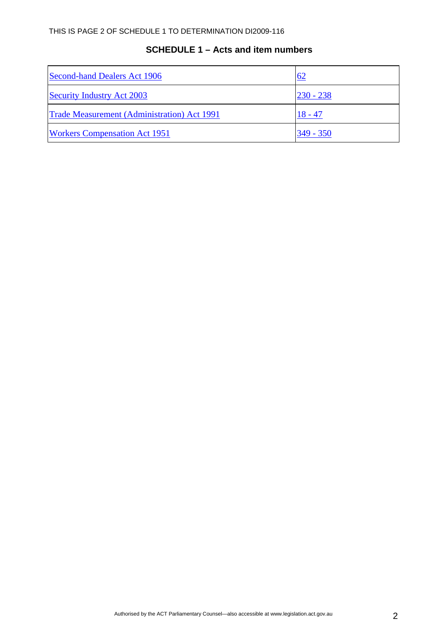## **SCHEDULE 1 – Acts and item numbers**

| Second-hand Dealers Act 1906                       | <u>62</u>   |
|----------------------------------------------------|-------------|
| <b>Security Industry Act 2003</b>                  | $230 - 238$ |
| <b>Trade Measurement (Administration) Act 1991</b> | $18 - 47$   |
| <b>Workers Compensation Act 1951</b>               | $349 - 350$ |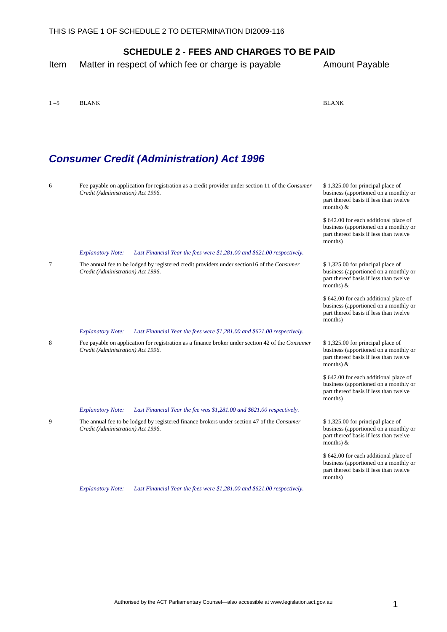<span id="page-4-0"></span>Item Matter in respect of which fee or charge is payable Amount Payable

1 –5 BLANK BLANK

| BL. | N.<br>AP<br>r |  |
|-----|---------------|--|

months)

#### *Consumer Credit (Administration) Act 1996*  6 Fee payable on application for registration as a credit provider under section 11 of the *Consumer Credit (Administration) Act 1996*. \$ 1,325.00 for principal place of business (apportioned on a monthly or part thereof basis if less than twelve months) & \$ 642.00 for each additional place of business (apportioned on a monthly or part thereof basis if less than twelve months) *Explanatory Note: Last Financial Year the fees were \$1,281.00 and \$621.00 respectively.* 7 The annual fee to be lodged by registered credit providers under section16 of the *Consumer Credit (Administration) Act 1996*. \$ 1,325.00 for principal place of business (apportioned on a monthly or part thereof basis if less than twelve months) & \$ 642.00 for each additional place of business (apportioned on a monthly or part thereof basis if less than twelve months) *Explanatory Note: Last Financial Year the fees were \$1,281.00 and \$621.00 respectively.* 8 Fee payable on application for registration as a finance broker under section 42 of the *Consumer Credit (Administration) Act 1996*. \$ 1,325.00 for principal place of business (apportioned on a monthly or part thereof basis if less than twelve months) & \$ 642.00 for each additional place of business (apportioned on a monthly or part thereof basis if less than twelve months) *Explanatory Note: Last Financial Year the fee was \$1,281.00 and \$621.00 respectively.* 9 The annual fee to be lodged by registered finance brokers under section 47 of the *Consumer Credit (Administration) Act 1996*. \$ 1,325.00 for principal place of business (apportioned on a monthly or part thereof basis if less than twelve months) & \$ 642.00 for each additional place of business (apportioned on a monthly or part thereof basis if less than twelve

*Explanatory Note: Last Financial Year the fees were \$1,281.00 and \$621.00 respectively.*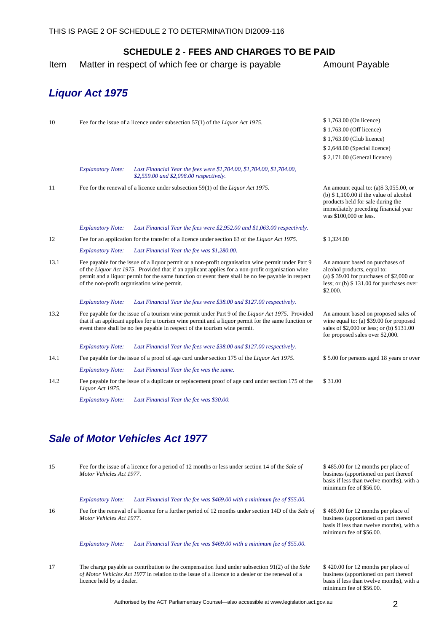<span id="page-5-0"></span>Item Matter in respect of which fee or charge is payable Amount Payable

## *Liquor Act 1975*

licence held by a dealer.

| 10   |                          | Fee for the issue of a licence under subsection 57(1) of the Liquor Act 1975.                                                                                                                                                                                                                                                                               | \$1,763.00 (On licence)                                                                                                                                                                     |
|------|--------------------------|-------------------------------------------------------------------------------------------------------------------------------------------------------------------------------------------------------------------------------------------------------------------------------------------------------------------------------------------------------------|---------------------------------------------------------------------------------------------------------------------------------------------------------------------------------------------|
|      |                          |                                                                                                                                                                                                                                                                                                                                                             | \$1,763.00 (Off licence)                                                                                                                                                                    |
|      |                          |                                                                                                                                                                                                                                                                                                                                                             | \$1,763.00 (Club licence)                                                                                                                                                                   |
|      |                          |                                                                                                                                                                                                                                                                                                                                                             | $$2,648.00$ (Special licence)                                                                                                                                                               |
|      |                          |                                                                                                                                                                                                                                                                                                                                                             | \$2,171.00 (General licence)                                                                                                                                                                |
|      | <b>Explanatory Note:</b> | Last Financial Year the fees were \$1,704.00, \$1,704.00, \$1,704.00,<br>\$2,559.00 and \$2,098.00 respectively.                                                                                                                                                                                                                                            |                                                                                                                                                                                             |
| 11   |                          | Fee for the renewal of a licence under subsection 59(1) of the Liquor Act 1975.                                                                                                                                                                                                                                                                             | An amount equal to: $(a)$ \$ 3,055.00, or<br>(b) $$1,100.00$ if the value of alcohol<br>products held for sale during the<br>immediately preceding financial year<br>was \$100,000 or less. |
|      | <b>Explanatory Note:</b> | Last Financial Year the fees were \$2,952.00 and \$1,063.00 respectively.                                                                                                                                                                                                                                                                                   |                                                                                                                                                                                             |
| 12   |                          | Fee for an application for the transfer of a licence under section 63 of the Liquor Act 1975.                                                                                                                                                                                                                                                               | \$1,324.00                                                                                                                                                                                  |
|      | <b>Explanatory Note:</b> | Last Financial Year the fee was \$1,280.00.                                                                                                                                                                                                                                                                                                                 |                                                                                                                                                                                             |
| 13.1 |                          | Fee payable for the issue of a liquor permit or a non-profit organisation wine permit under Part 9<br>of the Liquor Act 1975. Provided that if an applicant applies for a non-profit organisation wine<br>permit and a liquor permit for the same function or event there shall be no fee payable in respect<br>of the non-profit organisation wine permit. | An amount based on purchases of<br>alcohol products, equal to:<br>(a) \$39.00 for purchases of \$2,000 or<br>less; or $(b)$ \$ 131.00 for purchases over<br>\$2,000.                        |
|      | <b>Explanatory Note:</b> | Last Financial Year the fees were \$38.00 and \$127.00 respectively.                                                                                                                                                                                                                                                                                        |                                                                                                                                                                                             |
| 13.2 |                          | Fee payable for the issue of a tourism wine permit under Part 9 of the Liquor Act 1975. Provided<br>that if an applicant applies for a tourism wine permit and a liquor permit for the same function or<br>event there shall be no fee payable in respect of the tourism wine permit.                                                                       | An amount based on proposed sales of<br>wine equal to: (a) $$39.00$ for proposed<br>sales of \$2,000 or less; or (b) \$131.00<br>for proposed sales over \$2,000.                           |
|      | <b>Explanatory Note:</b> | Last Financial Year the fees were \$38.00 and \$127.00 respectively.                                                                                                                                                                                                                                                                                        |                                                                                                                                                                                             |
| 14.1 |                          | Fee payable for the issue of a proof of age card under section 175 of the Liquor Act 1975.                                                                                                                                                                                                                                                                  | \$5.00 for persons aged 18 years or over                                                                                                                                                    |
|      | <b>Explanatory Note:</b> | Last Financial Year the fee was the same.                                                                                                                                                                                                                                                                                                                   |                                                                                                                                                                                             |
| 14.2 | Liquor Act 1975.         | Fee payable for the issue of a duplicate or replacement proof of age card under section 175 of the                                                                                                                                                                                                                                                          | \$31.00                                                                                                                                                                                     |
|      | <b>Explanatory Note:</b> | Last Financial Year the fee was \$30.00.                                                                                                                                                                                                                                                                                                                    |                                                                                                                                                                                             |

| 15 | Fee for the issue of a licence for a period of 12 months or less under section 14 of the Sale of<br>Motor Vehicles Act 1977. |                                                                                                                                                                                                             | \$485.00 for 12 months per place of<br>business (apportioned on part thereof<br>basis if less than twelve months), with a<br>minimum fee of \$56.00. |  |
|----|------------------------------------------------------------------------------------------------------------------------------|-------------------------------------------------------------------------------------------------------------------------------------------------------------------------------------------------------------|------------------------------------------------------------------------------------------------------------------------------------------------------|--|
|    | <b>Explanatory Note:</b>                                                                                                     | Last Financial Year the fee was \$469.00 with a minimum fee of \$55.00.                                                                                                                                     |                                                                                                                                                      |  |
| 16 | Motor Vehicles Act 1977.                                                                                                     | Fee for the renewal of a licence for a further period of 12 months under section 14D of the Sale of                                                                                                         | \$485.00 for 12 months per place of<br>business (apportioned on part thereof<br>basis if less than twelve months), with a<br>minimum fee of \$56.00. |  |
|    | <b>Explanatory Note:</b>                                                                                                     | Last Financial Year the fee was \$469.00 with a minimum fee of \$55.00.                                                                                                                                     |                                                                                                                                                      |  |
| 17 |                                                                                                                              | The charge payable as contribution to the compensation fund under subsection $91(2)$ of the <i>Sale</i><br>of Motor Vehicles Act 1977 in relation to the issue of a licence to a dealer or the renewal of a | \$420.00 for 12 months per place of<br>business (apportioned on part thereof                                                                         |  |

basis if less than twelve months), with a

minimum fee of \$56.00.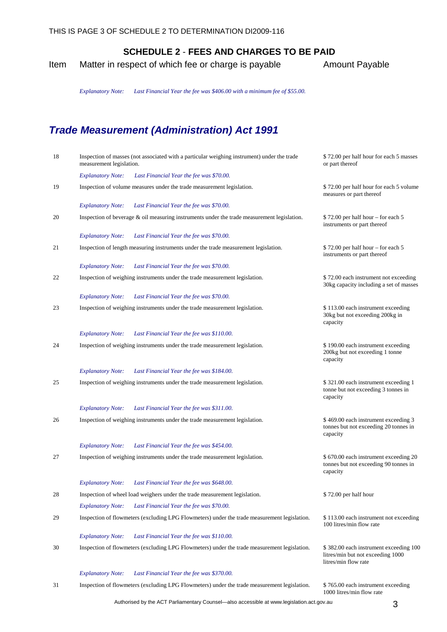Item Matter in respect of which fee or charge is payable Amount Payable

*Explanatory Note: Last Financial Year the fee was \$406.00 with a minimum fee of \$55.00.*

# *Trade Measurement (Administration) Act 1991*

| 18 | Inspection of masses (not associated with a particular weighing instrument) under the trade<br>measurement legislation. | \$72.00 per half hour for each 5 masses<br>or part thereof                                          |
|----|-------------------------------------------------------------------------------------------------------------------------|-----------------------------------------------------------------------------------------------------|
|    | <b>Explanatory Note:</b><br>Last Financial Year the fee was \$70.00.                                                    |                                                                                                     |
| 19 | Inspection of volume measures under the trade measurement legislation.                                                  | \$72.00 per half hour for each 5 volume<br>measures or part thereof                                 |
|    | <b>Explanatory Note:</b><br>Last Financial Year the fee was \$70.00.                                                    |                                                                                                     |
| 20 | Inspection of beverage $\&$ oil measuring instruments under the trade measurement legislation.                          | \$72.00 per half hour – for each 5<br>instruments or part thereof                                   |
|    | <b>Explanatory Note:</b><br>Last Financial Year the fee was \$70.00.                                                    |                                                                                                     |
| 21 | Inspection of length measuring instruments under the trade measurement legislation.                                     | $$72.00$ per half hour – for each 5<br>instruments or part thereof                                  |
|    | Last Financial Year the fee was \$70.00.<br><b>Explanatory Note:</b>                                                    |                                                                                                     |
| 22 | Inspection of weighing instruments under the trade measurement legislation.                                             | \$72.00 each instrument not exceeding<br>30kg capacity including a set of masses                    |
|    | <b>Explanatory Note:</b><br>Last Financial Year the fee was \$70.00.                                                    |                                                                                                     |
| 23 | Inspection of weighing instruments under the trade measurement legislation.                                             | \$113.00 each instrument exceeding<br>30kg but not exceeding 200kg in<br>capacity                   |
|    | Last Financial Year the fee was \$110.00.<br><b>Explanatory Note:</b>                                                   |                                                                                                     |
| 24 | Inspection of weighing instruments under the trade measurement legislation.                                             | \$190.00 each instrument exceeding<br>200kg but not exceeding 1 tonne<br>capacity                   |
|    | Last Financial Year the fee was \$184.00.<br><b>Explanatory Note:</b>                                                   |                                                                                                     |
| 25 | Inspection of weighing instruments under the trade measurement legislation.                                             | \$321.00 each instrument exceeding 1<br>tonne but not exceeding 3 tonnes in<br>capacity             |
|    | <b>Explanatory Note:</b><br>Last Financial Year the fee was \$311.00.                                                   |                                                                                                     |
| 26 | Inspection of weighing instruments under the trade measurement legislation.                                             | \$469.00 each instrument exceeding 3<br>tonnes but not exceeding 20 tonnes in<br>capacity           |
|    | <b>Explanatory Note:</b><br>Last Financial Year the fee was \$454.00.                                                   |                                                                                                     |
| 27 | Inspection of weighing instruments under the trade measurement legislation.                                             | \$ 670.00 each instrument exceeding 20<br>tonnes but not exceeding 90 tonnes in<br>capacity         |
|    | <b>Explanatory Note:</b><br>Last Financial Year the fee was \$648.00.                                                   |                                                                                                     |
| 28 | Inspection of wheel load weighers under the trade measurement legislation.                                              | \$72.00 per half hour                                                                               |
|    | Last Financial Year the fee was \$70.00.<br><b>Explanatory Note:</b>                                                    |                                                                                                     |
| 29 | Inspection of flowmeters (excluding LPG Flowmeters) under the trade measurement legislation.                            | \$113.00 each instrument not exceeding<br>100 litres/min flow rate                                  |
|    | <b>Explanatory Note:</b><br>Last Financial Year the fee was \$110.00.                                                   |                                                                                                     |
| 30 | Inspection of flowmeters (excluding LPG Flowmeters) under the trade measurement legislation.                            | \$382.00 each instrument exceeding 100<br>litres/min but not exceeding 1000<br>litres/min flow rate |
|    | <b>Explanatory Note:</b><br>Last Financial Year the fee was \$370.00.                                                   |                                                                                                     |
| 31 | Inspection of flowmeters (excluding LPG Flowmeters) under the trade measurement legislation.                            | \$765.00 each instrument exceeding<br>1000 litres/min flow rate                                     |

Authorised by the ACT Parliamentary Counsel—also accessible at www.legislation.act.gov.au 3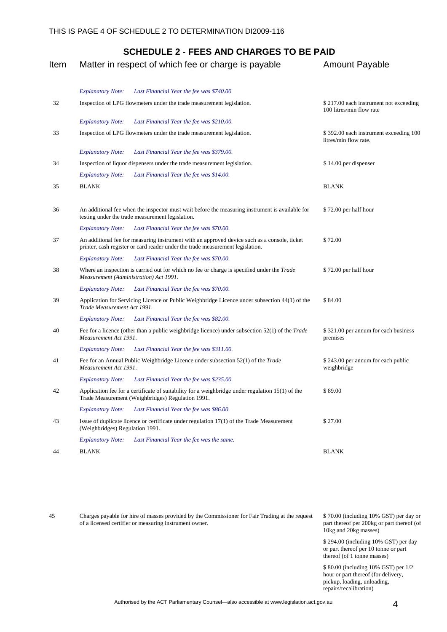| Item | Matter in respect of which fee or charge is payable                                                                                                                            | <b>Amount Payable</b>                                              |
|------|--------------------------------------------------------------------------------------------------------------------------------------------------------------------------------|--------------------------------------------------------------------|
|      | <b>Explanatory Note:</b><br>Last Financial Year the fee was \$740.00.                                                                                                          |                                                                    |
| 32   | Inspection of LPG flowmeters under the trade measurement legislation.                                                                                                          | \$217.00 each instrument not exceeding<br>100 litres/min flow rate |
|      | Last Financial Year the fee was \$210.00.<br><b>Explanatory Note:</b>                                                                                                          |                                                                    |
| 33   | Inspection of LPG flowmeters under the trade measurement legislation.                                                                                                          | \$392.00 each instrument exceeding 100<br>litres/min flow rate.    |
|      | <b>Explanatory Note:</b><br>Last Financial Year the fee was \$379.00.                                                                                                          |                                                                    |
| 34   | Inspection of liquor dispensers under the trade measurement legislation.                                                                                                       | \$14.00 per dispenser                                              |
|      | <b>Explanatory Note:</b><br>Last Financial Year the fee was \$14.00.                                                                                                           |                                                                    |
| 35   | <b>BLANK</b>                                                                                                                                                                   | <b>BLANK</b>                                                       |
| 36   | An additional fee when the inspector must wait before the measuring instrument is available for<br>testing under the trade measurement legislation.                            | \$72.00 per half hour                                              |
|      | Last Financial Year the fee was \$70.00.<br><b>Explanatory Note:</b>                                                                                                           |                                                                    |
| 37   | An additional fee for measuring instrument with an approved device such as a console, ticket<br>printer, cash register or card reader under the trade measurement legislation. | \$72.00                                                            |
|      | <b>Explanatory Note:</b><br>Last Financial Year the fee was \$70.00.                                                                                                           |                                                                    |
| 38   | Where an inspection is carried out for which no fee or charge is specified under the <i>Trade</i><br>Measurement (Administration) Act 1991.                                    | \$72.00 per half hour                                              |
|      | Last Financial Year the fee was \$70.00.<br><b>Explanatory Note:</b>                                                                                                           |                                                                    |
| 39   | Application for Servicing Licence or Public Weighbridge Licence under subsection 44(1) of the<br>Trade Measurement Act 1991.                                                   | \$84.00                                                            |
|      | Last Financial Year the fee was \$82.00.<br><b>Explanatory Note:</b>                                                                                                           |                                                                    |
| 40   | Fee for a licence (other than a public weighbridge licence) under subsection $52(1)$ of the <i>Trade</i><br>Measurement Act 1991.                                              | \$321.00 per annum for each business<br>premises                   |
|      | <b>Explanatory Note:</b><br>Last Financial Year the fee was \$311.00.                                                                                                          |                                                                    |
| 41   | Fee for an Annual Public Weighbridge Licence under subsection 52(1) of the Trade<br>Measurement Act 1991.                                                                      | \$243.00 per annum for each public<br>weighbridge                  |
|      | Last Financial Year the fee was \$235.00.<br><b>Explanatory Note:</b>                                                                                                          |                                                                    |
| 42   | Application fee for a certificate of suitability for a weighbridge under regulation $15(1)$ of the<br>Trade Measurement (Weighbridges) Regulation 1991.                        | \$89.00                                                            |
|      | Last Financial Year the fee was \$86.00.<br><b>Explanatory Note:</b>                                                                                                           |                                                                    |
| 43   | Issue of duplicate licence or certificate under regulation $17(1)$ of the Trade Measurement<br>(Weighbridges) Regulation 1991.                                                 | \$27.00                                                            |
|      | <b>Explanatory Note:</b><br>Last Financial Year the fee was the same.                                                                                                          |                                                                    |
| 44   | <b>BLANK</b>                                                                                                                                                                   | <b>BLANK</b>                                                       |

45 Charges payable for hire of masses provided by the Commissioner for Fair Trading at the request of a licensed certifier or measuring instrument owner.

\$ 70.00 (including 10% GST) per day or part thereof per 200kg or part thereof (of 10kg and 20kg masses)

\$ 294.00 (including 10% GST) per day or part thereof per 10 tonne or part thereof (of 1 tonne masses)

\$ 80.00 (including 10% GST) per 1/2 hour or part thereof (for delivery, pickup, loading, unloading, repairs/recalibration)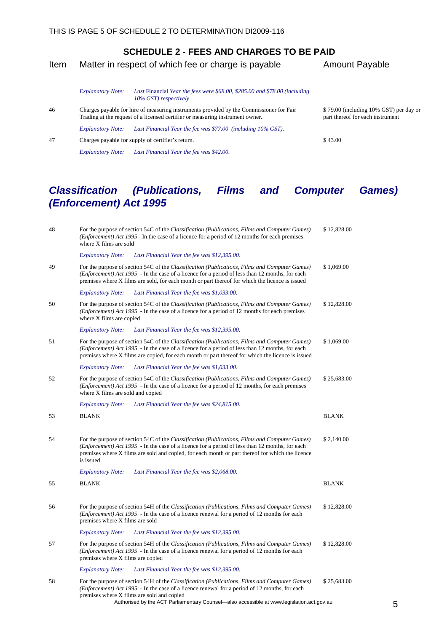#### Item Matter in respect of which fee or charge is payable Amount Payable

Trading at the request of a licensed certifier or measuring instrument owner.

*Explanatory Note: Last Financial Year the fee was \$42.00.*

*Explanatory Note: Last Financial Year the fee was \$77.00 (including 10% GST).*

*Explanatory Note: Last* Financial *Year the fees were \$68.00, \$285.00 and \$78.00 (including 10% GST) respectively.* 46 Charges payable for hire of measuring instruments provided by the Commissioner for Fair

\$ 79.00 (including 10% GST) per day or part thereof for each instrument

47 Charges payable for supply of certifier's return. \$ 43.00

## *Classification (Publications, Films and Computer Games) (Enforcement) Act 1995*

| $\sqrt{48}$ | For the purpose of section 54C of the Classification (Publications, Films and Computer Games)<br>( <i>Enforcement</i> ) Act 1995 - In the case of a licence for a period of 12 months for each premises<br>where X films are sold                                                                                                                  | \$12,828.00      |
|-------------|----------------------------------------------------------------------------------------------------------------------------------------------------------------------------------------------------------------------------------------------------------------------------------------------------------------------------------------------------|------------------|
|             | <b>Explanatory Note:</b><br>Last Financial Year the fee was \$12,395.00.                                                                                                                                                                                                                                                                           |                  |
| 49          | For the purpose of section 54C of the Classification (Publications, Films and Computer Games)<br>( <i>Enforcement</i> ) Act 1995 - In the case of a licence for a period of less than 12 months, for each<br>premises where X films are sold, for each month or part thereof for which the licence is issued                                       | \$1,069.00       |
|             | <b>Explanatory Note:</b><br>Last Financial Year the fee was \$1,033.00.                                                                                                                                                                                                                                                                            |                  |
| 50          | For the purpose of section 54C of the Classification (Publications, Films and Computer Games)<br>( <i>Enforcement</i> ) Act 1995 - In the case of a licence for a period of 12 months for each premises<br>where X films are copied                                                                                                                | \$12,828.00      |
|             | <b>Explanatory Note:</b><br>Last Financial Year the fee was \$12,395.00.                                                                                                                                                                                                                                                                           |                  |
| 51          | For the purpose of section 54C of the Classification (Publications, Films and Computer Games)<br>( <i>Enforcement</i> ) Act 1995 - In the case of a licence for a period of less than 12 months, for each<br>premises where X films are copied, for each month or part thereof for which the licence is issued                                     | \$1,069.00       |
|             | <b>Explanatory Note:</b><br>Last Financial Year the fee was \$1,033.00.                                                                                                                                                                                                                                                                            |                  |
| 52          | For the purpose of section 54C of the Classification (Publications, Films and Computer Games)<br>( <i>Enforcement</i> ) Act 1995 - In the case of a licence for a period of 12 months, for each premises<br>where X films are sold and copied                                                                                                      | \$25,683.00      |
|             | <b>Explanatory Note:</b><br>Last Financial Year the fee was \$24,815.00.                                                                                                                                                                                                                                                                           |                  |
| 53          | <b>BLANK</b>                                                                                                                                                                                                                                                                                                                                       | <b>BLANK</b>     |
| 54          | For the purpose of section 54C of the Classification (Publications, Films and Computer Games)<br>( <i>Enforcement</i> ) Act 1995 - In the case of a licence for a period of less than 12 months, for each<br>premises where X films are sold and copied, for each month or part thereof for which the licence<br>is issued                         | \$2,140.00       |
|             | Last Financial Year the fee was \$2,068.00.<br><b>Explanatory Note:</b>                                                                                                                                                                                                                                                                            |                  |
| 55          | <b>BLANK</b>                                                                                                                                                                                                                                                                                                                                       | <b>BLANK</b>     |
| 56          | For the purpose of section 54H of the Classification (Publications, Films and Computer Games)<br>( <i>Enforcement</i> ) Act 1995 - In the case of a licence renewal for a period of 12 months for each<br>premises where X films are sold                                                                                                          | \$12,828.00      |
|             | Last Financial Year the fee was \$12,395.00.<br><b>Explanatory Note:</b>                                                                                                                                                                                                                                                                           |                  |
| 57          | For the purpose of section 54H of the Classification (Publications, Films and Computer Games)<br>( <i>Enforcement</i> ) Act 1995 - In the case of a licence renewal for a period of 12 months for each<br>premises where X films are copied                                                                                                        | \$12,828.00      |
|             | <b>Explanatory Note:</b><br>Last Financial Year the fee was \$12,395.00.                                                                                                                                                                                                                                                                           |                  |
| 58          | For the purpose of section 54H of the Classification (Publications, Films and Computer Games)<br>( <i>Enforcement</i> ) Act 1995 - In the case of a licence renewal for a period of 12 months, for each<br>premises where X films are sold and copied<br>Authorised by the ACT Parliamentary Counsel-also accessible at www.legislation.act.gov.au | \$25,683.00<br>5 |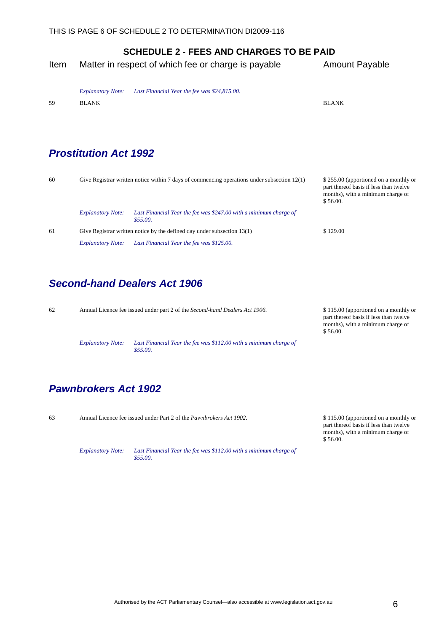- <span id="page-9-0"></span>Item Matter in respect of which fee or charge is payable Amount Payable
	- *Explanatory Note: Last Financial Year the fee was \$24,815.00.*

59 BLANK BLANK

## *Prostitution Act 1992*

| 60 |                                                                           | Give Registrar written notice within 7 days of commencing operations under subsection $12(1)$ | \$255.00 (apportioned on a monthly or<br>part thereof basis if less than twelve<br>months), with a minimum charge of<br>\$56.00. |
|----|---------------------------------------------------------------------------|-----------------------------------------------------------------------------------------------|----------------------------------------------------------------------------------------------------------------------------------|
|    | <b>Explanatory Note:</b>                                                  | Last Financial Year the fee was \$247.00 with a minimum charge of<br>\$55.00.                 |                                                                                                                                  |
| 61 | Give Registrar written notice by the defined day under subsection $13(1)$ |                                                                                               | \$129.00                                                                                                                         |
|    | <b>Explanatory Note:</b>                                                  | Last Financial Year the fee was \$125.00.                                                     |                                                                                                                                  |

## *Second-hand Dealers Act 1906*

62 Annual Licence fee issued under part 2 of the *Second-hand Dealers Act 1906*. \$ 115.00 (apportioned on a monthly or part thereof basis if less than twelve months), with a minimum charge of \$ 56.00. *Explanatory Note: Last Financial Year the fee was \$112.00 with a minimum charge of \$55.00.*

## *Pawnbrokers Act 1902*

63 Annual Licence fee issued under Part 2 of the *Pawnbrokers Act 1902*. \$ 115.00 (apportioned on a monthly or

*Explanatory Note: Last Financial Year the fee was \$112.00 with a minimum charge of \$55.00.*

part thereof basis if less than twelve months), with a minimum charge of \$ 56.00.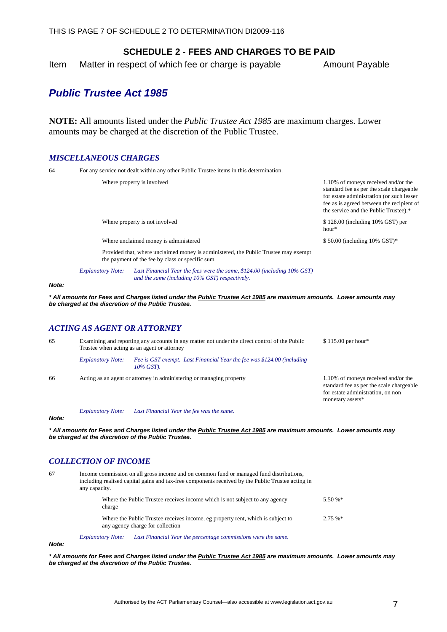<span id="page-10-0"></span>Item Matter in respect of which fee or charge is payable Amount Payable

## *Public Trustee Act 1985*

**NOTE:** All amounts listed under the *Public Trustee Act 1985* are maximum charges. Lower amounts may be charged at the discretion of the Public Trustee.

#### *MISCELLANEOUS CHARGES*

64 For any service not dealt within any other Public Trustee items in this determination.

|       |                             | Where property is involved                                                                                                                                                | 1.10% of moneys received and/or the<br>standard fee as per the scale chargeable<br>for estate administration (or such lesser<br>fee as is agreed between the recipient of<br>the service and the Public Trustee).* |
|-------|-----------------------------|---------------------------------------------------------------------------------------------------------------------------------------------------------------------------|--------------------------------------------------------------------------------------------------------------------------------------------------------------------------------------------------------------------|
|       |                             | Where property is not involved                                                                                                                                            | \$128.00 (including 10% GST) per<br>$hour*$                                                                                                                                                                        |
|       |                             | Where unclaimed money is administered                                                                                                                                     | \$50.00 (including 10% GST)*                                                                                                                                                                                       |
|       |                             | Provided that, where unclaimed money is administered, the Public Trustee may exempt<br>the payment of the fee by class or specific sum.                                   |                                                                                                                                                                                                                    |
|       | <b>Explanatory Note:</b>    | Last Financial Year the fees were the same, \$124.00 (including 10% GST)<br>and the same (including 10% GST) respectively.                                                |                                                                                                                                                                                                                    |
| Note: |                             |                                                                                                                                                                           |                                                                                                                                                                                                                    |
|       |                             | * All amounts for Fees and Charges listed under the Public Trustee Act 1985 are maximum amounts. Lower amounts may<br>be charged at the discretion of the Public Trustee. |                                                                                                                                                                                                                    |
|       | ACTING AS AGENT OR ATTORNEY |                                                                                                                                                                           |                                                                                                                                                                                                                    |
| 65    |                             | Examining and reporting any accounts in any matter not under the direct control of the Public<br>Trustee when acting as an agent or attorney                              | \$115.00 per hour*                                                                                                                                                                                                 |
|       | <b>Explanatory Note:</b>    | Fee is GST exempt. Last Financial Year the fee was \$124.00 (including<br>10% GST).                                                                                       |                                                                                                                                                                                                                    |

*Note:* 

*Explanatory Note: Last Financial Year the fee was the same.*

*\* All amounts for Fees and Charges listed under the Public Trustee Act 1985 are maximum amounts. Lower amounts may be charged at the discretion of the Public Trustee.*

#### *COLLECTION OF INCOME*

67 Income commission on all gross income and on common fund or managed fund distributions, including realised capital gains and tax-free components received by the Public Trustee acting in any capacity. Where the Public Trustee receives income which is not subject to any agency charge 5.50 %\* Where the Public Trustee receives income, eg property rent, which is subject to any agency charge for collection 2.75 %\* *Explanatory Note: Last Financial Year the percentage commissions were the same.*

*Note:* 

*\* All amounts for Fees and Charges listed under the Public Trustee Act 1985 are maximum amounts. Lower amounts may be charged at the discretion of the Public Trustee.*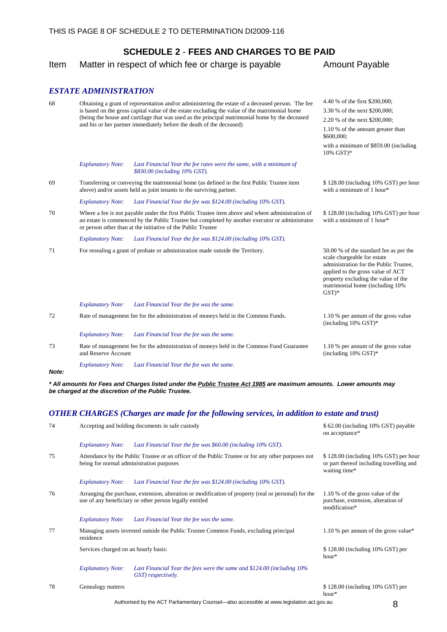Item Matter in respect of which fee or charge is payable Amount Payable

#### *ESTATE ADMINISTRATION*

| 68 |                                                                                                                                                                                                                                                                                                                                           | Obtaining a grant of representation and/or administering the estate of a deceased person. The fee<br>is based on the gross capital value of the estate excluding the value of the matrimonial home<br>(being the house and curtilage that was used as the principal matrimonial home by the deceased<br>and his or her partner immediately before the death of the deceased) | 4.40 % of the first \$200,000;<br>3.30 % of the next \$200,000;<br>2.20 % of the next \$200,000;<br>1.10 % of the amount greater than<br>\$600,000;<br>with a minimum of \$859.00 (including<br>10% GST)*                                 |
|----|-------------------------------------------------------------------------------------------------------------------------------------------------------------------------------------------------------------------------------------------------------------------------------------------------------------------------------------------|------------------------------------------------------------------------------------------------------------------------------------------------------------------------------------------------------------------------------------------------------------------------------------------------------------------------------------------------------------------------------|-------------------------------------------------------------------------------------------------------------------------------------------------------------------------------------------------------------------------------------------|
|    | <b>Explanatory Note:</b>                                                                                                                                                                                                                                                                                                                  | Last Financial Year the fee rates were the same, with a minimum of<br>\$830.00 (including 10% GST).                                                                                                                                                                                                                                                                          |                                                                                                                                                                                                                                           |
| 69 |                                                                                                                                                                                                                                                                                                                                           | Transferring or conveying the matrimonial home (as defined in the first Public Trustee item<br>above) and/or assets held as joint tenants to the surviving partner.                                                                                                                                                                                                          | \$128.00 (including 10% GST) per hour<br>with a minimum of $1$ hour*                                                                                                                                                                      |
|    | <b>Explanatory Note:</b>                                                                                                                                                                                                                                                                                                                  | Last Financial Year the fee was \$124.00 (including 10% GST).                                                                                                                                                                                                                                                                                                                |                                                                                                                                                                                                                                           |
| 70 | Where a fee is not payable under the first Public Trustee item above and where administration of<br>\$128.00 (including 10% GST) per hour<br>an estate is commenced by the Public Trustee but completed by another executor or administrator<br>with a minimum of 1 hour*<br>or person other than at the initiative of the Public Trustee |                                                                                                                                                                                                                                                                                                                                                                              |                                                                                                                                                                                                                                           |
|    | <b>Explanatory Note:</b>                                                                                                                                                                                                                                                                                                                  | Last Financial Year the fee was \$124.00 (including 10% GST).                                                                                                                                                                                                                                                                                                                |                                                                                                                                                                                                                                           |
| 71 |                                                                                                                                                                                                                                                                                                                                           | For resealing a grant of probate or administration made outside the Territory.                                                                                                                                                                                                                                                                                               | 50.00 % of the standard fee as per the<br>scale chargeable for estate<br>administration for the Public Trustee,<br>applied to the gross value of ACT<br>property excluding the value of the<br>matrimonial home (including 10%<br>$GST)*$ |
|    | <b>Explanatory Note:</b>                                                                                                                                                                                                                                                                                                                  | Last Financial Year the fee was the same.                                                                                                                                                                                                                                                                                                                                    |                                                                                                                                                                                                                                           |
| 72 |                                                                                                                                                                                                                                                                                                                                           | Rate of management fee for the administration of moneys held in the Common Funds.                                                                                                                                                                                                                                                                                            | 1.10 % per annum of the gross value<br>(including $10\%$ GST)*                                                                                                                                                                            |
|    | <b>Explanatory Note:</b>                                                                                                                                                                                                                                                                                                                  | Last Financial Year the fee was the same.                                                                                                                                                                                                                                                                                                                                    |                                                                                                                                                                                                                                           |
| 73 | Rate of management fee for the administration of moneys held in the Common Fund Guarantee<br>and Reserve Account                                                                                                                                                                                                                          |                                                                                                                                                                                                                                                                                                                                                                              | 1.10 % per annum of the gross value<br>(including $10\%$ GST)*                                                                                                                                                                            |
|    | <b>Explanatory Note:</b>                                                                                                                                                                                                                                                                                                                  | Last Financial Year the fee was the same.                                                                                                                                                                                                                                                                                                                                    |                                                                                                                                                                                                                                           |

*Note:* 

*\* All amounts for Fees and Charges listed under the Public Trustee Act 1985 are maximum amounts. Lower amounts may be charged at the discretion of the Public Trustee.*

#### *OTHER CHARGES (Charges are made for the following services, in addition to estate and trust)*

| 74 | Accepting and holding documents in safe custody |                                                                                                                                                                 | \$62.00 (including 10% GST) payable<br>on acceptance*                                              |  |
|----|-------------------------------------------------|-----------------------------------------------------------------------------------------------------------------------------------------------------------------|----------------------------------------------------------------------------------------------------|--|
|    | <b>Explanatory Note:</b>                        | Last Financial Year the fee was \$60.00 (including 10% GST).                                                                                                    |                                                                                                    |  |
| 75 | being for normal administration purposes        | Attendance by the Public Trustee or an officer of the Public Trustee or for any other purposes not                                                              | \$128.00 (including 10% GST) per hour<br>or part thereof including travelling and<br>waiting time* |  |
|    | <b>Explanatory Note:</b>                        | Last Financial Year the fee was $$124.00$ (including $10\%$ GST).                                                                                               |                                                                                                    |  |
| 76 |                                                 | Arranging the purchase, extension, alteration or modification of property (real or personal) for the<br>use of any beneficiary or other person legally entitled | 1.10 % of the gross value of the<br>purchase, extension, alteration of<br>modification*            |  |
|    | <b>Explanatory Note:</b>                        | Last Financial Year the fee was the same.                                                                                                                       |                                                                                                    |  |
| 77 | residence                                       | Managing assets invested outside the Public Trustee Common Funds, excluding principal                                                                           | 1.10 % per annum of the gross value*                                                               |  |
|    | Services charged on an hourly basis:            |                                                                                                                                                                 | $$128.00$ (including 10% GST) per<br>$hour*$                                                       |  |
|    | <b>Explanatory Note:</b>                        | Last Financial Year the fees were the same and $$124.00$ (including $10\%$<br>GST) respectively.                                                                |                                                                                                    |  |
| 78 | Genealogy matters                               |                                                                                                                                                                 | $$128.00$ (including 10% GST) per<br>hour*                                                         |  |

Authorised by the ACT Parliamentary Counsel—also accessible at www.legislation.act.gov.au 8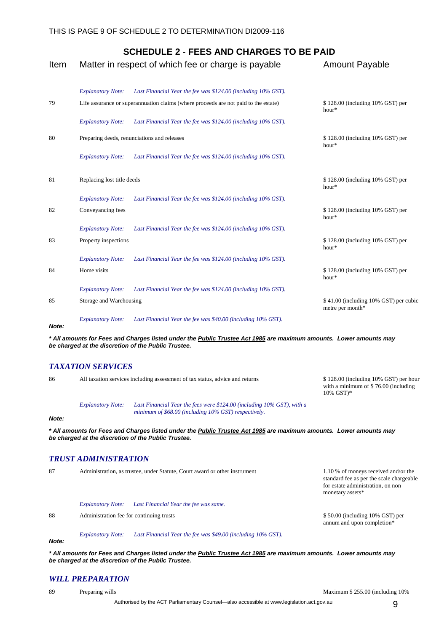| Item  |                            | Matter in respect of which fee or charge is payable                                 | <b>Amount Payable</b>                                     |
|-------|----------------------------|-------------------------------------------------------------------------------------|-----------------------------------------------------------|
|       | <b>Explanatory Note:</b>   | Last Financial Year the fee was \$124.00 (including 10% GST).                       |                                                           |
| 79    |                            | Life assurance or superannuation claims (where proceeds are not paid to the estate) | \$128.00 (including 10% GST) per<br>hour*                 |
|       | <b>Explanatory Note:</b>   | Last Financial Year the fee was \$124.00 (including 10% GST).                       |                                                           |
| 80    |                            | Preparing deeds, renunciations and releases                                         | \$128.00 (including 10% GST) per<br>hour*                 |
|       | <b>Explanatory Note:</b>   | Last Financial Year the fee was \$124.00 (including 10% GST).                       |                                                           |
| 81    | Replacing lost title deeds |                                                                                     | \$128.00 (including 10% GST) per<br>hour*                 |
|       | <b>Explanatory Note:</b>   | Last Financial Year the fee was \$124.00 (including 10% GST).                       |                                                           |
| 82    | Conveyancing fees          |                                                                                     | \$128.00 (including 10% GST) per<br>hour*                 |
|       | <b>Explanatory Note:</b>   | Last Financial Year the fee was \$124.00 (including 10% GST).                       |                                                           |
| 83    | Property inspections       |                                                                                     | \$128.00 (including 10% GST) per<br>hour*                 |
|       | <b>Explanatory Note:</b>   | Last Financial Year the fee was \$124.00 (including 10% GST).                       |                                                           |
| 84    | Home visits                |                                                                                     | \$128.00 (including 10% GST) per<br>hour*                 |
|       | <b>Explanatory Note:</b>   | Last Financial Year the fee was \$124.00 (including 10% GST).                       |                                                           |
| 85    | Storage and Warehousing    |                                                                                     | \$41.00 (including 10% GST) per cubic<br>metre per month* |
| Note: | <b>Explanatory Note:</b>   | Last Financial Year the fee was \$40.00 (including 10% GST).                        |                                                           |

*\* All amounts for Fees and Charges listed under the Public Trustee Act 1985 are maximum amounts. Lower amounts may be charged at the discretion of the Public Trustee.*

#### *TAXATION SERVICES*

| 86    | All taxation services including assessment of tax status, advice and returns |                                                                                                                                                                           | \$128.00 (including 10% GST) per hour<br>with a minimum of $$76.00$ (including<br>$10\%$ GST $)*$ |  |
|-------|------------------------------------------------------------------------------|---------------------------------------------------------------------------------------------------------------------------------------------------------------------------|---------------------------------------------------------------------------------------------------|--|
| Note: | <b>Explanatory Note:</b>                                                     | Last Financial Year the fees were $$124.00$ (including $10\%$ GST), with a<br>minimum of \$68.00 (including 10% GST) respectively.                                        |                                                                                                   |  |
|       |                                                                              | * All amounts for Fees and Charges listed under the Public Trustee Act 1985 are maximum amounts. Lower amounts may<br>be charged at the discretion of the Public Trustee. |                                                                                                   |  |

#### *TRUST ADMINISTRATION*

| 87 | Administration, as trustee, under Statute, Court award or other instrument |                                                              | 1.10 % of moneys received and/or the<br>standard fee as per the scale chargeable<br>for estate administration, on non<br>monetary assets* |
|----|----------------------------------------------------------------------------|--------------------------------------------------------------|-------------------------------------------------------------------------------------------------------------------------------------------|
|    | <b>Explanatory Note:</b>                                                   | Last Financial Year the fee was same.                        |                                                                                                                                           |
| 88 | Administration fee for continuing trusts                                   |                                                              | $$50.00$ (including 10% GST) per<br>annum and upon completion*                                                                            |
|    | <b>Explanatory Note:</b>                                                   | Last Financial Year the fee was \$49.00 (including 10% GST). |                                                                                                                                           |

*Note:* 

*\* All amounts for Fees and Charges listed under the Public Trustee Act 1985 are maximum amounts. Lower amounts may be charged at the discretion of the Public Trustee.*

#### *WILL PREPARATION*

89 Preparing wills **Preparing wills** According 10% of the Maximum \$ 255.00 (including 10% of the Maximum \$ 255.00 (including 10% of the Maximum \$ 255.00 (including 10% of the Maximum \$ 255.00 (including 10% of the Maximum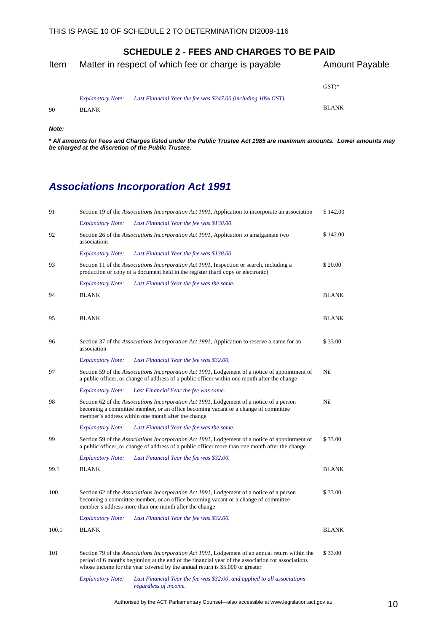<span id="page-13-0"></span>

| Item |                                          | Matter in respect of which fee or charge is payable           | <b>Amount Payable</b> |  |
|------|------------------------------------------|---------------------------------------------------------------|-----------------------|--|
|      |                                          |                                                               | $GST)*$               |  |
| 90   | <b>Explanatory Note:</b><br><b>BLANK</b> | Last Financial Year the fee was \$247.00 (including 10% GST). | <b>BLANK</b>          |  |

#### *Note:*

*\* All amounts for Fees and Charges listed under the Public Trustee Act 1985 are maximum amounts. Lower amounts may be charged at the discretion of the Public Trustee.*

# *Associations Incorporation Act 1991*

| 91    |                          | Section 19 of the Associations Incorporation Act 1991, Application to incorporate an association                                                                                                                                                                                      | \$142.00     |
|-------|--------------------------|---------------------------------------------------------------------------------------------------------------------------------------------------------------------------------------------------------------------------------------------------------------------------------------|--------------|
|       | <b>Explanatory Note:</b> | Last Financial Year the fee was \$138.00.                                                                                                                                                                                                                                             |              |
| 92    | associations             | Section 26 of the <i>Associations Incorporation Act 1991</i> , Application to amalgamate two                                                                                                                                                                                          | \$142.00     |
|       | <b>Explanatory Note:</b> | Last Financial Year the fee was \$138.00.                                                                                                                                                                                                                                             |              |
| 93    |                          | Section 11 of the <i>Associations Incorporation Act 1991</i> , Inspection or search, including a<br>production or copy of a document held in the register (hard copy or electronic)                                                                                                   | \$20.00      |
|       | <b>Explanatory Note:</b> | Last Financial Year the fee was the same.                                                                                                                                                                                                                                             |              |
| 94    | <b>BLANK</b>             |                                                                                                                                                                                                                                                                                       | <b>BLANK</b> |
|       |                          |                                                                                                                                                                                                                                                                                       |              |
| 95    | <b>BLANK</b>             |                                                                                                                                                                                                                                                                                       | <b>BLANK</b> |
|       |                          |                                                                                                                                                                                                                                                                                       |              |
| 96    | association              | Section 37 of the Associations Incorporation Act 1991, Application to reserve a name for an                                                                                                                                                                                           | \$33.00      |
|       | <b>Explanatory Note:</b> | Last Financial Year the fee was \$32.00.                                                                                                                                                                                                                                              |              |
| 97    |                          | Section 59 of the Associations Incorporation Act 1991, Lodgement of a notice of appointment of<br>a public officer, or change of address of a public officer within one month after the change                                                                                        | Nil          |
|       | <b>Explanatory Note:</b> | Last Financial Year the fee was same.                                                                                                                                                                                                                                                 |              |
| 98    |                          | Section 62 of the Associations Incorporation Act 1991, Lodgement of a notice of a person<br>becoming a committee member, or an office becoming vacant or a change of committee<br>member's address within one month after the change                                                  | Nil          |
|       | <b>Explanatory Note:</b> | Last Financial Year the fee was the same.                                                                                                                                                                                                                                             |              |
| 99    |                          | Section 59 of the Associations Incorporation Act 1991, Lodgement of a notice of appointment of<br>a public officer, or change of address of a public officer more than one month after the change                                                                                     | \$33.00      |
|       | <b>Explanatory Note:</b> | Last Financial Year the fee was \$32.00.                                                                                                                                                                                                                                              |              |
| 99.1  | <b>BLANK</b>             |                                                                                                                                                                                                                                                                                       | <b>BLANK</b> |
|       |                          |                                                                                                                                                                                                                                                                                       |              |
| 100   |                          | Section 62 of the Associations Incorporation Act 1991, Lodgement of a notice of a person<br>becoming a committee member, or an office becoming vacant or a change of committee<br>member's address more than one month after the change                                               | \$33.00      |
|       | <b>Explanatory Note:</b> | Last Financial Year the fee was \$32.00.                                                                                                                                                                                                                                              |              |
| 100.1 | <b>BLANK</b>             |                                                                                                                                                                                                                                                                                       | <b>BLANK</b> |
|       |                          |                                                                                                                                                                                                                                                                                       |              |
| 101   |                          | Section 79 of the Associations Incorporation Act 1991, Lodgement of an annual return within the<br>period of 6 months beginning at the end of the financial year of the association for associations<br>whose income for the year covered by the annual return is $$5,000$ or greater | \$33.00      |
|       | <b>Explanatory Note:</b> | Last Financial Year the fee was \$32.00, and applied to all associations<br>regardless of income.                                                                                                                                                                                     |              |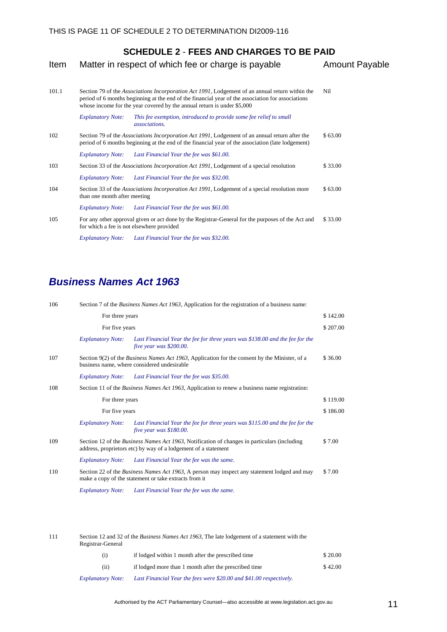<span id="page-14-0"></span>

| Item  |                              | Matter in respect of which fee or charge is payable                                                                                                                                                                                                                             | <b>Amount Payable</b> |
|-------|------------------------------|---------------------------------------------------------------------------------------------------------------------------------------------------------------------------------------------------------------------------------------------------------------------------------|-----------------------|
| 101.1 |                              | Section 79 of the Associations Incorporation Act 1991, Lodgement of an annual return within the<br>period of 6 months beginning at the end of the financial year of the association for associations<br>whose income for the year covered by the annual return is under \$5,000 | Nil                   |
|       | <b>Explanatory Note:</b>     | This fee exemption, introduced to provide some fee relief to small<br><i>associations.</i>                                                                                                                                                                                      |                       |
| 102   |                              | Section 79 of the Associations Incorporation Act 1991, Lodgement of an annual return after the<br>period of 6 months beginning at the end of the financial year of the association (late lodgement)                                                                             | \$63.00               |
|       | <b>Explanatory Note:</b>     | Last Financial Year the fee was \$61.00.                                                                                                                                                                                                                                        |                       |
| 103   |                              | Section 33 of the Associations Incorporation Act 1991, Lodgement of a special resolution                                                                                                                                                                                        | \$33.00               |
|       | <b>Explanatory Note:</b>     | Last Financial Year the fee was \$32.00.                                                                                                                                                                                                                                        |                       |
| 104   | than one month after meeting | Section 33 of the Associations Incorporation Act 1991, Lodgement of a special resolution more                                                                                                                                                                                   | \$63.00               |
|       | <b>Explanatory Note:</b>     | Last Financial Year the fee was \$61.00.                                                                                                                                                                                                                                        |                       |
| 105   |                              | For any other approval given or act done by the Registrar-General for the purposes of the Act and<br>for which a fee is not elsewhere provided                                                                                                                                  | \$33.00               |
|       | <b>Explanatory Note:</b>     | Last Financial Year the fee was \$32.00.                                                                                                                                                                                                                                        |                       |

## *Business Names Act 1963*

| 106 |                          | Section 7 of the <i>Business Names Act 1963</i> , Application for the registration of a business name:                                                                 |          |  |
|-----|--------------------------|------------------------------------------------------------------------------------------------------------------------------------------------------------------------|----------|--|
|     | For three years          |                                                                                                                                                                        | \$142.00 |  |
|     | For five years           |                                                                                                                                                                        |          |  |
|     | <b>Explanatory Note:</b> | Last Financial Year the fee for three years was \$138.00 and the fee for the<br>five year was \$200.00.                                                                |          |  |
| 107 |                          | Section 9(2) of the <i>Business Names Act 1963</i> , Application for the consent by the Minister, of a<br>business name, where considered undesirable                  | \$36.00  |  |
|     | <b>Explanatory Note:</b> | Last Financial Year the fee was \$35.00.                                                                                                                               |          |  |
| 108 |                          | Section 11 of the <i>Business Names Act 1963</i> , Application to renew a business name registration:                                                                  |          |  |
|     | For three years          |                                                                                                                                                                        | \$119.00 |  |
|     | For five years           |                                                                                                                                                                        | \$186.00 |  |
|     | <b>Explanatory Note:</b> | Last Financial Year the fee for three years was \$115.00 and the fee for the<br>five year was \$180.00.                                                                |          |  |
| 109 |                          | Section 12 of the <i>Business Names Act 1963</i> , Notification of changes in particulars (including<br>address, proprietors etc) by way of a lodgement of a statement | \$7.00   |  |
|     | <b>Explanatory Note:</b> | Last Financial Year the fee was the same.                                                                                                                              |          |  |
| 110 |                          | Section 22 of the <i>Business Names Act 1963</i> , A person may inspect any statement lodged and may<br>make a copy of the statement or take extracts from it          | \$7.00   |  |
|     | <b>Explanatory Note:</b> | Last Financial Year the fee was the same.                                                                                                                              |          |  |
|     |                          |                                                                                                                                                                        |          |  |

| 111 | Registrar-General        | Section 12 and 32 of the <i>Business Names Act 1963</i> , The late lodgement of a statement with the |         |  |
|-----|--------------------------|------------------------------------------------------------------------------------------------------|---------|--|
|     | (i)                      | if lodged within 1 month after the prescribed time                                                   | \$20.00 |  |
|     | (ii)                     | if lodged more than 1 month after the prescribed time                                                | \$42.00 |  |
|     | <b>Explanatory Note:</b> | Last Financial Year the fees were \$20.00 and \$41.00 respectively.                                  |         |  |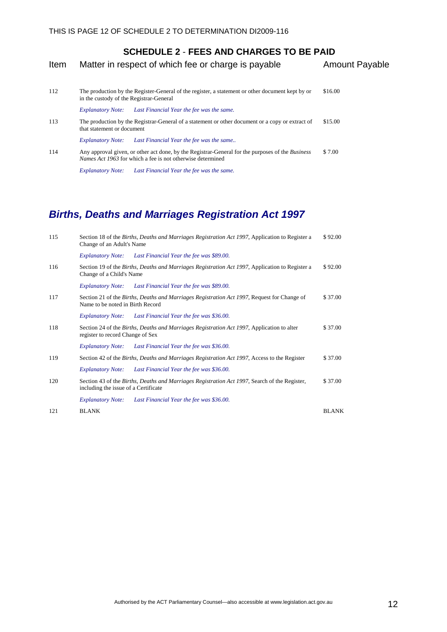<span id="page-15-0"></span>

| Matter in respect of which fee or charge is payable                                                                                                                   | <b>Amount Payable</b> |
|-----------------------------------------------------------------------------------------------------------------------------------------------------------------------|-----------------------|
| The production by the Register-General of the register, a statement or other document kept by or<br>in the custody of the Registrar-General                           | \$16.00               |
| Last Financial Year the fee was the same.<br><b>Explanatory Note:</b>                                                                                                 |                       |
| The production by the Registrar-General of a statement or other document or a copy or extract of<br>that statement or document                                        | \$15.00               |
| Last Financial Year the fee was the same<br><b>Explanatory Note:</b>                                                                                                  |                       |
| Any approval given, or other act done, by the Registrar-General for the purposes of the <i>Business</i><br>Names Act 1963 for which a fee is not otherwise determined | \$7.00                |
|                                                                                                                                                                       |                       |

*Explanatory Note: Last Financial Year the fee was the same.* 

# *Births, Deaths and Marriages Registration Act 1997*

| 115 | Section 18 of the Births, Deaths and Marriages Registration Act 1997, Application to Register a<br>Change of an Adult's Name          |              |
|-----|---------------------------------------------------------------------------------------------------------------------------------------|--------------|
|     | <b>Explanatory Note:</b><br>Last Financial Year the fee was \$89.00.                                                                  |              |
| 116 | Section 19 of the Births, Deaths and Marriages Registration Act 1997, Application to Register a<br>Change of a Child's Name           | \$92.00      |
|     | Last Financial Year the fee was \$89.00.<br><b>Explanatory Note:</b>                                                                  |              |
| 117 | Section 21 of the Births, Deaths and Marriages Registration Act 1997, Request for Change of<br>Name to be noted in Birth Record       | \$37.00      |
|     | <b>Explanatory Note:</b><br>Last Financial Year the fee was \$36.00.                                                                  |              |
| 118 | Section 24 of the Births, Deaths and Marriages Registration Act 1997, Application to alter<br>register to record Change of Sex        | \$37.00      |
|     | Last Financial Year the fee was \$36.00.<br><b>Explanatory Note:</b>                                                                  |              |
| 119 | Section 42 of the Births, Deaths and Marriages Registration Act 1997, Access to the Register                                          | \$37.00      |
|     | Last Financial Year the fee was \$36.00.<br><b>Explanatory Note:</b>                                                                  |              |
| 120 | Section 43 of the Births, Deaths and Marriages Registration Act 1997, Search of the Register,<br>including the issue of a Certificate | \$37.00      |
|     | <b>Explanatory Note:</b><br>Last Financial Year the fee was \$36.00.                                                                  |              |
| 121 | <b>BLANK</b>                                                                                                                          | <b>BLANK</b> |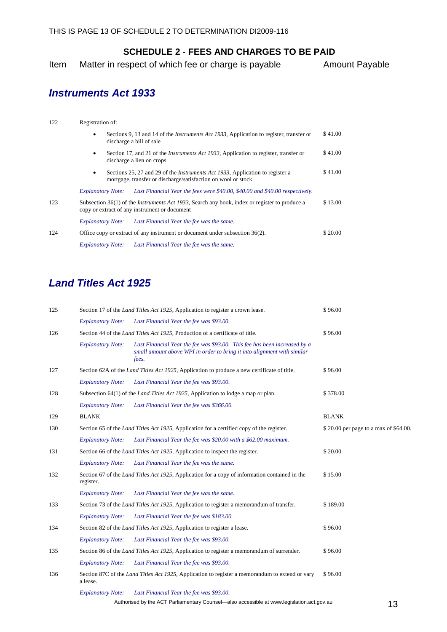<span id="page-16-0"></span>Item Matter in respect of which fee or charge is payable Amount Payable

## *Instruments Act 1933*

| 122 | Registration of:         |  |                                                                                                                                                        |         |
|-----|--------------------------|--|--------------------------------------------------------------------------------------------------------------------------------------------------------|---------|
|     |                          |  | Sections 9, 13 and 14 of the <i>Instruments Act 1933</i> , Application to register, transfer or<br>discharge a bill of sale                            | \$41.00 |
|     | ٠                        |  | Section 17, and 21 of the <i>Instruments Act 1933</i> , Application to register, transfer or<br>discharge a lien on crops                              | \$41.00 |
|     | $\bullet$                |  | Sections 25, 27 and 29 of the <i>Instruments Act 1933</i> , Application to register a<br>mortgage, transfer or discharge/satisfaction on wool or stock | \$41.00 |
|     | <b>Explanatory Note:</b> |  | Last Financial Year the fees were \$40.00, \$40.00 and \$40.00 respectively.                                                                           |         |
| 123 |                          |  | Subsection 36(1) of the <i>Instruments Act 1933</i> , Search any book, index or register to produce a<br>copy or extract of any instrument or document | \$13.00 |
|     | <b>Explanatory Note:</b> |  | Last Financial Year the fee was the same.                                                                                                              |         |
| 124 |                          |  | Office copy or extract of any instrument or document under subsection 36(2).                                                                           | \$20.00 |
|     | <b>Explanatory Note:</b> |  | Last Financial Year the fee was the same.                                                                                                              |         |

## *Land Titles Act 1925*

| 125 |                          | Section 17 of the Land Titles Act 1925, Application to register a crown lease.                                                                                | \$96.00                               |
|-----|--------------------------|---------------------------------------------------------------------------------------------------------------------------------------------------------------|---------------------------------------|
|     | <b>Explanatory Note:</b> | Last Financial Year the fee was \$93.00.                                                                                                                      |                                       |
| 126 |                          | Section 44 of the <i>Land Titles Act 1925</i> , Production of a certificate of title.                                                                         | \$96.00                               |
|     | <b>Explanatory Note:</b> | Last Financial Year the fee was \$93.00. This fee has been increased by a<br>small amount above WPI in order to bring it into alignment with similar<br>fees. |                                       |
| 127 |                          | Section 62A of the <i>Land Titles Act 1925</i> , Application to produce a new certificate of title.                                                           | \$96.00                               |
|     | <b>Explanatory Note:</b> | Last Financial Year the fee was \$93.00.                                                                                                                      |                                       |
| 128 |                          | Subsection 64(1) of the <i>Land Titles Act 1925</i> , Application to lodge a map or plan.                                                                     | \$378.00                              |
|     | <b>Explanatory Note:</b> | Last Financial Year the fee was \$366.00.                                                                                                                     |                                       |
| 129 | <b>BLANK</b>             |                                                                                                                                                               | <b>BLANK</b>                          |
| 130 |                          | Section 65 of the <i>Land Titles Act 1925</i> , Application for a certified copy of the register.                                                             | \$20.00 per page to a max of \$64.00. |
|     | <b>Explanatory Note:</b> | Last Financial Year the fee was \$20.00 with a \$62.00 maximum.                                                                                               |                                       |
| 131 |                          | Section 66 of the <i>Land Titles Act 1925</i> , Application to inspect the register.                                                                          | \$20.00                               |
|     | <b>Explanatory Note:</b> | Last Financial Year the fee was the same.                                                                                                                     |                                       |
| 132 | register.                | Section 67 of the <i>Land Titles Act 1925</i> , Application for a copy of information contained in the                                                        | \$15.00                               |
|     | <b>Explanatory Note:</b> | Last Financial Year the fee was the same.                                                                                                                     |                                       |
| 133 |                          | Section 73 of the <i>Land Titles Act 1925</i> , Application to register a memorandum of transfer.                                                             | \$189.00                              |
|     | <b>Explanatory Note:</b> | Last Financial Year the fee was \$183.00.                                                                                                                     |                                       |
| 134 |                          | Section 82 of the <i>Land Titles Act 1925</i> , Application to register a lease.                                                                              | \$96.00                               |
|     | <b>Explanatory Note:</b> | Last Financial Year the fee was \$93.00.                                                                                                                      |                                       |
| 135 |                          | Section 86 of the <i>Land Titles Act 1925</i> , Application to register a memorandum of surrender.                                                            | \$96.00                               |
|     | <b>Explanatory Note:</b> | Last Financial Year the fee was \$93.00.                                                                                                                      |                                       |
| 136 | a lease.                 | Section 87C of the <i>Land Titles Act 1925</i> , Application to register a memorandum to extend or vary                                                       | \$96.00                               |
|     | <b>Explanatory Note:</b> | Last Financial Year the fee was \$93.00.                                                                                                                      |                                       |
|     |                          | Authorised by the ACT Parliamentary Counsel—also accessible at www.legislation.act.gov.au                                                                     | 13                                    |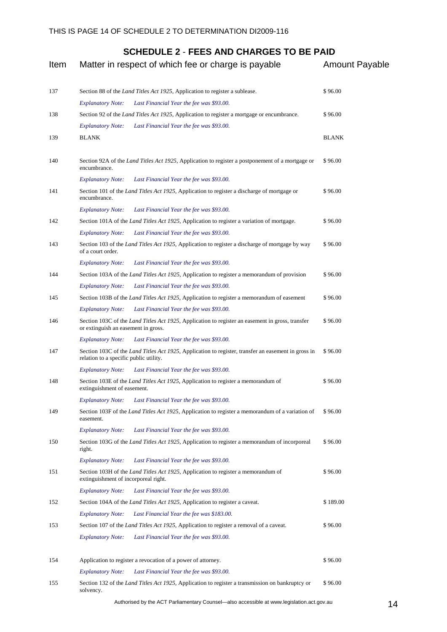| Item | Matter in respect of which fee or charge is payable                                                                                                   | <b>Amount Payable</b> |    |
|------|-------------------------------------------------------------------------------------------------------------------------------------------------------|-----------------------|----|
| 137  | Section 88 of the Land Titles Act 1925, Application to register a sublease.                                                                           | \$96.00               |    |
|      | <b>Explanatory Note:</b><br>Last Financial Year the fee was \$93.00.                                                                                  |                       |    |
| 138  | Section 92 of the <i>Land Titles Act 1925</i> , Application to register a mortgage or encumbrance.                                                    | \$96.00               |    |
|      | Last Financial Year the fee was \$93.00.<br><b>Explanatory Note:</b>                                                                                  |                       |    |
| 139  | <b>BLANK</b>                                                                                                                                          | <b>BLANK</b>          |    |
| 140  | Section 92A of the <i>Land Titles Act 1925</i> , Application to register a postponement of a mortgage or<br>encumbrance.                              | \$96.00               |    |
|      | <b>Explanatory Note:</b><br>Last Financial Year the fee was \$93.00.                                                                                  |                       |    |
| 141  | Section 101 of the <i>Land Titles Act 1925</i> , Application to register a discharge of mortgage or<br>encumbrance.                                   | \$96.00               |    |
|      | <b>Explanatory Note:</b><br>Last Financial Year the fee was \$93.00.                                                                                  |                       |    |
| 142  | Section 101A of the <i>Land Titles Act 1925</i> , Application to register a variation of mortgage.                                                    | \$96.00               |    |
|      | <b>Explanatory Note:</b><br>Last Financial Year the fee was \$93.00.                                                                                  |                       |    |
| 143  | Section 103 of the <i>Land Titles Act 1925</i> , Application to register a discharge of mortgage by way<br>of a court order.                          | \$96.00               |    |
|      | <b>Explanatory Note:</b><br>Last Financial Year the fee was \$93.00.                                                                                  |                       |    |
| 144  | Section 103A of the <i>Land Titles Act 1925</i> , Application to register a memorandum of provision                                                   | \$96.00               |    |
|      | <b>Explanatory Note:</b><br>Last Financial Year the fee was \$93.00.                                                                                  |                       |    |
| 145  | Section 103B of the <i>Land Titles Act 1925</i> , Application to register a memorandum of easement                                                    | \$96.00               |    |
|      | <b>Explanatory Note:</b><br>Last Financial Year the fee was \$93.00.                                                                                  |                       |    |
| 146  | Section 103C of the <i>Land Titles Act 1925</i> , Application to register an easement in gross, transfer<br>or extinguish an easement in gross.       | \$96.00               |    |
|      | <b>Explanatory Note:</b><br>Last Financial Year the fee was \$93.00.                                                                                  |                       |    |
| 147  | Section 103C of the <i>Land Titles Act 1925</i> , Application to register, transfer an easement in gross in<br>relation to a specific public utility. | \$96.00               |    |
|      | <b>Explanatory Note:</b><br>Last Financial Year the fee was \$93.00.                                                                                  |                       |    |
| 148  | Section 103E of the <i>Land Titles Act 1925</i> , Application to register a memorandum of<br>extinguishment of easement.                              | \$96.00               |    |
|      | Last Financial Year the fee was \$93.00.<br><b>Explanatory Note:</b>                                                                                  |                       |    |
| 149  | Section 103F of the <i>Land Titles Act 1925</i> , Application to register a memorandum of a variation of<br>easement.                                 | \$96.00               |    |
|      | <b>Explanatory Note:</b><br>Last Financial Year the fee was \$93.00.                                                                                  |                       |    |
| 150  | Section 103G of the <i>Land Titles Act 1925</i> , Application to register a memorandum of incorporeal<br>right.                                       | \$96.00               |    |
|      | <b>Explanatory Note:</b><br>Last Financial Year the fee was \$93.00.                                                                                  |                       |    |
| 151  | Section 103H of the <i>Land Titles Act 1925</i> , Application to register a memorandum of<br>extinguishment of incorporeal right.                     | \$96.00               |    |
|      | Last Financial Year the fee was \$93.00.<br><b>Explanatory Note:</b>                                                                                  |                       |    |
| 152  | Section 104A of the <i>Land Titles Act 1925</i> , Application to register a caveat.                                                                   | \$189.00              |    |
|      | <b>Explanatory Note:</b><br>Last Financial Year the fee was \$183.00.                                                                                 |                       |    |
| 153  | Section 107 of the <i>Land Titles Act 1925</i> , Application to register a removal of a caveat.                                                       | \$96.00               |    |
|      | <b>Explanatory Note:</b><br>Last Financial Year the fee was \$93.00.                                                                                  |                       |    |
| 154  | Application to register a revocation of a power of attorney.                                                                                          | \$96.00               |    |
|      | <b>Explanatory Note:</b><br>Last Financial Year the fee was \$93.00.                                                                                  |                       |    |
| 155  | Section 132 of the <i>Land Titles Act 1925</i> , Application to register a transmission on bankruptcy or<br>solvency.                                 | \$96.00               |    |
|      | Authorised by the ACT Parliamentary Counsel—also accessible at www.legislation.act.gov.au                                                             |                       | 14 |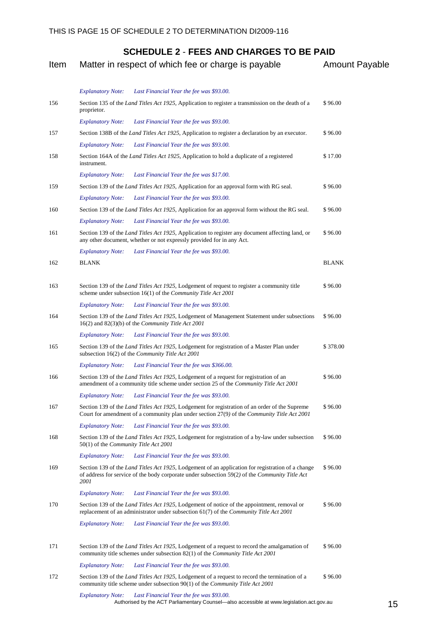| Item | Matter in respect of which fee or charge is payable                                                                                                                                                                 | <b>Amount Payable</b> |
|------|---------------------------------------------------------------------------------------------------------------------------------------------------------------------------------------------------------------------|-----------------------|
|      | <b>Explanatory Note:</b><br>Last Financial Year the fee was \$93.00.                                                                                                                                                |                       |
| 156  | Section 135 of the <i>Land Titles Act 1925</i> , Application to register a transmission on the death of a<br>proprietor.                                                                                            | \$96.00               |
|      | <b>Explanatory Note:</b><br>Last Financial Year the fee was \$93.00.                                                                                                                                                |                       |
| 157  | Section 138B of the <i>Land Titles Act 1925</i> , Application to register a declaration by an executor.                                                                                                             | \$96.00               |
|      | <b>Explanatory Note:</b><br>Last Financial Year the fee was \$93.00.                                                                                                                                                |                       |
| 158  | Section 164A of the <i>Land Titles Act 1925</i> , Application to hold a duplicate of a registered<br>instrument.                                                                                                    | \$17.00               |
|      | <b>Explanatory Note:</b><br>Last Financial Year the fee was \$17.00.                                                                                                                                                |                       |
| 159  | Section 139 of the Land Titles Act 1925, Application for an approval form with RG seal.                                                                                                                             | \$96.00               |
|      | <b>Explanatory Note:</b><br>Last Financial Year the fee was \$93.00.                                                                                                                                                |                       |
| 160  | Section 139 of the Land Titles Act 1925, Application for an approval form without the RG seal.                                                                                                                      | \$96.00               |
|      | <b>Explanatory Note:</b><br>Last Financial Year the fee was \$93.00.                                                                                                                                                |                       |
| 161  | Section 139 of the <i>Land Titles Act 1925</i> , Application to register any document affecting land, or<br>any other document, whether or not expressly provided for in any Act.                                   | \$96.00               |
|      | <b>Explanatory Note:</b><br>Last Financial Year the fee was \$93.00.                                                                                                                                                |                       |
| 162  | <b>BLANK</b>                                                                                                                                                                                                        | <b>BLANK</b>          |
| 163  | Section 139 of the <i>Land Titles Act 1925</i> , Lodgement of request to register a community title<br>scheme under subsection 16(1) of the Community Title Act 2001                                                | \$96.00               |
|      | <b>Explanatory Note:</b><br>Last Financial Year the fee was \$93.00.                                                                                                                                                |                       |
| 164  | Section 139 of the <i>Land Titles Act 1925</i> , Lodgement of Management Statement under subsections<br>$16(2)$ and $82(3)(b)$ of the <i>Community Title Act</i> 2001                                               | \$96.00               |
|      | <b>Explanatory Note:</b><br>Last Financial Year the fee was \$93.00.                                                                                                                                                |                       |
| 165  | Section 139 of the Land Titles Act 1925, Lodgement for registration of a Master Plan under<br>subsection 16(2) of the Community Title Act 2001                                                                      | \$378.00              |
|      | <b>Explanatory Note:</b><br>Last Financial Year the fee was \$366.00.                                                                                                                                               |                       |
| 166  | Section 139 of the <i>Land Titles Act 1925</i> , Lodgement of a request for registration of an<br>amendment of a community title scheme under section 25 of the Community Title Act 2001                            | \$96.00               |
|      | <b>Explanatory Note:</b><br>Last Financial Year the fee was \$93.00.                                                                                                                                                |                       |
| 167  | Section 139 of the Land Titles Act 1925, Lodgement for registration of an order of the Supreme<br>Court for amendment of a community plan under section 27(9) of the Community Title Act 2001                       | \$96.00               |
|      | <b>Explanatory Note:</b><br>Last Financial Year the fee was \$93.00.                                                                                                                                                |                       |
| 168  | Section 139 of the Land Titles Act 1925, Lodgement for registration of a by-law under subsection<br>50(1) of the Community Title Act 2001                                                                           | \$96.00               |
|      | Last Financial Year the fee was \$93.00.<br><b>Explanatory Note:</b>                                                                                                                                                |                       |
| 169  | Section 139 of the <i>Land Titles Act 1925</i> , Lodgement of an application for registration of a change<br>of address for service of the body corporate under subsection 59(2) of the Community Title Act<br>2001 | \$96.00               |
|      | <b>Explanatory Note:</b><br>Last Financial Year the fee was \$93.00.                                                                                                                                                |                       |
| 170  | Section 139 of the <i>Land Titles Act 1925</i> , Lodgement of notice of the appointment, removal or<br>replacement of an administrator under subsection 61(7) of the Community Title Act 2001                       | \$96.00               |
|      | <b>Explanatory Note:</b><br>Last Financial Year the fee was \$93.00.                                                                                                                                                |                       |
| 171  | Section 139 of the <i>Land Titles Act 1925</i> , Lodgement of a request to record the amalgamation of<br>community title schemes under subsection 82(1) of the Community Title Act 2001                             | \$96.00               |
|      | <b>Explanatory Note:</b><br>Last Financial Year the fee was \$93.00.                                                                                                                                                |                       |
| 172  | Section 139 of the Land Titles Act 1925, Lodgement of a request to record the termination of a<br>community title scheme under subsection $90(1)$ of the <i>Community Title Act</i> 2001                            | \$96.00               |
|      | <b>Explanatory Note:</b><br>Last Financial Year the fee was \$93.00.                                                                                                                                                |                       |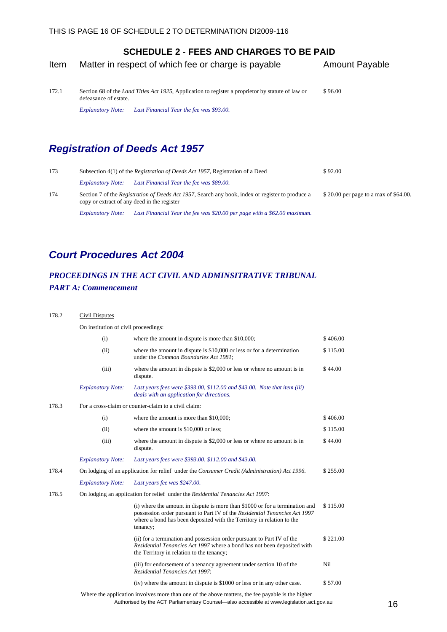<span id="page-19-0"></span>

| Item | Matter in respect of which fee or charge is payable | <b>Amount Payable</b> |
|------|-----------------------------------------------------|-----------------------|
|------|-----------------------------------------------------|-----------------------|

172.1 Section 68 of the *Land Titles Act 1925*, Application to register a proprietor by statute of law or defeasance of estate. \$ 96.00

*Explanatory Note: Last Financial Year the fee was \$93.00.*

## *Registration of Deeds Act 1957*

| 173 |                                                                                                                                                         | Subsection 4(1) of the <i>Registration of Deeds Act 1957</i> , Registration of a Deed |                                       |
|-----|---------------------------------------------------------------------------------------------------------------------------------------------------------|---------------------------------------------------------------------------------------|---------------------------------------|
|     | <i>Explanatory Note:</i>                                                                                                                                | Last Financial Year the fee was \$89.00.                                              |                                       |
| 174 | Section 7 of the <i>Registration of Deeds Act 1957</i> , Search any book, index or register to produce a<br>copy or extract of any deed in the register |                                                                                       | \$20.00 per page to a max of \$64.00. |
|     | <b>Explanatory Note:</b>                                                                                                                                | Last Financial Year the fee was \$20.00 per page with a \$62.00 maximum.              |                                       |

## *Court Procedures Act 2004*

### *PROCEEDINGS IN THE ACT CIVIL AND ADMINSITRATIVE TRIBUNAL PART A: Commencement*

#### 178.2 Civil Disputes On institution of civil proceedings: (i) where the amount in dispute is more than  $$10,000$ ;  $$406.00$  (ii) where the amount in dispute is \$10,000 or less or for a determination under the *Common Boundaries Act 1981*; \$ 115.00 (iii) where the amount in dispute is \$2,000 or less or where no amount is in dispute. \$ 44.00 *Explanatory Note: Last years fees were \$393.00, \$112.00 and \$43.00. Note that item (iii) deals with an application for directions.*  178.3 For a cross-claim or counter-claim to a civil claim: (i) where the amount is more than  $$10,000$ :  $$406,00$ (ii) where the amount is  $$10,000$  or less;  $$115.00$  (iii) where the amount in dispute is \$2,000 or less or where no amount is in dispute. \$ 44.00 *Explanatory Note: Last years fees were \$393.00, \$112.00 and \$43.00.*  178.4 On lodging of an application for relief under the *Consumer Credit (Administration) Act 1996.* \$ 255.00 *Explanatory Note: Last years fee was \$247.00.*  178.5 On lodging an application for relief under the *Residential Tenancies Act 1997*: (i) where the amount in dispute is more than \$1000 or for a termination and possession order pursuant to Part IV of the *Residential Tenancies Act 1997* where a bond has been deposited with the Territory in relation to the tenancy; \$ 115.00 (ii) for a termination and possession order pursuant to Part IV of the *Residential Tenancies Act 1997* where a bond has not been deposited with the Territory in relation to the tenancy; \$ 221.00 (iii) for endorsement of a tenancy agreement under section 10 of the *Residential Tenancies Act 1997*; Nil (iv) where the amount in dispute is \$1000 or less or in any other case. \$ 57.00

Authorised by the ACT Parliamentary Counsel—also accessible at www.legislation.act.gov.au 16 Where the application involves more than one of the above matters, the fee payable is the higher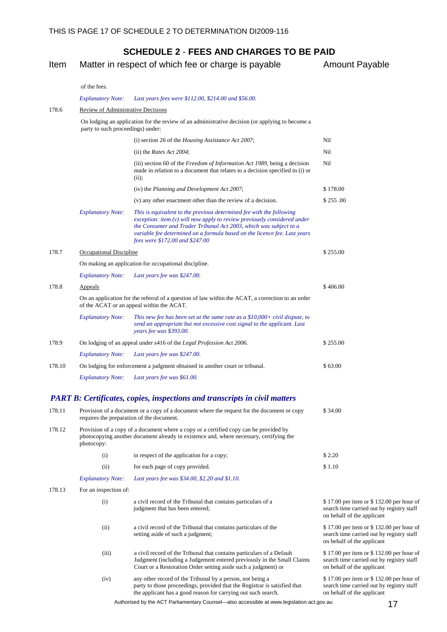Item Matter in respect of which fee or charge is payable Amount Payable

#### of the fees.

#### *Explanatory Note: Last years fees were \$112.00, \$214.00 and \$56.00.*

| 178.6  | Review of Administrative Decisions                                                                                                             |                                                                                                                                                                                                                                                                                                                                        |          |  |  |
|--------|------------------------------------------------------------------------------------------------------------------------------------------------|----------------------------------------------------------------------------------------------------------------------------------------------------------------------------------------------------------------------------------------------------------------------------------------------------------------------------------------|----------|--|--|
|        | party to such proceedings) under:                                                                                                              | On lodging an application for the review of an administrative decision (or applying to become a                                                                                                                                                                                                                                        |          |  |  |
|        |                                                                                                                                                | (i) section 26 of the <i>Housing Assistance Act 2007</i> ;                                                                                                                                                                                                                                                                             | Nil      |  |  |
|        |                                                                                                                                                | (ii) the Rates Act 2004;                                                                                                                                                                                                                                                                                                               | Nil      |  |  |
|        |                                                                                                                                                | (iii) section 60 of the Freedom of Information Act 1989, being a decision<br>made in relation to a document that relates to a decision specified in (i) or<br>(ii):                                                                                                                                                                    | Nil      |  |  |
|        |                                                                                                                                                | (iv) the Planning and Development Act 2007;                                                                                                                                                                                                                                                                                            | \$178.00 |  |  |
|        |                                                                                                                                                | (v) any other enactment other than the review of a decision.                                                                                                                                                                                                                                                                           | \$255.00 |  |  |
|        | <b>Explanatory Note:</b>                                                                                                                       | This is equivalent to the previous determined fee with the following<br>$exception: item(v) will now apply to review previously considered under$<br>the Consumer and Trader Tribunal Act 2003, which was subject to a<br>variable fee determined on a formula based on the licence fee. Last years<br>fees were \$172.00 and \$247.00 |          |  |  |
| 178.7  | <b>Occupational Discipline</b>                                                                                                                 |                                                                                                                                                                                                                                                                                                                                        | \$255.00 |  |  |
|        | On making an application for occupational discipline.                                                                                          |                                                                                                                                                                                                                                                                                                                                        |          |  |  |
|        | <b>Explanatory Note:</b>                                                                                                                       | Last years fee was \$247.00.                                                                                                                                                                                                                                                                                                           |          |  |  |
| 178.8  | Appeals                                                                                                                                        |                                                                                                                                                                                                                                                                                                                                        | \$406.00 |  |  |
|        | On an application for the referral of a question of law within the ACAT, a correction to an order<br>of the ACAT or an appeal within the ACAT. |                                                                                                                                                                                                                                                                                                                                        |          |  |  |
|        | <b>Explanatory Note:</b>                                                                                                                       | This new fee has been set at the same rate as a $$10,000+$ civil dispute, to<br>send an appropriate but not excessive cost signal to the applicant. Last<br>years fee was \$393.00.                                                                                                                                                    |          |  |  |
| 178.9  |                                                                                                                                                | On lodging of an appeal under s416 of the Legal Profession Act 2006.                                                                                                                                                                                                                                                                   | \$255.00 |  |  |
|        | <b>Explanatory Note:</b>                                                                                                                       | Last years fee was \$247.00.                                                                                                                                                                                                                                                                                                           |          |  |  |
| 178.10 |                                                                                                                                                | On lodging for enforcement a judgment obtained in another court or tribunal.                                                                                                                                                                                                                                                           | \$63.00  |  |  |
|        | <b>Explanatory Note:</b>                                                                                                                       | Last years fee was \$61.00.                                                                                                                                                                                                                                                                                                            |          |  |  |
|        |                                                                                                                                                |                                                                                                                                                                                                                                                                                                                                        |          |  |  |

#### *PART B: Certificates, copies, inspections and transcripts in civil matters*

| 178.11 |                          | \$34.00<br>Provision of a document or a copy of a document where the request for the document or copy<br>requires the preparation of the document.                                                                |                                                                                                                     |  |
|--------|--------------------------|-------------------------------------------------------------------------------------------------------------------------------------------------------------------------------------------------------------------|---------------------------------------------------------------------------------------------------------------------|--|
| 178.12 | photocopy:               | Provision of a copy of a document where a copy or a certified copy can be provided by<br>photocopying another document already in existence and, where necessary, certifying the                                  |                                                                                                                     |  |
|        | (i)                      | in respect of the application for a copy;                                                                                                                                                                         | \$2.20                                                                                                              |  |
|        | (ii)                     | for each page of copy provided.                                                                                                                                                                                   | \$1.10                                                                                                              |  |
|        | <b>Explanatory Note:</b> | Last years fee was \$34.00, \$2.20 and \$1.10.                                                                                                                                                                    |                                                                                                                     |  |
| 178.13 | For an inspection of:    |                                                                                                                                                                                                                   |                                                                                                                     |  |
|        | (i)                      | a civil record of the Tribunal that contains particulars of a<br>judgment that has been entered;                                                                                                                  | \$17.00 per item or \$132.00 per hour of<br>search time carried out by registry staff<br>on behalf of the applicant |  |
|        | (ii)                     | a civil record of the Tribunal that contains particulars of the<br>setting aside of such a judgment;                                                                                                              | \$17.00 per item or \$132.00 per hour of<br>search time carried out by registry staff<br>on behalf of the applicant |  |
|        | (iii)                    | a civil record of the Tribunal that contains particulars of a Default<br>Judgment (including a Judgement entered previously in the Small Claims<br>Court or a Restoration Order setting aside such a judgment) or | \$17.00 per item or \$132.00 per hour of<br>search time carried out by registry staff<br>on behalf of the applicant |  |
|        | (iv)                     | any other record of the Tribunal by a person, not being a<br>party to those proceedings, provided that the Registrar is satisfied that<br>the applicant has a good reason for carrying out such search.           | \$17.00 per item or \$132.00 per hour of<br>search time carried out by registry staff<br>on behalf of the applicant |  |
|        |                          | Authorised by the ACT Parliamentary Counsel-also accessible at www.legislation.act.gov.au                                                                                                                         | 17                                                                                                                  |  |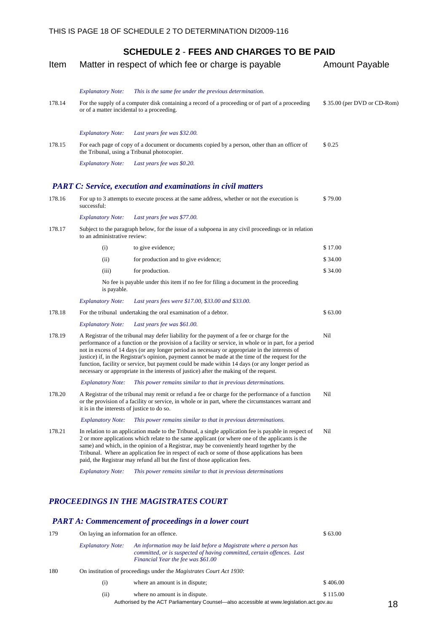| Item   |                                             | Matter in respect of which fee or charge is payable                                                                                                                                                                                                                                                                                                                                                                                                                                                                                                                                                        | <b>Amount Payable</b>       |
|--------|---------------------------------------------|------------------------------------------------------------------------------------------------------------------------------------------------------------------------------------------------------------------------------------------------------------------------------------------------------------------------------------------------------------------------------------------------------------------------------------------------------------------------------------------------------------------------------------------------------------------------------------------------------------|-----------------------------|
|        | <b>Explanatory Note:</b>                    | This is the same fee under the previous determination.                                                                                                                                                                                                                                                                                                                                                                                                                                                                                                                                                     |                             |
| 178.14 | or of a matter incidental to a proceeding.  | For the supply of a computer disk containing a record of a proceeding or of part of a proceeding                                                                                                                                                                                                                                                                                                                                                                                                                                                                                                           | \$35.00 (per DVD or CD-Rom) |
|        | <b>Explanatory Note:</b>                    | Last years fee was \$32.00.                                                                                                                                                                                                                                                                                                                                                                                                                                                                                                                                                                                |                             |
| 178.15 |                                             | For each page of copy of a document or documents copied by a person, other than an officer of<br>the Tribunal, using a Tribunal photocopier.                                                                                                                                                                                                                                                                                                                                                                                                                                                               | \$0.25                      |
|        | <b>Explanatory Note:</b>                    | Last years fee was \$0.20.                                                                                                                                                                                                                                                                                                                                                                                                                                                                                                                                                                                 |                             |
|        |                                             | <b>PART C: Service, execution and examinations in civil matters</b>                                                                                                                                                                                                                                                                                                                                                                                                                                                                                                                                        |                             |
| 178.16 | successful:                                 | For up to 3 attempts to execute process at the same address, whether or not the execution is                                                                                                                                                                                                                                                                                                                                                                                                                                                                                                               | \$79.00                     |
|        | <b>Explanatory Note:</b>                    | Last years fee was \$77.00.                                                                                                                                                                                                                                                                                                                                                                                                                                                                                                                                                                                |                             |
| 178.17 | to an administrative review:                | Subject to the paragraph below, for the issue of a subpoena in any civil proceedings or in relation                                                                                                                                                                                                                                                                                                                                                                                                                                                                                                        |                             |
|        | (i)                                         | to give evidence;                                                                                                                                                                                                                                                                                                                                                                                                                                                                                                                                                                                          | \$17.00                     |
|        | (ii)                                        | for production and to give evidence;                                                                                                                                                                                                                                                                                                                                                                                                                                                                                                                                                                       | \$34.00                     |
|        | (iii)                                       | for production.                                                                                                                                                                                                                                                                                                                                                                                                                                                                                                                                                                                            | \$34.00                     |
|        | is payable.                                 | No fee is payable under this item if no fee for filing a document in the proceeding                                                                                                                                                                                                                                                                                                                                                                                                                                                                                                                        |                             |
|        | <b>Explanatory Note:</b>                    | Last years fees were \$17.00, \$33.00 and \$33.00.                                                                                                                                                                                                                                                                                                                                                                                                                                                                                                                                                         |                             |
| 178.18 |                                             | For the tribunal undertaking the oral examination of a debtor.                                                                                                                                                                                                                                                                                                                                                                                                                                                                                                                                             | \$63.00                     |
|        | <b>Explanatory Note:</b>                    | Last years fee was \$61.00.                                                                                                                                                                                                                                                                                                                                                                                                                                                                                                                                                                                |                             |
| 178.19 |                                             | A Registrar of the tribunal may defer liability for the payment of a fee or charge for the<br>performance of a function or the provision of a facility or service, in whole or in part, for a period<br>not in excess of 14 days (or any longer period as necessary or appropriate in the interests of<br>justice) if, in the Registrar's opinion, payment cannot be made at the time of the request for the<br>function, facility or service, but payment could be made within 14 days (or any longer period as<br>necessary or appropriate in the interests of justice) after the making of the request. | Nil                         |
|        | <b>Explanatory Note:</b>                    | This power remains similar to that in previous determinations.                                                                                                                                                                                                                                                                                                                                                                                                                                                                                                                                             |                             |
| 178.20 | it is in the interests of justice to do so. | A Registrar of the tribunal may remit or refund a fee or charge for the performance of a function<br>or the provision of a facility or service, in whole or in part, where the circumstances warrant and                                                                                                                                                                                                                                                                                                                                                                                                   | Nil                         |
|        | <b>Explanatory Note:</b>                    | This power remains similar to that in previous determinations.                                                                                                                                                                                                                                                                                                                                                                                                                                                                                                                                             |                             |
| 178.21 |                                             | In relation to an application made to the Tribunal, a single application fee is payable in respect of<br>2 or more applications which relate to the same applicant (or where one of the applicants is the<br>same) and which, in the opinion of a Registrar, may be conveniently heard together by the<br>Tribunal. Where an application fee in respect of each or some of those applications has been<br>paid, the Registrar may refund all but the first of those application fees.                                                                                                                      | Nil                         |
|        | <b>Explanatory Note:</b>                    | This power remains similar to that in previous determinations                                                                                                                                                                                                                                                                                                                                                                                                                                                                                                                                              |                             |
| 179    | On laying an information for an offence.    | PROCEEDINGS IN THE MAGISTRATES COURT<br><b>PART A: Commencement of proceedings in a lower court</b>                                                                                                                                                                                                                                                                                                                                                                                                                                                                                                        | \$63.00                     |
|        | <b>Explanatory Note:</b>                    | An information may be laid before a Magistrate where a person has<br>committed, or is suspected of having committed, certain offences. Last<br>Financial Year the fee was \$61.00                                                                                                                                                                                                                                                                                                                                                                                                                          |                             |
| 180    |                                             | On institution of proceedings under the <i>Magistrates Court Act 1930</i> :                                                                                                                                                                                                                                                                                                                                                                                                                                                                                                                                |                             |
|        | (i)                                         | where an amount is in dispute;                                                                                                                                                                                                                                                                                                                                                                                                                                                                                                                                                                             | \$406.00                    |
|        | (ii)                                        | where no amount is in dispute.                                                                                                                                                                                                                                                                                                                                                                                                                                                                                                                                                                             | \$115.00                    |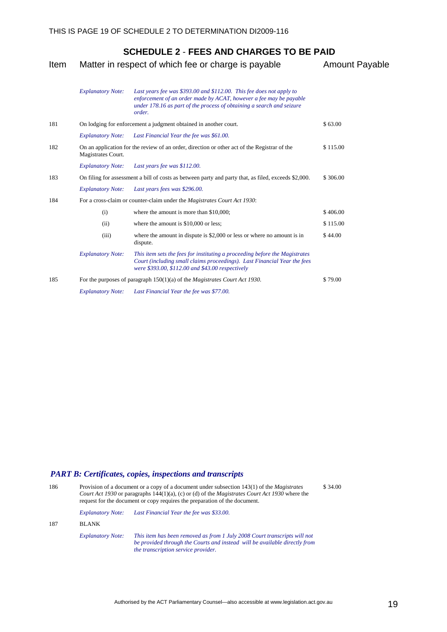| Item |                                                                                      | Matter in respect of which fee or charge is payable                                                                                                                                                                           | <b>Amount Payable</b> |
|------|--------------------------------------------------------------------------------------|-------------------------------------------------------------------------------------------------------------------------------------------------------------------------------------------------------------------------------|-----------------------|
|      | <b>Explanatory Note:</b>                                                             | Last years fee was \$393.00 and \$112.00. This fee does not apply to<br>enforcement of an order made by ACAT, however a fee may be payable<br>under 178.16 as part of the process of obtaining a search and seizure<br>order. |                       |
| 181  |                                                                                      | On lodging for enforcement a judgment obtained in another court.                                                                                                                                                              | \$63.00               |
|      | <b>Explanatory Note:</b>                                                             | Last Financial Year the fee was \$61.00.                                                                                                                                                                                      |                       |
| 182  | Magistrates Court.                                                                   | On an application for the review of an order, direction or other act of the Registrar of the                                                                                                                                  | \$115.00              |
|      | <b>Explanatory Note:</b>                                                             | Last years fee was \$112.00.                                                                                                                                                                                                  |                       |
| 183  |                                                                                      | On filing for assessment a bill of costs as between party and party that, as filed, exceeds \$2,000.                                                                                                                          | \$306.00              |
|      | <b>Explanatory Note:</b>                                                             | Last years fees was \$296.00.                                                                                                                                                                                                 |                       |
| 184  |                                                                                      | For a cross-claim or counter-claim under the <i>Magistrates Court Act 1930</i> :                                                                                                                                              |                       |
|      | (i)                                                                                  | where the amount is more than \$10,000;                                                                                                                                                                                       | \$406.00              |
|      | (ii)                                                                                 | where the amount is \$10,000 or less;                                                                                                                                                                                         | \$115.00              |
|      | (iii)                                                                                | where the amount in dispute is $$2,000$ or less or where no amount is in<br>dispute.                                                                                                                                          | \$44.00               |
|      | <b>Explanatory Note:</b>                                                             | This item sets the fees for instituting a proceeding before the Magistrates<br>Court (including small claims proceedings). Last Financial Year the fees<br>were \$393.00, \$112.00 and \$43.00 respectively                   |                       |
| 185  | For the purposes of paragraph $150(1)(a)$ of the <i>Magistrates Court Act 1930</i> . |                                                                                                                                                                                                                               | \$79.00               |
|      | <b>Explanatory Note:</b>                                                             | Last Financial Year the fee was \$77.00.                                                                                                                                                                                      |                       |

### *PART B: Certificates, copies, inspections and transcripts*

| 186 |                          | Provision of a document or a copy of a document under subsection 143(1) of the <i>Magistrates</i><br>Court Act 1930 or paragraphs 144(1)(a), (c) or (d) of the Magistrates Court Act 1930 where the<br>request for the document or copy requires the preparation of the document. | \$34.00 |  |  |
|-----|--------------------------|-----------------------------------------------------------------------------------------------------------------------------------------------------------------------------------------------------------------------------------------------------------------------------------|---------|--|--|
|     | <b>Explanatory Note:</b> | Last Financial Year the fee was \$33.00.                                                                                                                                                                                                                                          |         |  |  |
| 187 | <b>BLANK</b>             |                                                                                                                                                                                                                                                                                   |         |  |  |
|     | <b>Explanatory Note:</b> | This item has been removed as from 1 July 2008 Court transcripts will not<br>be provided through the Courts and instead will be available directly from<br>the transcription service provider.                                                                                    |         |  |  |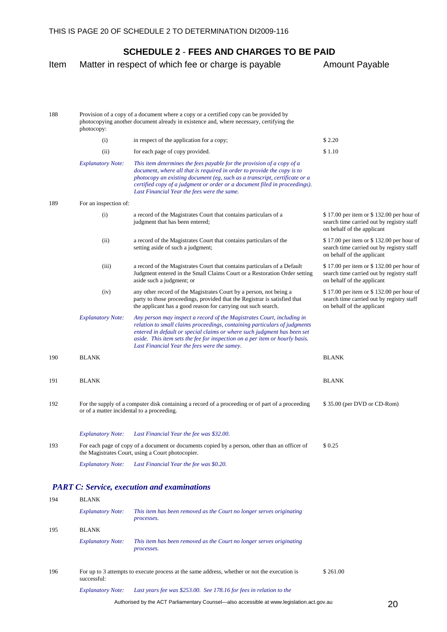Item Matter in respect of which fee or charge is payable Amount Payable

#### 188 Provision of a copy of a document where a copy or a certified copy can be provided by photocopying another document already in existence and, where necessary, certifying the photocopy: (i) in respect of the application for a copy;  $$2.20$ (ii) for each page of copy provided.  $$1.10$ *Explanatory Note: This item determines the fees payable for the provision of a copy of a document, where all that is required in order to provide the copy is to photocopy an existing document (eg, such as a transcript, certificate or a certified copy of a judgment or order or a document filed in proceedings). Last Financial Year the fees were the same.*  189 For an inspection of: (i) a record of the Magistrates Court that contains particulars of a judgment that has been entered; \$ 17.00 per item or \$ 132.00 per hour of search time carried out by registry staff on behalf of the applicant (ii) a record of the Magistrates Court that contains particulars of the setting aside of such a judgment; \$ 17.00 per item or \$ 132.00 per hour of search time carried out by registry staff on behalf of the applicant (iii) a record of the Magistrates Court that contains particulars of a Default Judgment entered in the Small Claims Court or a Restoration Order setting aside such a judgment; or \$ 17.00 per item or \$ 132.00 per hour of search time carried out by registry staff on behalf of the applicant (iv) any other record of the Magistrates Court by a person, not being a party to those proceedings, provided that the Registrar is satisfied that the applicant has a good reason for carrying out such search. \$ 17.00 per item or \$ 132.00 per hour of search time carried out by registry staff on behalf of the applicant *Explanatory Note: Any person may inspect a record of the Magistrates Court, including in relation to small claims proceedings, containing particulars of judgments entered in default or special claims or where such judgment has been set aside. This item sets the fee for inspection on a per item or hourly basis. Last Financial Year the fees were the samey.*  190 BLANK BLANK BLANK BLANK BLANK 191 BLANK BLANK BLANK BLANK BLANK 192 For the supply of a computer disk containing a record of a proceeding or of part of a proceeding or of a matter incidental to a proceeding. \$ 35.00 (per DVD or CD-Rom) *Explanatory Note: Last Financial Year the fee was \$32.00.* 193 For each page of copy of a document or documents copied by a person, other than an officer of the Magistrates Court, using a Court photocopier.  $$0.25$ *Explanatory Note: Last Financial Year the fee was \$0.20.*

#### *PART C: Service, execution and examinations*

| 194 | <b>BLANK</b>             |                                                                                              |          |  |
|-----|--------------------------|----------------------------------------------------------------------------------------------|----------|--|
|     | <b>Explanatory Note:</b> | This item has been removed as the Court no longer serves originating<br>processes.           |          |  |
| 195 | <b>BLANK</b>             |                                                                                              |          |  |
|     | <b>Explanatory Note:</b> | This item has been removed as the Court no longer serves originating<br>processes.           |          |  |
| 196 | successful:              | For up to 3 attempts to execute process at the same address, whether or not the execution is | \$261.00 |  |
|     | <b>Explanatory Note:</b> | Last years fee was \$253.00. See 178.16 for fees in relation to the                          |          |  |

Authorised by the ACT Parliamentary Counsel—also accessible at www.legislation.act.gov.au 20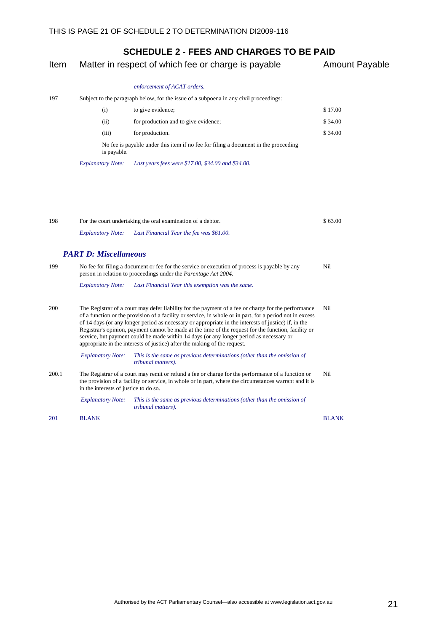| Item  |                                       | Matter in respect of which fee or charge is payable                                                                                                                                                                                                                                                                                                                                                                                                                                                                                                                                                     | <b>Amount Payable</b> |
|-------|---------------------------------------|---------------------------------------------------------------------------------------------------------------------------------------------------------------------------------------------------------------------------------------------------------------------------------------------------------------------------------------------------------------------------------------------------------------------------------------------------------------------------------------------------------------------------------------------------------------------------------------------------------|-----------------------|
|       |                                       | enforcement of ACAT orders.                                                                                                                                                                                                                                                                                                                                                                                                                                                                                                                                                                             |                       |
| 197   |                                       | Subject to the paragraph below, for the issue of a subpoena in any civil proceedings:                                                                                                                                                                                                                                                                                                                                                                                                                                                                                                                   |                       |
|       | (i)                                   | to give evidence;                                                                                                                                                                                                                                                                                                                                                                                                                                                                                                                                                                                       | \$17.00               |
|       | (ii)                                  | for production and to give evidence;                                                                                                                                                                                                                                                                                                                                                                                                                                                                                                                                                                    | \$34.00               |
|       | (iii)                                 | for production.                                                                                                                                                                                                                                                                                                                                                                                                                                                                                                                                                                                         | \$34.00               |
|       | is payable.                           | No fee is payable under this item if no fee for filing a document in the proceeding                                                                                                                                                                                                                                                                                                                                                                                                                                                                                                                     |                       |
|       | <b>Explanatory Note:</b>              | Last years fees were \$17.00, \$34.00 and \$34.00.                                                                                                                                                                                                                                                                                                                                                                                                                                                                                                                                                      |                       |
|       |                                       |                                                                                                                                                                                                                                                                                                                                                                                                                                                                                                                                                                                                         |                       |
| 198   |                                       | For the court undertaking the oral examination of a debtor.                                                                                                                                                                                                                                                                                                                                                                                                                                                                                                                                             | \$63.00               |
|       | <b>Explanatory Note:</b>              | Last Financial Year the fee was \$61.00.                                                                                                                                                                                                                                                                                                                                                                                                                                                                                                                                                                |                       |
|       | <b>PART D: Miscellaneous</b>          |                                                                                                                                                                                                                                                                                                                                                                                                                                                                                                                                                                                                         |                       |
| 199   |                                       | No fee for filing a document or fee for the service or execution of process is payable by any<br>person in relation to proceedings under the <i>Parentage Act 2004</i> .                                                                                                                                                                                                                                                                                                                                                                                                                                | Nil                   |
|       | <b>Explanatory Note:</b>              | Last Financial Year this exemption was the same.                                                                                                                                                                                                                                                                                                                                                                                                                                                                                                                                                        |                       |
| 200   |                                       | The Registrar of a court may defer liability for the payment of a fee or charge for the performance<br>of a function or the provision of a facility or service, in whole or in part, for a period not in excess<br>of 14 days (or any longer period as necessary or appropriate in the interests of justice) if, in the<br>Registrar's opinion, payment cannot be made at the time of the request for the function, facility or<br>service, but payment could be made within 14 days (or any longer period as necessary or<br>appropriate in the interests of justice) after the making of the request. | Nil                   |
|       | <b>Explanatory Note:</b>              | This is the same as previous determinations (other than the omission of<br>tribunal matters).                                                                                                                                                                                                                                                                                                                                                                                                                                                                                                           |                       |
| 200.1 | in the interests of justice to do so. | The Registrar of a court may remit or refund a fee or charge for the performance of a function or<br>the provision of a facility or service, in whole or in part, where the circumstances warrant and it is                                                                                                                                                                                                                                                                                                                                                                                             | Nil                   |
|       | <b>Explanatory Note:</b>              | This is the same as previous determinations (other than the omission of<br>tribunal matters).                                                                                                                                                                                                                                                                                                                                                                                                                                                                                                           |                       |
| 201   | <b>BLANK</b>                          |                                                                                                                                                                                                                                                                                                                                                                                                                                                                                                                                                                                                         | <b>BLANK</b>          |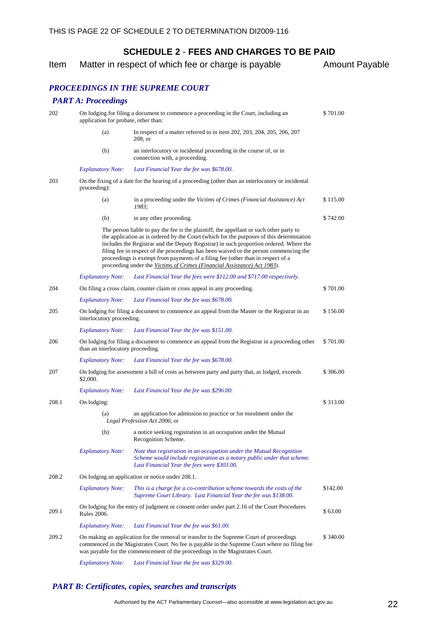|      | SUNEDULE Z - FEES AND UNANGES TO BE FAID            |                       |  |
|------|-----------------------------------------------------|-----------------------|--|
| Item | Matter in respect of which fee or charge is payable | <b>Amount Payable</b> |  |

### *PROCEEDINGS IN THE SUPREME COURT*

#### *PART A: Proceedings*

| 202   | On lodging for filing a document to commence a proceeding in the Court, including an<br>application for probate, other than: |                                                                                                                                                                                                                                                                                                                                                                                                                                                                                                                                       |          |  |
|-------|------------------------------------------------------------------------------------------------------------------------------|---------------------------------------------------------------------------------------------------------------------------------------------------------------------------------------------------------------------------------------------------------------------------------------------------------------------------------------------------------------------------------------------------------------------------------------------------------------------------------------------------------------------------------------|----------|--|
|       | (a)                                                                                                                          | In respect of a matter referred to in item 202, 203, 204, 205, 206, 207<br>$208$ ; or                                                                                                                                                                                                                                                                                                                                                                                                                                                 |          |  |
|       | (b)                                                                                                                          | an interlocutory or incidental proceeding in the course of, or in<br>connection with, a proceeding.                                                                                                                                                                                                                                                                                                                                                                                                                                   |          |  |
|       | <b>Explanatory Note:</b>                                                                                                     | Last Financial Year the fee was \$678.00.                                                                                                                                                                                                                                                                                                                                                                                                                                                                                             |          |  |
| 203   | proceeding):                                                                                                                 | On the fixing of a date for the hearing of a proceeding (other than an interlocutory or incidental                                                                                                                                                                                                                                                                                                                                                                                                                                    |          |  |
|       | (a)                                                                                                                          | in a proceeding under the Victims of Crimes (Financial Assistance) Act<br>1983;                                                                                                                                                                                                                                                                                                                                                                                                                                                       | \$115.00 |  |
|       | (b)                                                                                                                          | in any other proceeding.                                                                                                                                                                                                                                                                                                                                                                                                                                                                                                              | \$742.00 |  |
|       |                                                                                                                              | The person liable to pay the fee is the plaintiff, the appellant or such other party to<br>the application as is ordered by the Court (which for the purposes of this determination<br>includes the Registrar and the Deputy Registrar) in such proportion ordered. Where the<br>filing fee in respect of the proceedings has been waived or the person commencing the<br>proceedings is exempt from payments of a filing fee (other than in respect of a<br>proceeding under the Victims of Crimes (Financial Assistance) Act 1983). |          |  |
|       | <b>Explanatory Note:</b>                                                                                                     | Last Financial Year the fees were \$112.00 and \$717.00 respectively.                                                                                                                                                                                                                                                                                                                                                                                                                                                                 |          |  |
| 204   |                                                                                                                              | On filing a cross claim, counter claim or cross appeal in any proceeding.                                                                                                                                                                                                                                                                                                                                                                                                                                                             | \$701.00 |  |
|       | <b>Explanatory Note:</b>                                                                                                     | Last Financial Year the fee was \$678.00.                                                                                                                                                                                                                                                                                                                                                                                                                                                                                             |          |  |
| 205   | interlocutory proceeding.                                                                                                    | On lodging for filing a document to commence an appeal from the Master or the Registrar in an                                                                                                                                                                                                                                                                                                                                                                                                                                         | \$156.00 |  |
|       | <b>Explanatory Note:</b>                                                                                                     | Last Financial Year the fee was \$151.00.                                                                                                                                                                                                                                                                                                                                                                                                                                                                                             |          |  |
| 206   | than an interlocutory proceeding.                                                                                            | On lodging for filing a document to commence an appeal from the Registrar in a proceeding other                                                                                                                                                                                                                                                                                                                                                                                                                                       | \$701.00 |  |
|       | <b>Explanatory Note:</b>                                                                                                     | Last Financial Year the fee was \$678.00.                                                                                                                                                                                                                                                                                                                                                                                                                                                                                             |          |  |
| 207   | \$2,000.                                                                                                                     | On lodging for assessment a bill of costs as between party and party that, as lodged, exceeds                                                                                                                                                                                                                                                                                                                                                                                                                                         | \$306.00 |  |
|       | <b>Explanatory Note:</b>                                                                                                     | Last Financial Year the fee was \$296.00.                                                                                                                                                                                                                                                                                                                                                                                                                                                                                             |          |  |
| 208.1 | On lodging:                                                                                                                  |                                                                                                                                                                                                                                                                                                                                                                                                                                                                                                                                       | \$313.00 |  |
|       | (a)                                                                                                                          | an application for admission to practice or for enrolment under the<br>Legal Profession Act 2006; or                                                                                                                                                                                                                                                                                                                                                                                                                                  |          |  |
|       | (b)                                                                                                                          | a notice seeking registration in an occupation under the Mutual<br>Recognition Scheme.                                                                                                                                                                                                                                                                                                                                                                                                                                                |          |  |
|       | <b>Explanatory Note:</b>                                                                                                     | Note that registration in an occupation under the Mutual Recognition<br>Scheme would include registration as a notary public under that scheme.<br>Last Financial Year the fees were \$303.00.                                                                                                                                                                                                                                                                                                                                        |          |  |
| 208.2 |                                                                                                                              | On lodging an application or notice under 208.1.                                                                                                                                                                                                                                                                                                                                                                                                                                                                                      |          |  |
|       | <b>Explanatory Note:</b>                                                                                                     | This is a charge for a co-contribution scheme towards the costs of the<br>Supreme Court Library. Last Financial Year the fee was \$138.00.                                                                                                                                                                                                                                                                                                                                                                                            | \$142.00 |  |
| 209.1 | <b>Rules 2006.</b>                                                                                                           | On lodging for the entry of judgment or consent order under part 2.16 of the Court Procedures                                                                                                                                                                                                                                                                                                                                                                                                                                         | \$63.00  |  |
|       | <b>Explanatory Note:</b>                                                                                                     | Last Financial Year the fee was \$61.00.                                                                                                                                                                                                                                                                                                                                                                                                                                                                                              |          |  |
| 209.2 |                                                                                                                              | On making an application for the removal or transfer to the Supreme Court of proceedings<br>commenced in the Magistrates Court. No fee is payable in the Supreme Court where no filing fee<br>was payable for the commencement of the proceedings in the Magistrates Court.                                                                                                                                                                                                                                                           | \$340.00 |  |
|       |                                                                                                                              |                                                                                                                                                                                                                                                                                                                                                                                                                                                                                                                                       |          |  |

*Explanatory Note: Last Financial Year the fee was \$329.00.*

#### *PART B: Certificates, copies, searches and transcripts*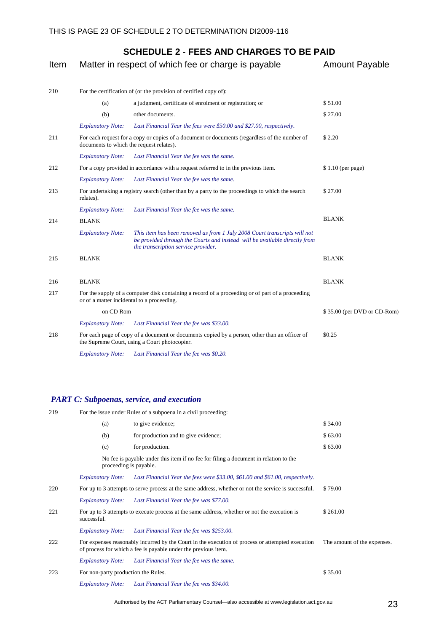| Item | Matter in respect of which fee or charge is payable | <b>Amount Payable</b>                                                                                                                                                                          |                             |
|------|-----------------------------------------------------|------------------------------------------------------------------------------------------------------------------------------------------------------------------------------------------------|-----------------------------|
| 210  |                                                     | For the certification of (or the provision of certified copy of):                                                                                                                              |                             |
|      | (a)                                                 | a judgment, certificate of enrolment or registration; or                                                                                                                                       | \$51.00                     |
|      | (b)                                                 | other documents.                                                                                                                                                                               | \$27.00                     |
|      | <b>Explanatory Note:</b>                            | Last Financial Year the fees were \$50.00 and \$27.00, respectively.                                                                                                                           |                             |
| 211  | documents to which the request relates).            | For each request for a copy or copies of a document or documents (regardless of the number of                                                                                                  | \$2.20                      |
|      | <b>Explanatory Note:</b>                            | Last Financial Year the fee was the same.                                                                                                                                                      |                             |
| 212  |                                                     | For a copy provided in accordance with a request referred to in the previous item.                                                                                                             | \$1.10 (per page)           |
|      | <b>Explanatory Note:</b>                            | Last Financial Year the fee was the same.                                                                                                                                                      |                             |
| 213  | relates).                                           | For undertaking a registry search (other than by a party to the proceedings to which the search                                                                                                | \$27.00                     |
|      | <b>Explanatory Note:</b>                            | Last Financial Year the fee was the same.                                                                                                                                                      |                             |
| 214  | <b>BLANK</b>                                        |                                                                                                                                                                                                | <b>BLANK</b>                |
|      | <b>Explanatory Note:</b>                            | This item has been removed as from 1 July 2008 Court transcripts will not<br>be provided through the Courts and instead will be available directly from<br>the transcription service provider. |                             |
| 215  | <b>BLANK</b>                                        |                                                                                                                                                                                                | <b>BLANK</b>                |
| 216  | <b>BLANK</b>                                        |                                                                                                                                                                                                | <b>BLANK</b>                |
| 217  |                                                     | For the supply of a computer disk containing a record of a proceeding or of part of a proceeding<br>or of a matter incidental to a proceeding.                                                 |                             |
|      | on CD Rom                                           |                                                                                                                                                                                                | \$35.00 (per DVD or CD-Rom) |
|      | <b>Explanatory Note:</b>                            | Last Financial Year the fee was \$33.00.                                                                                                                                                       |                             |
| 218  |                                                     | For each page of copy of a document or documents copied by a person, other than an officer of<br>the Supreme Court, using a Court photocopier.                                                 | \$0.25                      |
|      | <b>Explanatory Note:</b>                            | Last Financial Year the fee was \$0.20.                                                                                                                                                        |                             |

### *PART C: Subpoenas, service, and execution*

| 219 |                          | For the issue under Rules of a subpoena in a civil proceeding:                                                                                                     |                             |  |  |  |
|-----|--------------------------|--------------------------------------------------------------------------------------------------------------------------------------------------------------------|-----------------------------|--|--|--|
|     | (a)                      | to give evidence;                                                                                                                                                  | \$34.00                     |  |  |  |
|     | (b)                      | for production and to give evidence;                                                                                                                               | \$63.00                     |  |  |  |
|     | (c)                      | for production.                                                                                                                                                    | \$63.00                     |  |  |  |
|     | proceeding is payable.   | No fee is payable under this item if no fee for filing a document in relation to the                                                                               |                             |  |  |  |
|     | <b>Explanatory Note:</b> | Last Financial Year the fees were \$33.00, \$61.00 and \$61.00, respectively.                                                                                      |                             |  |  |  |
| 220 |                          | For up to 3 attempts to serve process at the same address, whether or not the service is successful.                                                               | \$79.00                     |  |  |  |
|     | <b>Explanatory Note:</b> | Last Financial Year the fee was \$77.00.                                                                                                                           |                             |  |  |  |
| 221 | successful.              | For up to 3 attempts to execute process at the same address, whether or not the execution is                                                                       | \$261.00                    |  |  |  |
|     | <b>Explanatory Note:</b> | Last Financial Year the fee was \$253.00.                                                                                                                          |                             |  |  |  |
| 222 |                          | For expenses reasonably incurred by the Court in the execution of process or attempted execution<br>of process for which a fee is payable under the previous item. | The amount of the expenses. |  |  |  |
|     | <b>Explanatory Note:</b> | Last Financial Year the fee was the same.                                                                                                                          |                             |  |  |  |
| 223 |                          | For non-party production the Rules.                                                                                                                                |                             |  |  |  |
|     | <b>Explanatory Note:</b> | Last Financial Year the fee was \$34.00.                                                                                                                           |                             |  |  |  |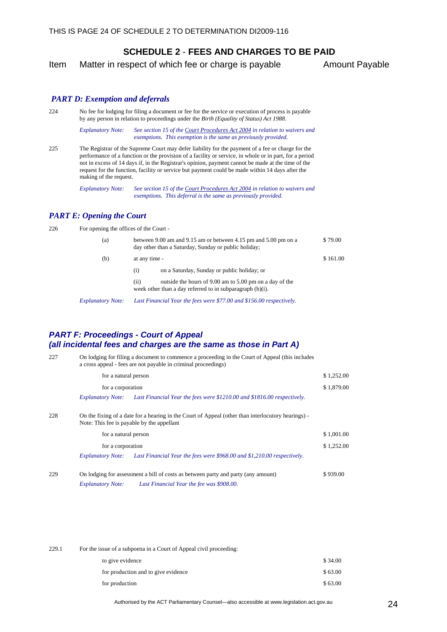Item Matter in respect of which fee or charge is payable Amount Payable

#### *PART D: Exemption and deferrals*

224 No fee for lodging for filing a document or fee for the service or execution of process is payable by any person in relation to proceedings under the *Birth (Equality of Status) Act 1988*.

> *Explanatory Note: See section 15 of the Court Procedures Act 2004 in relation to waivers and exemptions. This exemption is the same as previously provided.*

225 The Registrar of the Supreme Court may defer liability for the payment of a fee or charge for the performance of a function or the provision of a facility or service, in whole or in part, for a period not in excess of 14 days if, in the Registrar's opinion, payment cannot be made at the time of the request for the function, facility or service but payment could be made within 14 days after the making of the request.

> *Explanatory Note: See section 15 of the Court Procedures Act 2004 in relation to waivers and exemptions. This deferral is the same as previously provided.*

#### *PART E: Opening the Court*

226 For opening the offices of the Court -

| (a) |               | between 9.00 am and 9.15 am or between 4.15 pm and 5.00 pm on a<br>day other than a Saturday, Sunday or public holiday;                                             | \$79.00  |
|-----|---------------|---------------------------------------------------------------------------------------------------------------------------------------------------------------------|----------|
| (b) | at any time - |                                                                                                                                                                     | \$161.00 |
|     | (i)           | on a Saturday, Sunday or public holiday; or                                                                                                                         |          |
|     | (i)           | outside the hours of 9.00 am to 5.00 pm on a day of the<br>week other than a day referred to in subparagraph $(b)(i)$ .                                             |          |
|     |               | $F_{\text{max}}(1,\ldots,1,\ldots,1)$ and $F_{\text{max}}(1,\ldots,1)$ is the set of $\sigma$ and $\sigma$ and $\sigma$ and $\sigma$ $\sigma$ and $\sigma$ $\sigma$ |          |

*Explanatory Note: Last Financial Year the fees were \$77.00 and \$156.00 respectively.*

#### *PART F: Proceedings - Court of Appeal (all incidental fees and charges are the same as those in Part A)*

| 227 |                          | On lodging for filing a document to commence a proceeding in the Court of Appeal (this includes<br>a cross appeal - fees are not payable in criminal proceedings) |            |  |  |
|-----|--------------------------|-------------------------------------------------------------------------------------------------------------------------------------------------------------------|------------|--|--|
|     | for a natural person     |                                                                                                                                                                   | \$1,252.00 |  |  |
|     | for a corporation        |                                                                                                                                                                   | \$1,879.00 |  |  |
|     | <i>Explanatory Note:</i> | Last Financial Year the fees were \$1210.00 and \$1816.00 respectively.                                                                                           |            |  |  |
| 228 |                          | On the fixing of a date for a hearing in the Court of Appeal (other than interlocutory hearings) -<br>Note: This fee is payable by the appellant                  |            |  |  |
|     | for a natural person     |                                                                                                                                                                   | \$1,001.00 |  |  |
|     | for a corporation        |                                                                                                                                                                   | \$1,252.00 |  |  |
|     |                          | Explanatory Note: Last Financial Year the fees were \$968.00 and \$1,210.00 respectively.                                                                         |            |  |  |
| 229 |                          | On lodging for assessment a bill of costs as between party and party (any amount)                                                                                 | \$939.00   |  |  |
|     | <i>Explanatory Note:</i> | Last Financial Year the fee was \$908.00.                                                                                                                         |            |  |  |

| 229.1 | For the issue of a subpoena in a Court of Appeal civil proceeding: |         |  |  |
|-------|--------------------------------------------------------------------|---------|--|--|
|       | to give evidence                                                   | \$34.00 |  |  |
|       | for production and to give evidence                                | \$63.00 |  |  |
|       | for production                                                     | \$63.00 |  |  |

Authorised by the ACT Parliamentary Counsel—also accessible at www.legislation.act.gov.au 24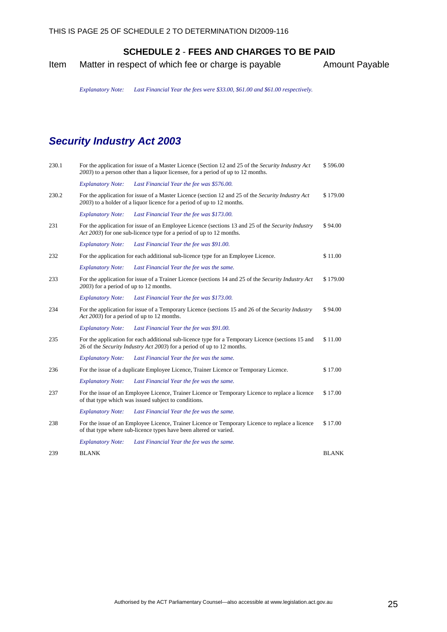<span id="page-28-0"></span>Item Matter in respect of which fee or charge is payable Amount Payable

*Explanatory Note: Last Financial Year the fees were \$33.00, \$61.00 and \$61.00 respectively.*

# *Security Industry Act 2003*

| 230.1 | For the application for issue of a Master Licence (Section 12 and 25 of the Security Industry Act<br>\$596.00<br>2003) to a person other than a liquor licensee, for a period of up to 12 months. |                                                                                                                                                                             |              |  |
|-------|---------------------------------------------------------------------------------------------------------------------------------------------------------------------------------------------------|-----------------------------------------------------------------------------------------------------------------------------------------------------------------------------|--------------|--|
|       | <b>Explanatory Note:</b>                                                                                                                                                                          | Last Financial Year the fee was \$576.00.                                                                                                                                   |              |  |
| 230.2 |                                                                                                                                                                                                   | For the application for issue of a Master Licence (section 12 and 25 of the Security Industry Act<br>2003) to a holder of a liquor licence for a period of up to 12 months. | \$179.00     |  |
|       | <b>Explanatory Note:</b>                                                                                                                                                                          | Last Financial Year the fee was \$173.00.                                                                                                                                   |              |  |
| 231   |                                                                                                                                                                                                   | For the application for issue of an Employee Licence (sections 13 and 25 of the Security Industry<br>Act 2003) for one sub-licence type for a period of up to 12 months.    | \$94.00      |  |
|       | <b>Explanatory Note:</b>                                                                                                                                                                          | Last Financial Year the fee was \$91.00.                                                                                                                                    |              |  |
| 232   |                                                                                                                                                                                                   | For the application for each additional sub-licence type for an Employee Licence.                                                                                           | \$11.00      |  |
|       | <b>Explanatory Note:</b>                                                                                                                                                                          | Last Financial Year the fee was the same.                                                                                                                                   |              |  |
| 233   | 2003) for a period of up to 12 months.                                                                                                                                                            | For the application for issue of a Trainer Licence (sections 14 and 25 of the Security Industry Act                                                                         | \$179.00     |  |
|       | <b>Explanatory Note:</b>                                                                                                                                                                          | Last Financial Year the fee was \$173.00.                                                                                                                                   |              |  |
| 234   |                                                                                                                                                                                                   | For the application for issue of a Temporary Licence (sections 15 and 26 of the Security Industry<br>Act 2003) for a period of up to 12 months.                             | \$94.00      |  |
|       | <b>Explanatory Note:</b>                                                                                                                                                                          | Last Financial Year the fee was \$91.00.                                                                                                                                    |              |  |
| 235   |                                                                                                                                                                                                   | For the application for each additional sub-licence type for a Temporary Licence (sections 15 and<br>26 of the Security Industry Act 2003) for a period of up to 12 months. | \$11.00      |  |
|       | <b>Explanatory Note:</b>                                                                                                                                                                          | Last Financial Year the fee was the same.                                                                                                                                   |              |  |
| 236   |                                                                                                                                                                                                   | For the issue of a duplicate Employee Licence, Trainer Licence or Temporary Licence.                                                                                        | \$17.00      |  |
|       | <b>Explanatory Note:</b>                                                                                                                                                                          | Last Financial Year the fee was the same.                                                                                                                                   |              |  |
| 237   |                                                                                                                                                                                                   | For the issue of an Employee Licence, Trainer Licence or Temporary Licence to replace a licence<br>of that type which was issued subject to conditions.                     | \$17.00      |  |
|       | <b>Explanatory Note:</b>                                                                                                                                                                          | Last Financial Year the fee was the same.                                                                                                                                   |              |  |
| 238   |                                                                                                                                                                                                   | For the issue of an Employee Licence, Trainer Licence or Temporary Licence to replace a licence<br>of that type where sub-licence types have been altered or varied.        | \$17.00      |  |
|       | <b>Explanatory Note:</b>                                                                                                                                                                          | Last Financial Year the fee was the same.                                                                                                                                   |              |  |
| 239   | <b>BLANK</b>                                                                                                                                                                                      |                                                                                                                                                                             | <b>BLANK</b> |  |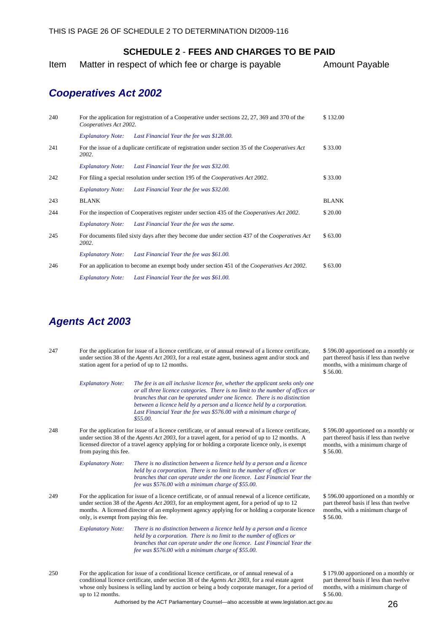<span id="page-29-0"></span>Item Matter in respect of which fee or charge is payable Amount Payable

### *Cooperatives Act 2002*

| 240 |                                                                                                                   | For the application for registration of a Cooperative under sections 22, 27, 369 and 370 of the<br>Cooperatives Act 2002. |              |  |
|-----|-------------------------------------------------------------------------------------------------------------------|---------------------------------------------------------------------------------------------------------------------------|--------------|--|
|     | <b>Explanatory Note:</b>                                                                                          | Last Financial Year the fee was \$128.00.                                                                                 |              |  |
| 241 | For the issue of a duplicate certificate of registration under section 35 of the <i>Cooperatives Act</i><br>2002. |                                                                                                                           |              |  |
|     | <b>Explanatory Note:</b>                                                                                          | Last Financial Year the fee was \$32.00.                                                                                  |              |  |
| 242 |                                                                                                                   | For filing a special resolution under section 195 of the Cooperatives Act 2002.                                           | \$33.00      |  |
|     | <i>Explanatory Note:</i>                                                                                          | Last Financial Year the fee was \$32.00.                                                                                  |              |  |
| 243 | <b>BLANK</b>                                                                                                      |                                                                                                                           | <b>BLANK</b> |  |
| 244 | For the inspection of Cooperatives register under section 435 of the Cooperatives Act 2002.                       |                                                                                                                           |              |  |
|     | <i>Explanatory Note:</i>                                                                                          | Last Financial Year the fee was the same.                                                                                 |              |  |
| 245 | 2002.                                                                                                             | For documents filed sixty days after they become due under section 437 of the Cooperatives Act                            | \$63.00      |  |
|     | <b>Explanatory Note:</b>                                                                                          | Last Financial Year the fee was \$61.00.                                                                                  |              |  |
| 246 | For an application to become an exempt body under section 451 of the Cooperatives Act 2002.                       |                                                                                                                           |              |  |
|     | <b>Explanatory Note:</b>                                                                                          | Last Financial Year the fee was \$61.00.                                                                                  |              |  |

### *Agents Act 2003*

| 247 | For the application for issue of a licence certificate, or of annual renewal of a licence certificate,<br>under section 38 of the <i>Agents Act 2003</i> , for a real estate agent, business agent and/or stock and<br>station agent for a period of up to 12 months. |                                                                                                                                                                 | $\$$ 5<br>par<br>mo<br>\$5 |
|-----|-----------------------------------------------------------------------------------------------------------------------------------------------------------------------------------------------------------------------------------------------------------------------|-----------------------------------------------------------------------------------------------------------------------------------------------------------------|----------------------------|
|     | <b>Explanatory Note:</b>                                                                                                                                                                                                                                              | The fee is an all inclusive licence fee, whether the applicant seeks only one<br>or all three licence categories. There is no limit to the number of offices or |                            |

*or all three licence categories. There is no limit to the number of offices or branches that can be operated under one licence. There is no distinction between a licence held by a person and a licence held by a corporation. Last Financial Year the fee was \$576.00 with a minimum charge of \$55.00.*

248 For the application for issue of a licence certificate, or of annual renewal of a licence certificate, under section 38 of the *Agents Act 2003*, for a travel agent, for a period of up to 12 months. A licensed director of a travel agency applying for or holding a corporate licence only, is exempt from paying this fee.

> *Explanatory Note: There is no distinction between a licence held by a person and a licence held by a corporation. There is no limit to the number of offices or branches that can operate under the one licence. Last Financial Year the fee was \$576.00 with a minimum charge of \$55.00.*

249 For the application for issue of a licence certificate, or of annual renewal of a licence certificate, under section 38 of the *Agents Act 2003*, for an employment agent, for a period of up to 12 months. A licensed director of an employment agency applying for or holding a corporate licence only, is exempt from paying this fee.

> *Explanatory Note: There is no distinction between a licence held by a person and a licence held by a corporation. There is no limit to the number of offices or branches that can operate under the one licence. Last Financial Year the fee was \$576.00 with a minimum charge of \$55.00.*

250 For the application for issue of a conditional licence certificate, or of annual renewal of a conditional licence certificate, under section 38 of the *Agents Act 2003*, for a real estate agent whose only business is selling land by auction or being a body corporate manager, for a period of up to 12 months.

\$ 596.00 apportioned on a monthly or thereof basis if less than twelve nths, with a minimum charge of 6.00

\$ 596.00 apportioned on a monthly or part thereof basis if less than twelve months, with a minimum charge of \$ 56.00.

\$ 596.00 apportioned on a monthly or part thereof basis if less than twelve months, with a minimum charge of \$ 56.00.

\$ 179.00 apportioned on a monthly or part thereof basis if less than twelve months, with a minimum charge of \$ 56.00.

Authorised by the ACT Parliamentary Counsel—also accessible at www.legislation.act.gov.au 26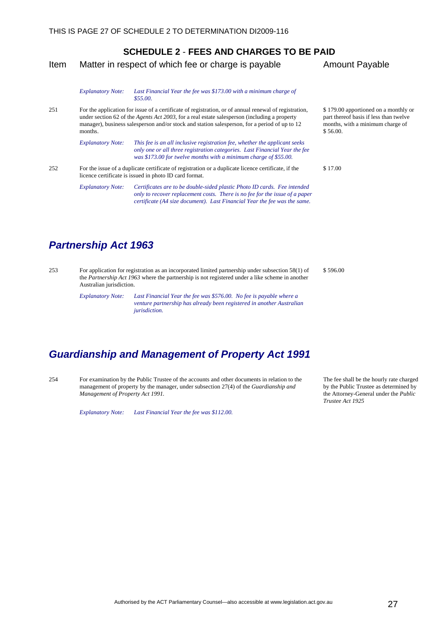<span id="page-30-0"></span>Item Matter in respect of which fee or charge is payable Amount Payable

|     | <b>Explanatory Note:</b>                                                                                                                                                                                                                                                                                                  | Last Financial Year the fee was \$173.00 with a minimum charge of<br>\$55.00.                                                                                                                                                        |                                              |
|-----|---------------------------------------------------------------------------------------------------------------------------------------------------------------------------------------------------------------------------------------------------------------------------------------------------------------------------|--------------------------------------------------------------------------------------------------------------------------------------------------------------------------------------------------------------------------------------|----------------------------------------------|
| 251 | For the application for issue of a certificate of registration, or of annual renewal of registration,<br>under section 62 of the <i>Agents Act 2003</i> , for a real estate salesperson (including a property<br>manager), business salesperson and/or stock and station salesperson, for a period of up to 12<br>months. |                                                                                                                                                                                                                                      | \$179.00<br>part ther<br>months,<br>\$56.00. |
|     | <b>Explanatory Note:</b>                                                                                                                                                                                                                                                                                                  | This fee is an all inclusive registration fee, whether the applicant seeks<br>only one or all three registration categories. Last Financial Year the fee<br>was \$173.00 for twelve months with a minimum charge of \$55.00.         |                                              |
| 252 | For the issue of a duplicate certificate of registration or a duplicate licence certificate, if the<br>\$17.00<br>licence certificate is issued in photo ID card format.                                                                                                                                                  |                                                                                                                                                                                                                                      |                                              |
|     | <b>Explanatory Note:</b>                                                                                                                                                                                                                                                                                                  | Certificates are to be double-sided plastic Photo ID cards. Fee intended<br>only to recover replacement costs. There is no fee for the issue of a paper<br>certificate (A4 size document). Last Financial Year the fee was the same. |                                              |

## *Partnership Act 1963*

253 For application for registration as an incorporated limited partnership under subsection 58(1) of the *Partnership Act 1963* where the partnership is not registered under a like scheme in another Australian jurisdiction. \$ 596.00

> *Explanatory Note: Last Financial Year the fee was \$576.00. No fee is payable where a venture partnership has already been registered in another Australian jurisdiction.*

## *Guardianship and Management of Property Act 1991*

254 For examination by the Public Trustee of the accounts and other documents in relation to the management of property by the manager, under subsection 27(4) of the *Guardianship and Management of Property Act 1991.* 

*Explanatory Note: Last Financial Year the fee was \$112.00.* 

0 apportioned on a monthly or reof basis if less than twelve with a minimum charge of

The fee shall be the hourly rate charged by the Public Trustee as determined by the Attorney-General under the *Public* 

*Trustee Act 1925*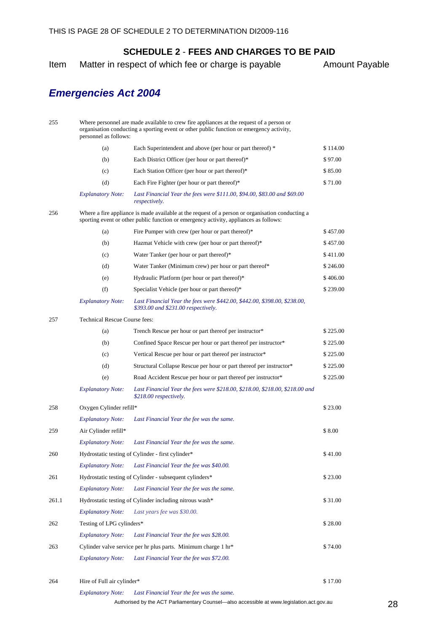Item Matter in respect of which fee or charge is payable Amount Payable

# *Emergencies Act 2004*

| 255   | Where personnel are made available to crew fire appliances at the request of a person or<br>organisation conducting a sporting event or other public function or emergency activity,<br>personnel as follows: |                                                                                                                                                                                           |          |  |  |  |
|-------|---------------------------------------------------------------------------------------------------------------------------------------------------------------------------------------------------------------|-------------------------------------------------------------------------------------------------------------------------------------------------------------------------------------------|----------|--|--|--|
|       | (a)                                                                                                                                                                                                           | Each Superintendent and above (per hour or part thereof) *                                                                                                                                | \$114.00 |  |  |  |
|       | (b)                                                                                                                                                                                                           | Each District Officer (per hour or part thereof)*                                                                                                                                         | \$97.00  |  |  |  |
|       | (c)                                                                                                                                                                                                           | Each Station Officer (per hour or part thereof)*                                                                                                                                          | \$85.00  |  |  |  |
|       | (d)                                                                                                                                                                                                           | Each Fire Fighter (per hour or part thereof)*                                                                                                                                             | \$71.00  |  |  |  |
|       | <b>Explanatory Note:</b>                                                                                                                                                                                      | Last Financial Year the fees were \$111.00, \$94.00, \$83.00 and \$69.00<br><i>respectively.</i>                                                                                          |          |  |  |  |
| 256   |                                                                                                                                                                                                               | Where a fire appliance is made available at the request of a person or organisation conducting a<br>sporting event or other public function or emergency activity, appliances as follows: |          |  |  |  |
|       | (a)                                                                                                                                                                                                           | Fire Pumper with crew (per hour or part thereof)*                                                                                                                                         | \$457.00 |  |  |  |
|       | (b)                                                                                                                                                                                                           | Hazmat Vehicle with crew (per hour or part thereof)*                                                                                                                                      | \$457.00 |  |  |  |
|       | (c)                                                                                                                                                                                                           | Water Tanker (per hour or part thereof)*                                                                                                                                                  | \$411.00 |  |  |  |
|       | (d)                                                                                                                                                                                                           | Water Tanker (Minimum crew) per hour or part thereof*                                                                                                                                     | \$246.00 |  |  |  |
|       | (e)                                                                                                                                                                                                           | Hydraulic Platform (per hour or part thereof)*                                                                                                                                            | \$406.00 |  |  |  |
|       | (f)                                                                                                                                                                                                           | Specialist Vehicle (per hour or part thereof)*                                                                                                                                            | \$239.00 |  |  |  |
|       | <b>Explanatory Note:</b>                                                                                                                                                                                      | Last Financial Year the fees were \$442.00, \$442.00, \$398.00, \$238.00,<br>\$393.00 and \$231.00 respectively.                                                                          |          |  |  |  |
| 257   | <b>Technical Rescue Course fees:</b>                                                                                                                                                                          |                                                                                                                                                                                           |          |  |  |  |
|       | (a)                                                                                                                                                                                                           | Trench Rescue per hour or part thereof per instructor*                                                                                                                                    | \$225.00 |  |  |  |
|       | (b)                                                                                                                                                                                                           | Confined Space Rescue per hour or part thereof per instructor*                                                                                                                            | \$225.00 |  |  |  |
|       | (c)                                                                                                                                                                                                           | Vertical Rescue per hour or part thereof per instructor*                                                                                                                                  | \$225.00 |  |  |  |
|       | (d)                                                                                                                                                                                                           | Structural Collapse Rescue per hour or part thereof per instructor*                                                                                                                       | \$225.00 |  |  |  |
|       | (e)                                                                                                                                                                                                           | Road Accident Rescue per hour or part thereof per instructor*                                                                                                                             | \$225.00 |  |  |  |
|       | <b>Explanatory Note:</b>                                                                                                                                                                                      | Last Financial Year the fees were \$218.00, \$218.00, \$218.00, \$218.00 and<br>\$218.00 respectively.                                                                                    |          |  |  |  |
| 258   | Oxygen Cylinder refill*                                                                                                                                                                                       |                                                                                                                                                                                           | \$23.00  |  |  |  |
|       | <b>Explanatory Note:</b>                                                                                                                                                                                      | Last Financial Year the fee was the same.                                                                                                                                                 |          |  |  |  |
| 259   | Air Cylinder refill*                                                                                                                                                                                          |                                                                                                                                                                                           | \$8.00   |  |  |  |
|       | <b>Explanatory Note:</b>                                                                                                                                                                                      | Last Financial Year the fee was the same.                                                                                                                                                 |          |  |  |  |
| 260   |                                                                                                                                                                                                               | Hydrostatic testing of Cylinder - first cylinder*                                                                                                                                         | \$41.00  |  |  |  |
|       | <b>Explanatory Note:</b>                                                                                                                                                                                      | Last Financial Year the fee was \$40.00.                                                                                                                                                  |          |  |  |  |
| 261   |                                                                                                                                                                                                               | Hydrostatic testing of Cylinder - subsequent cylinders*                                                                                                                                   | \$23.00  |  |  |  |
|       | <b>Explanatory Note:</b>                                                                                                                                                                                      | Last Financial Year the fee was the same.                                                                                                                                                 |          |  |  |  |
| 261.1 |                                                                                                                                                                                                               | Hydrostatic testing of Cylinder including nitrous wash*                                                                                                                                   | \$31.00  |  |  |  |
|       | <b>Explanatory Note:</b>                                                                                                                                                                                      | Last years fee was \$30.00.                                                                                                                                                               |          |  |  |  |
| 262   | Testing of LPG cylinders*                                                                                                                                                                                     |                                                                                                                                                                                           | \$28.00  |  |  |  |
|       | <b>Explanatory Note:</b>                                                                                                                                                                                      | Last Financial Year the fee was \$28.00.                                                                                                                                                  |          |  |  |  |
| 263   |                                                                                                                                                                                                               | Cylinder valve service per hr plus parts. Minimum charge 1 hr*                                                                                                                            | \$74.00  |  |  |  |
|       | <b>Explanatory Note:</b>                                                                                                                                                                                      | Last Financial Year the fee was \$72.00.                                                                                                                                                  |          |  |  |  |
| 264   | Hire of Full air cylinder*                                                                                                                                                                                    |                                                                                                                                                                                           | \$17.00  |  |  |  |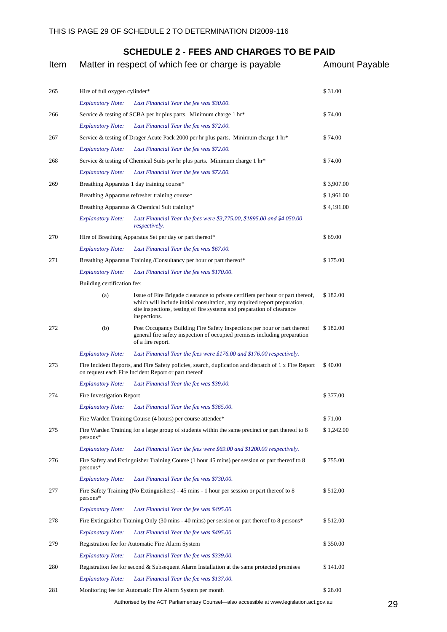| Item |                               | Matter in respect of which fee or charge is payable                                                                                                                                                                                                    | <b>Amount Payable</b> |  |
|------|-------------------------------|--------------------------------------------------------------------------------------------------------------------------------------------------------------------------------------------------------------------------------------------------------|-----------------------|--|
| 265  | Hire of full oxygen cylinder* |                                                                                                                                                                                                                                                        | \$31.00               |  |
|      | <b>Explanatory Note:</b>      | Last Financial Year the fee was \$30.00.                                                                                                                                                                                                               |                       |  |
| 266  |                               | Service & testing of SCBA per hr plus parts. Minimum charge 1 hr*                                                                                                                                                                                      | \$74.00               |  |
|      | <b>Explanatory Note:</b>      | Last Financial Year the fee was \$72.00.                                                                                                                                                                                                               |                       |  |
| 267  |                               | Service & testing of Drager Acute Pack 2000 per hr plus parts. Minimum charge 1 hr <sup>*</sup>                                                                                                                                                        | \$74.00               |  |
|      | <b>Explanatory Note:</b>      | Last Financial Year the fee was \$72.00.                                                                                                                                                                                                               |                       |  |
| 268  |                               | Service & testing of Chemical Suits per hr plus parts. Minimum charge 1 hr*                                                                                                                                                                            | \$74.00               |  |
|      | <b>Explanatory Note:</b>      | Last Financial Year the fee was \$72.00.                                                                                                                                                                                                               |                       |  |
| 269  |                               | Breathing Apparatus 1 day training course*                                                                                                                                                                                                             | \$3,907.00            |  |
|      |                               | Breathing Apparatus refresher training course*                                                                                                                                                                                                         | \$1,961.00            |  |
|      |                               | Breathing Apparatus & Chemical Suit training*                                                                                                                                                                                                          | \$4,191.00            |  |
|      | <b>Explanatory Note:</b>      | Last Financial Year the fees were \$3,775.00, \$1895.00 and \$4,050.00<br><i>respectively.</i>                                                                                                                                                         |                       |  |
| 270  |                               | Hire of Breathing Apparatus Set per day or part thereof*                                                                                                                                                                                               | \$69.00               |  |
|      | <b>Explanatory Note:</b>      | Last Financial Year the fee was \$67.00.                                                                                                                                                                                                               |                       |  |
| 271  |                               | Breathing Apparatus Training /Consultancy per hour or part thereof*                                                                                                                                                                                    | \$175.00              |  |
|      | <b>Explanatory Note:</b>      | Last Financial Year the fee was \$170.00.                                                                                                                                                                                                              |                       |  |
|      | Building certification fee:   |                                                                                                                                                                                                                                                        |                       |  |
|      | (a)                           | Issue of Fire Brigade clearance to private certifiers per hour or part thereof,<br>which will include initial consultation, any required report preparation,<br>site inspections, testing of fire systems and preparation of clearance<br>inspections. | \$182.00              |  |
| 272  | (b)                           | Post Occupancy Building Fire Safety Inspections per hour or part thereof<br>general fire safety inspection of occupied premises including preparation<br>of a fire report.                                                                             | \$182.00              |  |
|      | <b>Explanatory Note:</b>      | Last Financial Year the fees were \$176.00 and \$176.00 respectively.                                                                                                                                                                                  |                       |  |
| 273  |                               | Fire Incident Reports, and Fire Safety policies, search, duplication and dispatch of 1 x Fire Report<br>on request each Fire Incident Report or part thereof                                                                                           | \$40.00               |  |
|      | <b>Explanatory Note:</b>      | Last Financial Year the fee was \$39.00.                                                                                                                                                                                                               |                       |  |
| 274  | Fire Investigation Report     |                                                                                                                                                                                                                                                        | \$377.00              |  |
|      | <b>Explanatory Note:</b>      | Last Financial Year the fee was \$365.00.                                                                                                                                                                                                              |                       |  |
|      |                               | Fire Warden Training Course (4 hours) per course attendee*                                                                                                                                                                                             | \$71.00               |  |
| 275  | persons*                      | Fire Warden Training for a large group of students within the same precinct or part thereof to 8                                                                                                                                                       | \$1,242.00            |  |
|      | <b>Explanatory Note:</b>      | Last Financial Year the fees were \$69.00 and \$1200.00 respectively.                                                                                                                                                                                  |                       |  |
| 276  | persons*                      | Fire Safety and Extinguisher Training Course (1 hour 45 mins) per session or part thereof to 8                                                                                                                                                         | \$755.00              |  |
|      | <b>Explanatory Note:</b>      | Last Financial Year the fee was \$730.00.                                                                                                                                                                                                              |                       |  |
| 277  | persons*                      | Fire Safety Training (No Extinguishers) - 45 mins - 1 hour per session or part thereof to 8                                                                                                                                                            | \$512.00              |  |
|      | <b>Explanatory Note:</b>      | Last Financial Year the fee was \$495.00.                                                                                                                                                                                                              |                       |  |
| 278  |                               | Fire Extinguisher Training Only (30 mins - 40 mins) per session or part thereof to 8 persons*                                                                                                                                                          | \$512.00              |  |
|      | <b>Explanatory Note:</b>      | Last Financial Year the fee was \$495.00.                                                                                                                                                                                                              |                       |  |
| 279  |                               | Registration fee for Automatic Fire Alarm System                                                                                                                                                                                                       | \$350.00              |  |
|      | <b>Explanatory Note:</b>      | Last Financial Year the fee was \$339.00.                                                                                                                                                                                                              |                       |  |
| 280  |                               | Registration fee for second & Subsequent Alarm Installation at the same protected premises                                                                                                                                                             | \$141.00              |  |
|      | <b>Explanatory Note:</b>      | Last Financial Year the fee was \$137.00.                                                                                                                                                                                                              |                       |  |
| 281  |                               | Monitoring fee for Automatic Fire Alarm System per month                                                                                                                                                                                               | \$28.00               |  |
|      |                               | Authorised by the ACT Parliamentary Counsel—also accessible at www.legislation.act.gov.au                                                                                                                                                              | 29                    |  |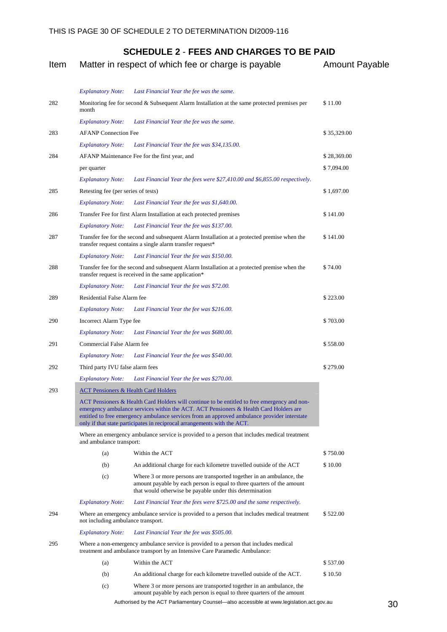| Item |                                                 | Matter in respect of which fee or charge is payable                                                                                                                                                                                                                                                                                                               | <b>Amount Payable</b> |
|------|-------------------------------------------------|-------------------------------------------------------------------------------------------------------------------------------------------------------------------------------------------------------------------------------------------------------------------------------------------------------------------------------------------------------------------|-----------------------|
|      | <b>Explanatory Note:</b>                        | Last Financial Year the fee was the same.                                                                                                                                                                                                                                                                                                                         |                       |
| 282  | month                                           | Monitoring fee for second & Subsequent Alarm Installation at the same protected premises per                                                                                                                                                                                                                                                                      | \$11.00               |
|      | <b>Explanatory Note:</b>                        | Last Financial Year the fee was the same.                                                                                                                                                                                                                                                                                                                         |                       |
| 283  | <b>AFANP</b> Connection Fee                     |                                                                                                                                                                                                                                                                                                                                                                   | \$35,329.00           |
|      | <b>Explanatory Note:</b>                        | Last Financial Year the fee was \$34,135.00.                                                                                                                                                                                                                                                                                                                      |                       |
| 284  |                                                 | AFANP Maintenance Fee for the first year, and                                                                                                                                                                                                                                                                                                                     | \$28,369.00           |
|      | per quarter                                     |                                                                                                                                                                                                                                                                                                                                                                   | \$7,094.00            |
|      | <i><b>Explanatory Note:</b></i>                 | Last Financial Year the fees were \$27,410.00 and \$6,855.00 respectively.                                                                                                                                                                                                                                                                                        |                       |
| 285  | Retesting fee (per series of tests)             |                                                                                                                                                                                                                                                                                                                                                                   | \$1,697.00            |
|      | <b>Explanatory Note:</b>                        | Last Financial Year the fee was \$1,640.00.                                                                                                                                                                                                                                                                                                                       |                       |
| 286  |                                                 | Transfer Fee for first Alarm Installation at each protected premises                                                                                                                                                                                                                                                                                              | \$141.00              |
|      | <b>Explanatory Note:</b>                        | Last Financial Year the fee was \$137.00.                                                                                                                                                                                                                                                                                                                         |                       |
| 287  |                                                 | Transfer fee for the second and subsequent Alarm Installation at a protected premise when the<br>transfer request contains a single alarm transfer request*                                                                                                                                                                                                       | \$141.00              |
|      | <b>Explanatory Note:</b>                        | Last Financial Year the fee was \$150.00.                                                                                                                                                                                                                                                                                                                         |                       |
| 288  |                                                 | Transfer fee for the second and subsequent Alarm Installation at a protected premise when the<br>transfer request is received in the same application*                                                                                                                                                                                                            | \$74.00               |
|      | <b>Explanatory Note:</b>                        | Last Financial Year the fee was \$72.00.                                                                                                                                                                                                                                                                                                                          |                       |
| 289  | Residential False Alarm fee                     |                                                                                                                                                                                                                                                                                                                                                                   | \$223.00              |
|      | <b>Explanatory Note:</b>                        | Last Financial Year the fee was \$216.00.                                                                                                                                                                                                                                                                                                                         |                       |
| 290  | Incorrect Alarm Type fee                        |                                                                                                                                                                                                                                                                                                                                                                   | \$703.00              |
|      | <b>Explanatory Note:</b>                        | Last Financial Year the fee was \$680.00.                                                                                                                                                                                                                                                                                                                         |                       |
| 291  | Commercial False Alarm fee                      |                                                                                                                                                                                                                                                                                                                                                                   | \$558.00              |
|      | <b>Explanatory Note:</b>                        | Last Financial Year the fee was \$540.00.                                                                                                                                                                                                                                                                                                                         |                       |
| 292  | Third party IVU false alarm fees                |                                                                                                                                                                                                                                                                                                                                                                   | \$279.00              |
|      | <b>Explanatory Note:</b>                        | Last Financial Year the fee was \$270.00.                                                                                                                                                                                                                                                                                                                         |                       |
| 293  | <b>ACT Pensioners &amp; Health Card Holders</b> |                                                                                                                                                                                                                                                                                                                                                                   |                       |
|      |                                                 | ACT Pensioners & Health Card Holders will continue to be entitled to free emergency and non-<br>emergency ambulance services within the ACT. ACT Pensioners & Health Card Holders are<br>entitled to free emergency ambulance services from an approved ambulance provider interstate<br>only if that state participates in reciprocal arrangements with the ACT. |                       |
|      | and ambulance transport:                        | Where an emergency ambulance service is provided to a person that includes medical treatment                                                                                                                                                                                                                                                                      |                       |
|      | (a)                                             | Within the ACT                                                                                                                                                                                                                                                                                                                                                    | \$750.00              |
|      | (b)                                             | An additional charge for each kilometre travelled outside of the ACT                                                                                                                                                                                                                                                                                              | \$10.00               |
|      | (c)                                             | Where 3 or more persons are transported together in an ambulance, the<br>amount payable by each person is equal to three quarters of the amount<br>that would otherwise be payable under this determination                                                                                                                                                       |                       |
|      | <b>Explanatory Note:</b>                        | Last Financial Year the fees were \$725.00 and the same respectively.                                                                                                                                                                                                                                                                                             |                       |
| 294  | not including ambulance transport.              | Where an emergency ambulance service is provided to a person that includes medical treatment                                                                                                                                                                                                                                                                      | \$522.00              |
|      | <b>Explanatory Note:</b>                        | Last Financial Year the fee was \$505.00.                                                                                                                                                                                                                                                                                                                         |                       |
| 295  |                                                 | Where a non-emergency ambulance service is provided to a person that includes medical<br>treatment and ambulance transport by an Intensive Care Paramedic Ambulance:                                                                                                                                                                                              |                       |
|      | (a)                                             | Within the ACT                                                                                                                                                                                                                                                                                                                                                    | \$537.00              |
|      | (b)                                             | An additional charge for each kilometre travelled outside of the ACT.                                                                                                                                                                                                                                                                                             | \$10.50               |
|      | (c)                                             | Where 3 or more persons are transported together in an ambulance, the<br>amount payable by each person is equal to three quarters of the amount                                                                                                                                                                                                                   |                       |

Authorised by the ACT Parliamentary Counsel—also accessible at www.legislation.act.gov.au 30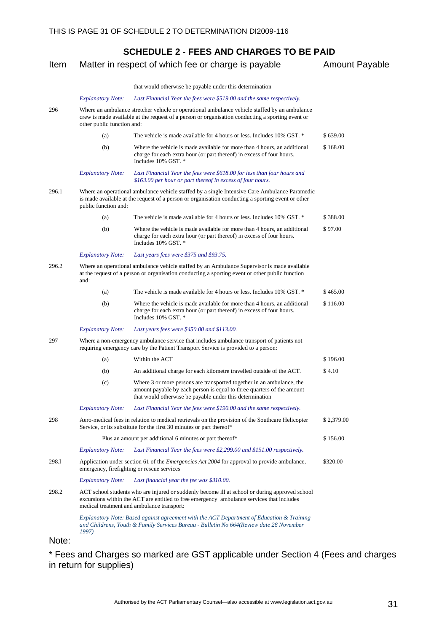| Item  |                            | Matter in respect of which fee or charge is payable                                                                                                                                                                                       | <b>Amount Payable</b> |
|-------|----------------------------|-------------------------------------------------------------------------------------------------------------------------------------------------------------------------------------------------------------------------------------------|-----------------------|
|       |                            | that would otherwise be payable under this determination                                                                                                                                                                                  |                       |
|       | <b>Explanatory Note:</b>   | Last Financial Year the fees were \$519.00 and the same respectively.                                                                                                                                                                     |                       |
| 296   | other public function and: | Where an ambulance stretcher vehicle or operational ambulance vehicle staffed by an ambulance<br>crew is made available at the request of a person or organisation conducting a sporting event or                                         |                       |
|       | (a)                        | The vehicle is made available for 4 hours or less. Includes 10% GST. *                                                                                                                                                                    | \$639.00              |
|       | (b)                        | Where the vehicle is made available for more than 4 hours, an additional<br>charge for each extra hour (or part thereof) in excess of four hours.<br>Includes 10% GST. *                                                                  | \$168.00              |
|       | <b>Explanatory Note:</b>   | Last Financial Year the fees were \$618.00 for less than four hours and<br>\$163.00 per hour or part thereof in excess of four hours.                                                                                                     |                       |
| 296.1 | public function and:       | Where an operational ambulance vehicle staffed by a single Intensive Care Ambulance Paramedic<br>is made available at the request of a person or organisation conducting a sporting event or other                                        |                       |
|       | (a)                        | The vehicle is made available for 4 hours or less. Includes 10% GST. *                                                                                                                                                                    | \$388.00              |
|       | (b)                        | Where the vehicle is made available for more than 4 hours, an additional<br>charge for each extra hour (or part thereof) in excess of four hours.<br>Includes 10% GST. *                                                                  | \$97.00               |
|       | <b>Explanatory Note:</b>   | Last years fees were \$375 and \$93.75.                                                                                                                                                                                                   |                       |
| 296.2 | and:                       | Where an operational ambulance vehicle staffed by an Ambulance Supervisor is made available<br>at the request of a person or organisation conducting a sporting event or other public function                                            |                       |
|       | (a)                        | The vehicle is made available for 4 hours or less. Includes 10% GST. *                                                                                                                                                                    | \$465.00              |
|       | (b)                        | Where the vehicle is made available for more than 4 hours, an additional<br>charge for each extra hour (or part thereof) in excess of four hours.<br>Includes 10% GST. *                                                                  | \$116.00              |
|       | <b>Explanatory Note:</b>   | Last years fees were \$450.00 and \$113.00.                                                                                                                                                                                               |                       |
| 297   |                            | Where a non-emergency ambulance service that includes ambulance transport of patients not<br>requiring emergency care by the Patient Transport Service is provided to a person:                                                           |                       |
|       | (a)                        | Within the ACT                                                                                                                                                                                                                            | \$196.00              |
|       | (b)                        | An additional charge for each kilometre travelled outside of the ACT.                                                                                                                                                                     | \$4.10                |
|       | (c)                        | Where 3 or more persons are transported together in an ambulance, the<br>amount payable by each person is equal to three quarters of the amount<br>that would otherwise be payable under this determination                               |                       |
|       | <b>Explanatory Note:</b>   | Last Financial Year the fees were \$190.00 and the same respectively.                                                                                                                                                                     |                       |
| 298   |                            | Aero-medical fees in relation to medical retrievals on the provision of the Southcare Helicopter<br>Service, or its substitute for the first 30 minutes or part thereof*                                                                  | \$2,379.00            |
|       |                            | Plus an amount per additional 6 minutes or part thereof*                                                                                                                                                                                  | \$156.00              |
|       | <b>Explanatory Note:</b>   | Last Financial Year the fees were \$2,299.00 and \$151.00 respectively.                                                                                                                                                                   |                       |
| 298.1 |                            | Application under section 61 of the <i>Emergencies Act 2004</i> for approval to provide ambulance,<br>emergency, firefighting or rescue services                                                                                          | \$320.00              |
|       | <b>Explanatory Note:</b>   | Last financial year the fee was \$310.00.                                                                                                                                                                                                 |                       |
| 298.2 |                            | ACT school students who are injured or suddenly become ill at school or during approved school<br>excursions within the ACT are entitled to free emergency ambulance services that includes<br>medical treatment and ambulance transport: |                       |
|       | 1997)                      | Explanatory Note: Based against agreement with the ACT Department of Education & Training<br>and Childrens, Youth & Family Services Bureau - Bulletin No 664(Review date 28 November                                                      |                       |

Note:

\* Fees and Charges so marked are GST applicable under Section 4 (Fees and charges in return for supplies)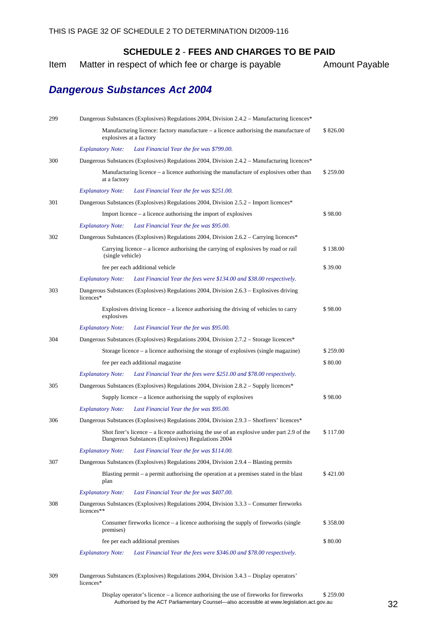<span id="page-35-0"></span>Item Matter in respect of which fee or charge is payable Amount Payable

## *Dangerous Substances Act 2004*

| 299 | Dangerous Substances (Explosives) Regulations 2004, Division 2.4.2 – Manufacturing licences*                                                       |          |
|-----|----------------------------------------------------------------------------------------------------------------------------------------------------|----------|
|     | Manufacturing licence: factory manufacture $-$ a licence authorising the manufacture of<br>explosives at a factory                                 | \$826.00 |
|     | Last Financial Year the fee was \$799.00.<br><b>Explanatory Note:</b>                                                                              |          |
| 300 | Dangerous Substances (Explosives) Regulations 2004, Division 2.4.2 – Manufacturing licences*                                                       |          |
|     | Manufacturing licence $-$ a licence authorising the manufacture of explosives other than<br>at a factory                                           | \$259.00 |
|     | <b>Explanatory Note:</b><br>Last Financial Year the fee was \$251.00.                                                                              |          |
| 301 | Dangerous Substances (Explosives) Regulations 2004, Division 2.5.2 – Import licences*                                                              |          |
|     | Import licence – a licence authorising the import of explosives                                                                                    | \$98.00  |
|     | <b>Explanatory Note:</b><br>Last Financial Year the fee was \$95.00.                                                                               |          |
| 302 | Dangerous Substances (Explosives) Regulations 2004, Division 2.6.2 – Carrying licences*                                                            |          |
|     | Carrying licence – a licence authorising the carrying of explosives by road or rail<br>(single vehicle)                                            | \$138.00 |
|     | fee per each additional vehicle                                                                                                                    | \$39.00  |
|     | Last Financial Year the fees were \$134.00 and \$38.00 respectively.<br><b>Explanatory Note:</b>                                                   |          |
| 303 | Dangerous Substances (Explosives) Regulations 2004, Division 2.6.3 – Explosives driving<br>licences*                                               |          |
|     | Explosives driving licence $-$ a licence authorising the driving of vehicles to carry<br>explosives                                                | \$98.00  |
|     | <b>Explanatory Note:</b><br>Last Financial Year the fee was \$95.00.                                                                               |          |
| 304 | Dangerous Substances (Explosives) Regulations 2004, Division 2.7.2 – Storage licences*                                                             |          |
|     | Storage licence $-$ a licence authorising the storage of explosives (single magazine)                                                              | \$259.00 |
|     | fee per each additional magazine                                                                                                                   | \$80.00  |
|     | Last Financial Year the fees were \$251.00 and \$78.00 respectively.<br><b>Explanatory Note:</b>                                                   |          |
| 305 | Dangerous Substances (Explosives) Regulations 2004, Division 2.8.2 – Supply licences*                                                              |          |
|     | Supply licence $-$ a licence authorising the supply of explosives                                                                                  | \$98.00  |
|     | <b>Explanatory Note:</b><br>Last Financial Year the fee was \$95.00.                                                                               |          |
| 306 | Dangerous Substances (Explosives) Regulations 2004, Division 2.9.3 – Shotfirers' licences*                                                         |          |
|     | Shot firer's licence $-$ a licence authorising the use of an explosive under part 2.9 of the<br>Dangerous Substances (Explosives) Regulations 2004 | \$117.00 |
|     | Explanatory Note: Last Financial Year the fee was \$114.00.                                                                                        |          |
| 307 | Dangerous Substances (Explosives) Regulations 2004, Division 2.9.4 – Blasting permits                                                              |          |
|     | Blasting permit $-$ a permit authorising the operation at a premises stated in the blast<br>plan                                                   | \$421.00 |
|     | Last Financial Year the fee was \$407.00.<br><b>Explanatory Note:</b>                                                                              |          |
| 308 | Dangerous Substances (Explosives) Regulations 2004, Division 3.3.3 – Consumer fireworks<br>licences**                                              |          |
|     | Consumer fireworks licence $-$ a licence authorising the supply of fireworks (single<br>premises)                                                  | \$358.00 |
|     | fee per each additional premises                                                                                                                   | \$80.00  |
|     | Last Financial Year the fees were \$346.00 and \$78.00 respectively.<br><b>Explanatory Note:</b>                                                   |          |

<sup>309</sup> Dangerous Substances (Explosives) Regulations 2004, Division 3.4.3 – Display operators' licences\*

Authorised by the ACT Parliamentary Counsel—also accessible at www.legislation.act.gov.au 32 Display operator's licence – a licence authorising the use of fireworks for fireworks \$ 259.00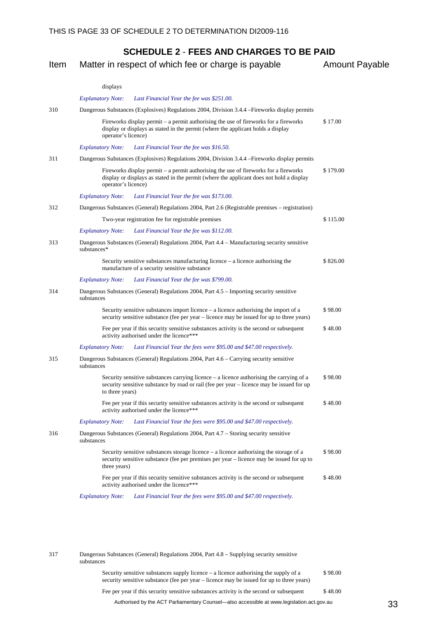| Item |                          | Matter in respect of which fee or charge is payable                                                                                                                                     | <b>Amount Payable</b> |
|------|--------------------------|-----------------------------------------------------------------------------------------------------------------------------------------------------------------------------------------|-----------------------|
|      | displays                 |                                                                                                                                                                                         |                       |
|      | <b>Explanatory Note:</b> | Last Financial Year the fee was \$251.00.                                                                                                                                               |                       |
| 310  |                          | Dangerous Substances (Explosives) Regulations 2004, Division 3.4.4 - Fireworks display permits                                                                                          |                       |
|      | operator's licence)      | Fireworks display permit $-$ a permit authorising the use of fireworks for a fireworks<br>display or displays as stated in the permit (where the applicant holds a display              | \$17.00               |
|      | <b>Explanatory Note:</b> | Last Financial Year the fee was \$16.50.                                                                                                                                                |                       |
| 311  |                          | Dangerous Substances (Explosives) Regulations 2004, Division 3.4.4 – Fireworks display permits                                                                                          |                       |
|      | operator's licence)      | Fireworks display permit – a permit authorising the use of fireworks for a fireworks<br>display or displays as stated in the permit (where the applicant does not hold a display        | \$179.00              |
|      | <b>Explanatory Note:</b> | Last Financial Year the fee was \$173.00.                                                                                                                                               |                       |
| 312  |                          | Dangerous Substances (General) Regulations 2004, Part 2.6 (Registrable premises – registration)                                                                                         |                       |
|      |                          | Two-year registration fee for registrable premises                                                                                                                                      | \$115.00              |
|      | <b>Explanatory Note:</b> | Last Financial Year the fee was \$112.00.                                                                                                                                               |                       |
| 313  | substances*              | Dangerous Substances (General) Regulations 2004, Part 4.4 – Manufacturing security sensitive                                                                                            |                       |
|      |                          | Security sensitive substances manufacturing licence $-$ a licence authorising the<br>manufacture of a security sensitive substance                                                      | \$826.00              |
|      | <b>Explanatory Note:</b> | Last Financial Year the fee was \$799.00.                                                                                                                                               |                       |
| 314  | substances               | Dangerous Substances (General) Regulations 2004, Part 4.5 – Importing security sensitive                                                                                                |                       |
|      |                          | Security sensitive substances import licence $-$ a licence authorising the import of a<br>security sensitive substance (fee per year – licence may be issued for up to three years)     | \$98.00               |
|      |                          | Fee per year if this security sensitive substances activity is the second or subsequent<br>activity authorised under the licence***                                                     | \$48.00               |
|      | <b>Explanatory Note:</b> | Last Financial Year the fees were \$95.00 and \$47.00 respectively.                                                                                                                     |                       |
| 315  | substances               | Dangerous Substances (General) Regulations 2004, Part 4.6 – Carrying security sensitive                                                                                                 |                       |
|      | to three years)          | Security sensitive substances carrying licence $-$ a licence authorising the carrying of a<br>security sensitive substance by road or rail (fee per year – licence may be issued for up | \$98.00               |
|      |                          | Fee per year if this security sensitive substances activity is the second or subsequent<br>activity authorised under the licence***                                                     | \$48.00               |
|      | <b>Explanatory Note:</b> | Last Financial Year the fees were \$95.00 and \$47.00 respectively.                                                                                                                     |                       |
| 316  | substances               | Dangerous Substances (General) Regulations 2004, Part 4.7 – Storing security sensitive                                                                                                  |                       |
|      | three years)             | Security sensitive substances storage licence $-$ a licence authorising the storage of a<br>security sensitive substance (fee per premises per year – licence may be issued for up to   | \$98.00               |
|      |                          | Fee per year if this security sensitive substances activity is the second or subsequent<br>activity authorised under the licence***                                                     | \$48.00               |
|      | <b>Explanatory Note:</b> | Last Financial Year the fees were \$95.00 and \$47.00 respectively.                                                                                                                     |                       |

317 Dangerous Substances (General) Regulations 2004, Part 4.8 – Supplying security sensitive substances Security sensitive substances supply licence – a licence authorising the supply of a security sensitive substance (fee per year – licence may be issued for up to three years) \$ 98.00

Fee per year if this security sensitive substances activity is the second or subsequent \$ 48.00

Authorised by the ACT Parliamentary Counsel—also accessible at www.legislation.act.gov.au 33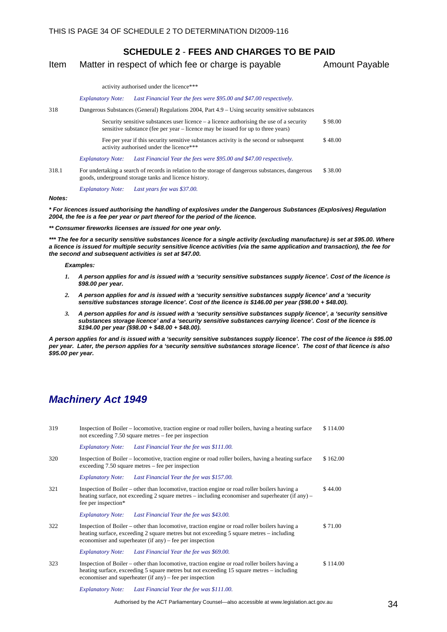#### <span id="page-37-0"></span>Item Matter in respect of which fee or charge is payable Amount Payable

activity authorised under the licence\*\*\*

#### *Explanatory Note: Last Financial Year the fees were \$95.00 and \$47.00 respectively.*

318 Dangerous Substances (General) Regulations 2004, Part 4.9 – Using security sensitive substances

|                          | Security sensitive substances user licence $-$ a licence authorising the use of a security<br>sensitive substance (fee per year – licence may be issued for up to three years) | \$98.00 |
|--------------------------|--------------------------------------------------------------------------------------------------------------------------------------------------------------------------------|---------|
|                          | Fee per year if this security sensitive substances activity is the second or subsequent<br>activity authorised under the licence***                                            | \$48.00 |
| <b>Explanatory Note:</b> | Last Financial Year the fees were \$95.00 and \$47.00 respectively.                                                                                                            |         |

318.1 For undertaking a search of records in relation to the storage of dangerous substances, dangerous goods, underground storage tanks and licence history. \$ 38.00

*Explanatory Note: Last years fee was \$37.00.* 

#### *Notes:*

*\* For licences issued authorising the handling of explosives under the Dangerous Substances (Explosives) Regulation 2004, the fee is a fee per year or part thereof for the period of the licence.* 

*\*\* Consumer fireworks licenses are issued for one year only.* 

*\*\*\* The fee for a security sensitive substances licence for a single activity (excluding manufacture) is set at \$95.00. Where a licence is issued for multiple security sensitive licence activities (via the same application and transaction), the fee for the second and subsequent activities is set at \$47.00.* 

*Examples:* 

- *1. A person applies for and is issued with a 'security sensitive substances supply licence'. Cost of the licence is \$98.00 per year.*
- *2. A person applies for and is issued with a 'security sensitive substances supply licence' and a 'security sensitive substances storage licence'. Cost of the licence is \$146.00 per year (\$98.00 + \$48.00).*
- *3. A person applies for and is issued with a 'security sensitive substances supply licence', a 'security sensitive substances storage licence' and a 'security sensitive substances carrying licence'. Cost of the licence is \$194.00 per year (\$98.00 + \$48.00 + \$48.00).*

*A person applies for and is issued with a 'security sensitive substances supply licence'. The cost of the licence is \$95.00 per year. Later, the person applies for a 'security sensitive substances storage licence'. The cost of that licence is also \$95.00 per year.* 

### *Machinery Act 1949*

| 319 | Inspection of Boiler – locomotive, traction engine or road roller boilers, having a heating surface<br>not exceeding 7.50 square metres – fee per inspection                                                                                           | \$114.00 |
|-----|--------------------------------------------------------------------------------------------------------------------------------------------------------------------------------------------------------------------------------------------------------|----------|
|     | Last Financial Year the fee was \$111.00.<br><b>Explanatory Note:</b>                                                                                                                                                                                  |          |
| 320 | Inspection of Boiler – locomotive, traction engine or road roller boilers, having a heating surface<br>exceeding $7.50$ square metres – fee per inspection                                                                                             | \$162.00 |
|     | Last Financial Year the fee was \$157.00.<br><b>Explanatory Note:</b>                                                                                                                                                                                  |          |
| 321 | Inspection of Boiler – other than locomotive, traction engine or road roller boilers having a<br>heating surface, not exceeding 2 square metres – including economiser and superheater (if any) –<br>fee per inspection*                               | \$44.00  |
|     | Explanatory Note: Last Financial Year the fee was \$43.00.                                                                                                                                                                                             |          |
| 322 | Inspection of Boiler – other than locomotive, traction engine or road roller boilers having a<br>heating surface, exceeding 2 square metres but not exceeding 5 square metres – including<br>economiser and superheater (if any) – fee per inspection  | \$71.00  |
|     | Explanatory Note: Last Financial Year the fee was \$69.00.                                                                                                                                                                                             |          |
| 323 | Inspection of Boiler – other than locomotive, traction engine or road roller boilers having a<br>heating surface, exceeding 5 square metres but not exceeding 15 square metres - including<br>economiser and superheater (if any) – fee per inspection | \$114.00 |
|     | Last Financial Year the fee was \$111.00.<br><b>Explanatory Note:</b>                                                                                                                                                                                  |          |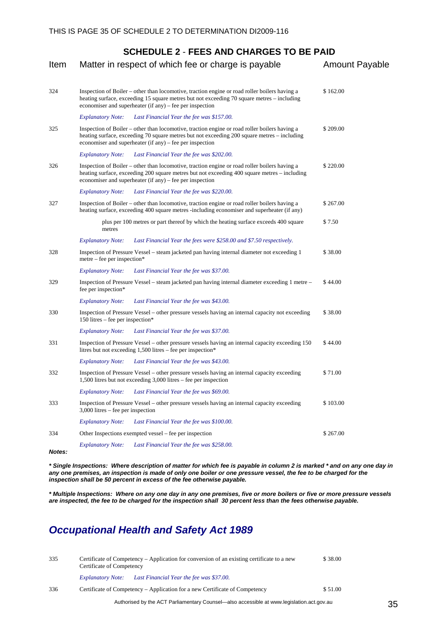<span id="page-38-0"></span>

| Item   | Matter in respect of which fee or charge is payable                                                                                                                                                                                                       | <b>Amount Payable</b> |
|--------|-----------------------------------------------------------------------------------------------------------------------------------------------------------------------------------------------------------------------------------------------------------|-----------------------|
| 324    | Inspection of Boiler – other than locomotive, traction engine or road roller boilers having a<br>heating surface, exceeding 15 square metres but not exceeding 70 square metres – including<br>economiser and superheater (if any) – fee per inspection   | \$162.00              |
|        | <b>Explanatory Note:</b><br>Last Financial Year the fee was \$157.00.                                                                                                                                                                                     |                       |
| 325    | Inspection of Boiler – other than locomotive, traction engine or road roller boilers having a<br>heating surface, exceeding 70 square metres but not exceeding 200 square metres – including<br>economiser and superheater (if any) – fee per inspection  | \$209.00              |
|        | Last Financial Year the fee was \$202.00.<br><b>Explanatory Note:</b>                                                                                                                                                                                     |                       |
| 326    | Inspection of Boiler – other than locomotive, traction engine or road roller boilers having a<br>heating surface, exceeding 200 square metres but not exceeding 400 square metres – including<br>economiser and superheater (if any) – fee per inspection | \$220.00              |
|        | <b>Explanatory Note:</b><br>Last Financial Year the fee was \$220.00.                                                                                                                                                                                     |                       |
| 327    | Inspection of Boiler – other than locomotive, traction engine or road roller boilers having a<br>heating surface, exceeding 400 square metres -including economiser and superheater (if any)                                                              | \$267.00              |
|        | plus per 100 metres or part thereof by which the heating surface exceeds 400 square<br>metres                                                                                                                                                             | \$7.50                |
|        | Last Financial Year the fees were \$258.00 and \$7.50 respectively.<br><b>Explanatory Note:</b>                                                                                                                                                           |                       |
| 328    | Inspection of Pressure Vessel – steam jacketed pan having internal diameter not exceeding 1<br>metre – fee per inspection*                                                                                                                                | \$38.00               |
|        | <b>Explanatory Note:</b><br>Last Financial Year the fee was \$37.00.                                                                                                                                                                                      |                       |
| 329    | Inspection of Pressure Vessel – steam jacketed pan having internal diameter exceeding 1 metre –<br>fee per inspection*                                                                                                                                    | \$44.00               |
|        | <b>Explanatory Note:</b><br>Last Financial Year the fee was \$43.00.                                                                                                                                                                                      |                       |
| 330    | Inspection of Pressure Vessel – other pressure vessels having an internal capacity not exceeding<br>150 litres – fee per inspection*                                                                                                                      | \$38.00               |
|        | <b>Explanatory Note:</b><br>Last Financial Year the fee was \$37.00.                                                                                                                                                                                      |                       |
| 331    | Inspection of Pressure Vessel - other pressure vessels having an internal capacity exceeding 150<br>litres but not exceeding 1,500 litres - fee per inspection*                                                                                           | \$44.00               |
|        | <b>Explanatory Note:</b><br>Last Financial Year the fee was \$43.00.                                                                                                                                                                                      |                       |
| 332    | Inspection of Pressure Vessel – other pressure vessels having an internal capacity exceeding<br>1,500 litres but not exceeding 3,000 litres – fee per inspection                                                                                          | \$71.00               |
|        | <b>Explanatory Note:</b><br>Last Financial Year the fee was \$69.00.                                                                                                                                                                                      |                       |
| 333    | Inspection of Pressure Vessel – other pressure vessels having an internal capacity exceeding<br>3,000 litres – fee per inspection                                                                                                                         | \$103.00              |
|        | Last Financial Year the fee was \$100.00.<br><b>Explanatory Note:</b>                                                                                                                                                                                     |                       |
| 334    | Other Inspections exempted vessel – fee per inspection                                                                                                                                                                                                    | \$267.00              |
| Notes: | <b>Explanatory Note:</b><br>Last Financial Year the fee was \$258.00.                                                                                                                                                                                     |                       |

*\* Single Inspections: Where description of matter for which fee is payable in column 2 is marked \* and on any one day in any one premises, an inspection is made of only one boiler or one pressure vessel, the fee to be charged for the inspection shall be 50 percent in excess of the fee otherwise payable.* 

*\* Multiple Inspections: Where on any one day in any one premises, five or more boilers or five or more pressure vessels are inspected, the fee to be charged for the inspection shall 30 percent less than the fees otherwise payable.*

## *Occupational Health and Safety Act 1989*

| 335 | Certificate of Competency – Application for conversion of an existing certificate to a new<br>Certificate of Competency |         |
|-----|-------------------------------------------------------------------------------------------------------------------------|---------|
|     | Last Financial Year the fee was \$37.00.<br><b>Explanatory Note:</b>                                                    |         |
| 336 | Certificate of Competency – Application for a new Certificate of Competency                                             | \$51.00 |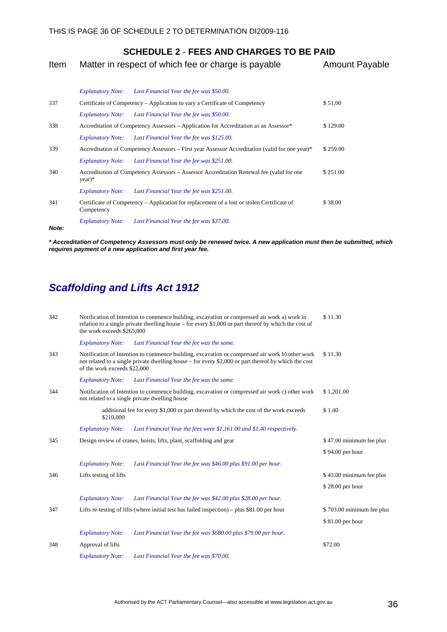<span id="page-39-0"></span>

| Item | Matter in respect of which fee or charge is payable | <b>Amount Payable</b> |
|------|-----------------------------------------------------|-----------------------|
|------|-----------------------------------------------------|-----------------------|

|       |                          | Explanatory Note: Last Financial Year the fee was \$50.00.                                      |          |
|-------|--------------------------|-------------------------------------------------------------------------------------------------|----------|
| 337   |                          | Certificate of Competency – Application to vary a Certificate of Competency                     | \$51.00  |
|       | <b>Explanatory Note:</b> | Last Financial Year the fee was \$50.00.                                                        |          |
| 338   |                          | Accreditation of Competency Assessors – Application for Accreditation as an Assessor*           | \$129.00 |
|       | <b>Explanatory Note:</b> | Last Financial Year the fee was \$125.00.                                                       |          |
| 339   |                          | Accreditation of Competency Assessors – First year Assessor Accreditation (valid for one year)* | \$259.00 |
|       | <b>Explanatory Note:</b> | Last Financial Year the fee was \$251.00.                                                       |          |
| 340   | $year)*$                 | Accreditation of Competency Assessors – Assessor Accreditation Renewal fee (valid for one       | \$251.00 |
|       | <b>Explanatory Note:</b> | Last Financial Year the fee was \$251.00.                                                       |          |
| 341   | Competency               | Certificate of Competency – Application for replacement of a lost or stolen Certificate of      | \$38.00  |
| Note: | <b>Explanatory Note:</b> | Last Financial Year the fee was \$37.00.                                                        |          |

*\* Accreditation of Competency Assessors must only be renewed twice. A new application must then be submitted, which requires payment of a new application and first year fee.*

# *Scaffolding and Lifts Act 1912*

| 342 | the work exceeds \$265,000   | Notification of Intention to commence building, excavation or compressed air work a) work in<br>relation to a single private dwelling house – for every \$1,000 or part thereof by which the cost of    | \$11.30                   |
|-----|------------------------------|---------------------------------------------------------------------------------------------------------------------------------------------------------------------------------------------------------|---------------------------|
|     | <b>Explanatory Note:</b>     | Last Financial Year the fee was the same.                                                                                                                                                               |                           |
| 343 | of the work exceeds \$22,000 | Notification of Intention to commence building, excavation or compressed air work b) other work<br>not related to a single private dwelling house – for every \$2,000 or part thereof by which the cost | \$11.30                   |
|     | <b>Explanatory Note:</b>     | Last Financial Year the fee was the same.                                                                                                                                                               |                           |
| 344 |                              | Notification of Intention to commence building, excavation or compressed air work c) other work<br>not related to a single private dwelling house                                                       | \$1,201.00                |
|     | \$210,000                    | additional fee for every \$1,000 or part thereof by which the cost of the work exceeds                                                                                                                  | \$1.40                    |
|     | <b>Explanatory Note:</b>     | Last Financial Year the fees were \$1,161.00 and \$1.40 respectively.                                                                                                                                   |                           |
| 345 |                              | Design review of cranes, hoists, lifts, plant, scaffolding and gear                                                                                                                                     | \$47.00 minimum fee plus  |
|     |                              |                                                                                                                                                                                                         | \$94.00 per hour          |
|     | <b>Explanatory Note:</b>     | Last Financial Year the fee was \$46.00 plus \$91.00 per hour.                                                                                                                                          |                           |
| 346 | Lifts testing of lifts       |                                                                                                                                                                                                         | \$43.00 minimum fee plus  |
|     |                              |                                                                                                                                                                                                         | \$28.00 per hour          |
|     | <b>Explanatory Note:</b>     | Last Financial Year the fee was \$42.00 plus \$28.00 per hour.                                                                                                                                          |                           |
| 347 |                              | Lifts re-testing of lifts (where initial test has failed inspection) – plus \$81.00 per hour                                                                                                            | \$703.00 minimum fee plus |
|     |                              |                                                                                                                                                                                                         | \$81.00 per hour          |
|     | <b>Explanatory Note:</b>     | Last Financial Year the fee was \$680.00 plus \$79.00 per hour.                                                                                                                                         |                           |
| 348 | Approval of lifts            |                                                                                                                                                                                                         | \$72.00                   |
|     | <b>Explanatory Note:</b>     | Last Financial Year the fee was \$70.00.                                                                                                                                                                |                           |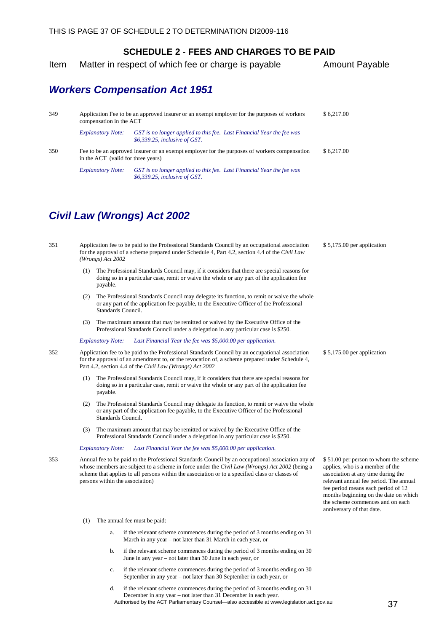<span id="page-40-0"></span>Item Matter in respect of which fee or charge is payable Amount Payable

## *Workers Compensation Act 1951*

| 349 | compensation in the ACT                                                                                                            | Application Fee to be an approved insurer or an exempt employer for the purposes of workers            | \$6.217.00 |
|-----|------------------------------------------------------------------------------------------------------------------------------------|--------------------------------------------------------------------------------------------------------|------------|
|     | <b>Explanatory Note:</b>                                                                                                           | GST is no longer applied to this fee. Last Financial Year the fee was<br>\$6,339.25, inclusive of GST. |            |
| 350 | Fee to be an approved insurer or an exempt employer for the purposes of workers compensation<br>in the ACT (valid for three years) |                                                                                                        | \$6.217.00 |
|     | <b>Explanatory Note:</b>                                                                                                           | GST is no longer applied to this fee. Last Financial Year the fee was<br>\$6,339.25, inclusive of GST. |            |

351 Application fee to be paid to the Professional Standards Council by an occupational association

## *Civil Law (Wrongs) Act 2002*

|     | for the approval of a scheme prepared under Schedule 4, Part 4.2, section 4.4 of the Civil Law<br>(Wrongs) Act 2002                                                                                                                                                                                                                      |                                                                                                                                                                                                                                                                                                          |  |  |
|-----|------------------------------------------------------------------------------------------------------------------------------------------------------------------------------------------------------------------------------------------------------------------------------------------------------------------------------------------|----------------------------------------------------------------------------------------------------------------------------------------------------------------------------------------------------------------------------------------------------------------------------------------------------------|--|--|
|     | The Professional Standards Council may, if it considers that there are special reasons for<br>(1)<br>doing so in a particular case, remit or waive the whole or any part of the application fee<br>payable.                                                                                                                              |                                                                                                                                                                                                                                                                                                          |  |  |
|     | The Professional Standards Council may delegate its function, to remit or waive the whole<br>(2)<br>or any part of the application fee payable, to the Executive Officer of the Professional<br>Standards Council.                                                                                                                       |                                                                                                                                                                                                                                                                                                          |  |  |
|     | The maximum amount that may be remitted or waived by the Executive Office of the<br>(3)<br>Professional Standards Council under a delegation in any particular case is \$250.                                                                                                                                                            |                                                                                                                                                                                                                                                                                                          |  |  |
|     | Last Financial Year the fee was \$5,000.00 per application.<br><b>Explanatory Note:</b>                                                                                                                                                                                                                                                  |                                                                                                                                                                                                                                                                                                          |  |  |
| 352 | Application fee to be paid to the Professional Standards Council by an occupational association<br>for the approval of an amendment to, or the revocation of, a scheme prepared under Schedule 4,<br>Part 4.2, section 4.4 of the Civil Law (Wrongs) Act 2002                                                                            | $$5,175.00$ per application                                                                                                                                                                                                                                                                              |  |  |
|     | The Professional Standards Council may, if it considers that there are special reasons for<br>(1)<br>doing so in a particular case, remit or waive the whole or any part of the application fee<br>payable.                                                                                                                              |                                                                                                                                                                                                                                                                                                          |  |  |
|     | The Professional Standards Council may delegate its function, to remit or waive the whole<br>(2)<br>or any part of the application fee payable, to the Executive Officer of the Professional<br>Standards Council.                                                                                                                       |                                                                                                                                                                                                                                                                                                          |  |  |
|     | The maximum amount that may be remitted or waived by the Executive Office of the<br>(3)<br>Professional Standards Council under a delegation in any particular case is \$250.                                                                                                                                                            |                                                                                                                                                                                                                                                                                                          |  |  |
|     | <b>Explanatory Note:</b><br>Last Financial Year the fee was \$5,000.00 per application.                                                                                                                                                                                                                                                  |                                                                                                                                                                                                                                                                                                          |  |  |
| 353 | Annual fee to be paid to the Professional Standards Council by an occupational association any of<br>whose members are subject to a scheme in force under the Civil Law (Wrongs) Act 2002 (being a<br>scheme that applies to all persons within the association or to a specified class or classes of<br>persons within the association) | \$51.00 per person to whom the scheme<br>applies, who is a member of the<br>association at any time during the<br>relevant annual fee period. The annual<br>fee period means each period of 12<br>months beginning on the date on which<br>the scheme commences and on each<br>anniversary of that date. |  |  |
|     | The annual fee must be paid:<br>(1)                                                                                                                                                                                                                                                                                                      |                                                                                                                                                                                                                                                                                                          |  |  |
|     | if the relevant scheme commences during the period of 3 months ending on 31<br>a.<br>March in any year – not later than 31 March in each year, or                                                                                                                                                                                        |                                                                                                                                                                                                                                                                                                          |  |  |
|     | if the relevant scheme commences during the period of 3 months ending on 30<br>b.                                                                                                                                                                                                                                                        |                                                                                                                                                                                                                                                                                                          |  |  |

- June in any year not later than 30 June in each year, or
- c. if the relevant scheme commences during the period of 3 months ending on 30 September in any year – not later than 30 September in each year, or
- Authorised by the ACT Parliamentary Counsel—also accessible at www.legislation.act.gov.au  $37$ d. if the relevant scheme commences during the period of 3 months ending on 31 December in any year – not later than 31 December in each year.

\$ 5,175.00 per application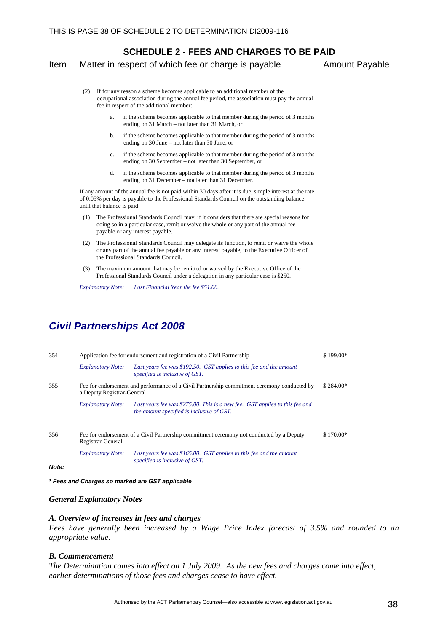#### <span id="page-41-0"></span>Item Matter in respect of which fee or charge is payable Amount Payable

- (2) If for any reason a scheme becomes applicable to an additional member of the occupational association during the annual fee period, the association must pay the annual fee in respect of the additional member:
	- if the scheme becomes applicable to that member during the period of 3 months ending on 31 March – not later than 31 March, or
	- b. if the scheme becomes applicable to that member during the period of 3 months ending on 30 June – not later than 30 June, or
	- c. if the scheme becomes applicable to that member during the period of 3 months ending on 30 September – not later than 30 September, or
	- d. if the scheme becomes applicable to that member during the period of 3 months ending on 31 December – not later than 31 December.

If any amount of the annual fee is not paid within 30 days after it is due, simple interest at the rate of 0.05% per day is payable to the Professional Standards Council on the outstanding balance until that balance is paid.

- (1) The Professional Standards Council may, if it considers that there are special reasons for doing so in a particular case, remit or waive the whole or any part of the annual fee payable or any interest payable.
- (2) The Professional Standards Council may delegate its function, to remit or waive the whole or any part of the annual fee payable or any interest payable, to the Executive Officer of the Professional Standards Council.
- (3) The maximum amount that may be remitted or waived by the Executive Office of the Professional Standards Council under a delegation in any particular case is \$250.

*Explanatory Note: Last Financial Year the fee \$51.00.* 

## *Civil Partnerships Act 2008*

| 354             | Application fee for endorsement and registration of a Civil Partnership                                                   |                                                                                                                          | \$199.00*  |
|-----------------|---------------------------------------------------------------------------------------------------------------------------|--------------------------------------------------------------------------------------------------------------------------|------------|
|                 | <b>Explanatory Note:</b>                                                                                                  | Last years fee was \$192.50. GST applies to this fee and the amount<br>specified is inclusive of GST.                    |            |
| 355             | Fee for endorsement and performance of a Civil Partnership commitment ceremony conducted by<br>a Deputy Registrar-General |                                                                                                                          | $$284.00*$ |
|                 | <b>Explanatory Note:</b>                                                                                                  | Last years fee was \$275.00. This is a new fee. GST applies to this fee and<br>the amount specified is inclusive of GST. |            |
| 356             | Registrar-General                                                                                                         | Fee for endorsement of a Civil Partnership commitment ceremony not conducted by a Deputy                                 |            |
| $M$ nte $\cdot$ | <b>Explanatory Note:</b>                                                                                                  | Last years fee was \$165.00. GST applies to this fee and the amount<br>specified is inclusive of GST.                    |            |

*Note:* 

*\* Fees and Charges so marked are GST applicable* 

#### *General Explanatory Notes*

#### *A. Overview of increases in fees and charges*

*Fees have generally been increased by a Wage Price Index forecast of 3.5% and rounded to an appropriate value.* 

#### *B. Commencement*

*The Determination comes into effect on 1 July 2009. As the new fees and charges come into effect, earlier determinations of those fees and charges cease to have effect.*